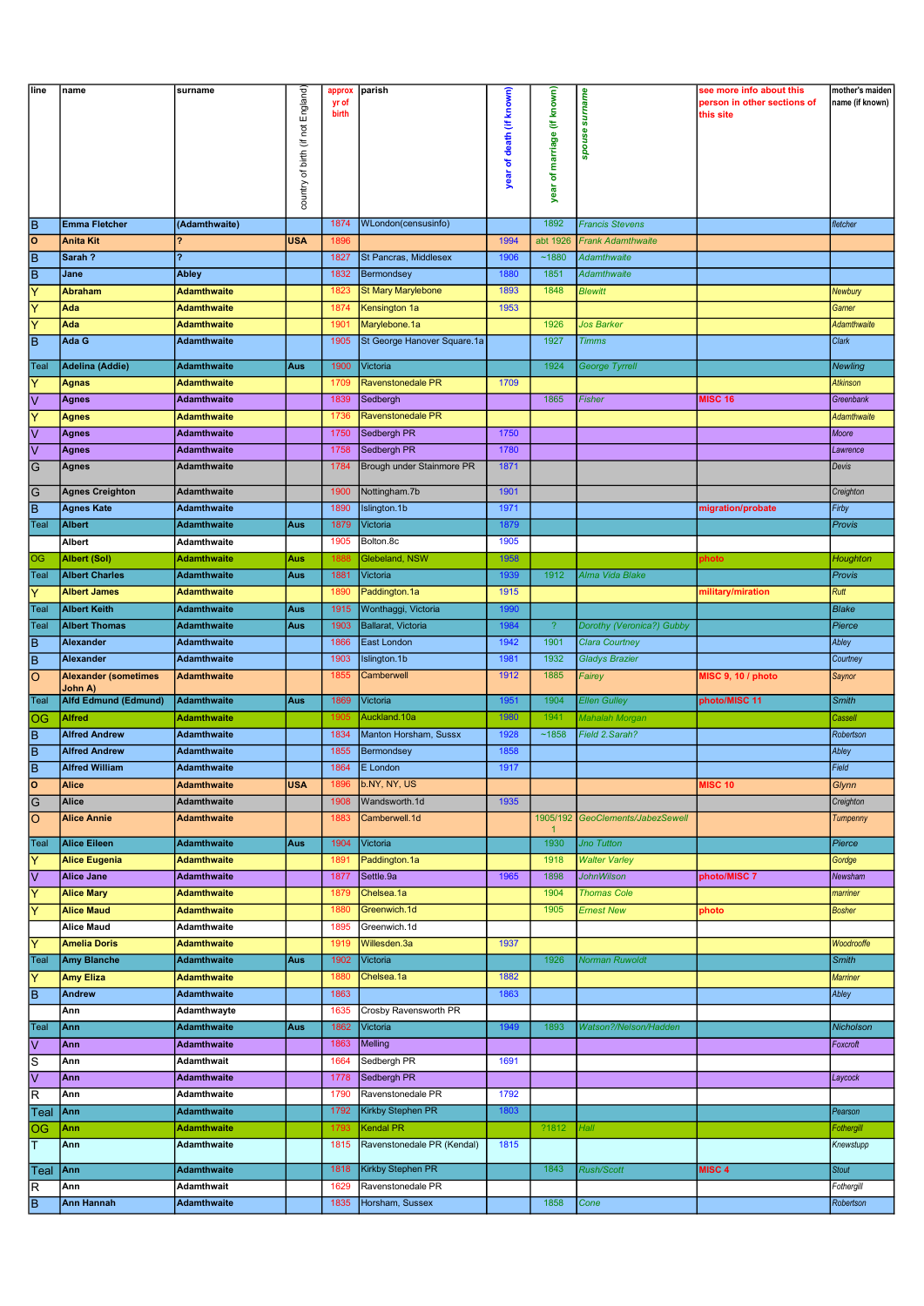| line                    | name                        | surname            |                                   | approx | parish                      |                          |                             |                                  | see more info about this    | mother's maiden    |
|-------------------------|-----------------------------|--------------------|-----------------------------------|--------|-----------------------------|--------------------------|-----------------------------|----------------------------------|-----------------------------|--------------------|
|                         |                             |                    | country of birth (if not England) | yr of  |                             | year of death (if known) | year of marriage (if known) | spouse surname                   | person in other sections of | name (if known)    |
|                         |                             |                    |                                   | birth  |                             |                          |                             |                                  | this site                   |                    |
|                         |                             |                    |                                   |        |                             |                          |                             |                                  |                             |                    |
|                         |                             |                    |                                   |        |                             |                          |                             |                                  |                             |                    |
|                         |                             |                    |                                   |        |                             |                          |                             |                                  |                             |                    |
|                         |                             |                    |                                   |        |                             |                          |                             |                                  |                             |                    |
|                         |                             |                    |                                   |        |                             |                          |                             |                                  |                             |                    |
|                         |                             |                    |                                   |        |                             |                          |                             |                                  |                             |                    |
|                         |                             |                    |                                   |        |                             |                          |                             |                                  |                             |                    |
| B                       | <b>Emma Fletcher</b>        | (Adamthwaite)      |                                   | 1874   | WLondon(censusinfo)         |                          | 1892                        | <b>Francis Stevens</b>           |                             | fletcher           |
| $\overline{\mathsf{o}}$ | <b>Anita Kit</b>            | ?                  | <b>USA</b>                        | 1896   |                             | 1994                     | abt 1926                    | <b>Frank Adamthwaite</b>         |                             |                    |
| $\overline{\mathsf{B}}$ | Sarah?                      | <sup>2</sup>       |                                   | 1827   | St Pancras, Middlesex       | 1906                     | ~1880                       | <b>Adamthwaite</b>               |                             |                    |
| $\overline{B}$          | Jane                        | Abley              |                                   | 1832   | Bermondsey                  | 1880                     | 1851                        | <b>Adamthwaite</b>               |                             |                    |
| $\overline{\mathsf{Y}}$ | <b>Abraham</b>              | <b>Adamthwaite</b> |                                   | 1823   | <b>St Mary Marylebone</b>   | 1893                     | 1848                        | <b>Blewitt</b>                   |                             | Newbury            |
| Y                       | Ada                         | <b>Adamthwaite</b> |                                   | 1874   | Kensington 1a               | 1953                     |                             |                                  |                             | Garner             |
| Y                       | Ada                         | <b>Adamthwaite</b> |                                   | 1901   | Marylebone.1a               |                          | 1926                        | <b>Jos Barker</b>                |                             | Adamthwaite        |
| $\overline{B}$          | Ada G                       | <b>Adamthwaite</b> |                                   | 1905   | St George Hanover Square.1a |                          | 1927                        | <b>Timms</b>                     |                             | Clark              |
|                         |                             |                    |                                   |        |                             |                          |                             |                                  |                             |                    |
| Teal                    | <b>Adelina (Addie)</b>      | <b>Adamthwaite</b> | Aus                               | 1900   | Victoria                    |                          | 1924                        | <b>George Tyrrell</b>            |                             | Newling            |
| Υ                       | Agnas                       | <b>Adamthwaite</b> |                                   | 1709   | <b>Ravenstonedale PR</b>    | 1709                     |                             |                                  |                             | <b>Atkinson</b>    |
| $\overline{\mathsf{v}}$ | Agnes                       | <b>Adamthwaite</b> |                                   | 1839   | Sedbergh                    |                          | 1865                        | Fisher                           | <b>MISC 16</b>              | Greenbank          |
| $\overline{Y}$          | <b>Agnes</b>                | <b>Adamthwaite</b> |                                   | 1736   | Ravenstonedale PR           |                          |                             |                                  |                             | <b>Adamthwaite</b> |
| V                       | Agnes                       | <b>Adamthwaite</b> |                                   | 1750   | Sedbergh PR                 | 1750                     |                             |                                  |                             | Moore              |
| $\overline{\mathsf{V}}$ | Agnes                       | <b>Adamthwaite</b> |                                   | 1758   | Sedbergh PR                 | 1780                     |                             |                                  |                             | Lawrence           |
|                         |                             |                    |                                   | 1784   |                             | 1871                     |                             |                                  |                             |                    |
| G                       | Agnes                       | <b>Adamthwaite</b> |                                   |        | Brough under Stainmore PR   |                          |                             |                                  |                             | Devis              |
| G                       | <b>Agnes Creighton</b>      | Adamthwaite        |                                   | 1900   | Nottingham.7b               | 1901                     |                             |                                  |                             | Creighton          |
| $\overline{B}$          | <b>Agnes Kate</b>           | <b>Adamthwaite</b> |                                   | 1890   | Islington.1b                | 1971                     |                             |                                  | migration/probate           | Firby              |
| Teal                    | <b>Albert</b>               | <b>Adamthwaite</b> | Aus                               | 1879   | Victoria                    | 1879                     |                             |                                  |                             | Provis             |
|                         |                             |                    |                                   | 1905   |                             |                          |                             |                                  |                             |                    |
|                         | Albert                      | <b>Adamthwaite</b> |                                   |        | Bolton.8c                   | 1905                     |                             |                                  |                             |                    |
| OG                      | Albert (Sol)                | Adamthwaite        | Aus                               | 1888   | Glebeland, NSW              | 1958                     |                             |                                  | photo                       | Houghton           |
| Teal                    | <b>Albert Charles</b>       | Adamthwaite        | Aus                               | 1881   | Victoria                    | 1939                     | 1912                        | Alma Vida Blake                  |                             | Provis             |
| Υ                       | <b>Albert James</b>         | <b>Adamthwaite</b> |                                   | 1890   | Paddington.1a               | 1915                     |                             |                                  | military/miration           | Rutt               |
| Teal                    | <b>Albert Keith</b>         | <b>Adamthwaite</b> | Aus                               | 1915   | Wonthaggi, Victoria         | 1990                     |                             |                                  |                             | <b>Blake</b>       |
| <b>Teal</b>             | <b>Albert Thomas</b>        | <b>Adamthwaite</b> | Aus                               | 1903   | Ballarat, Victoria          | 1984                     | $\overline{?}$              | Dorothy (Veronica?) Gubby        |                             | Pierce             |
| $\sf B$                 | Alexander                   | <b>Adamthwaite</b> |                                   | 1866   | East London                 | 1942                     | 1901                        | <b>Clara Courtney</b>            |                             | Abley              |
| $\overline{B}$          | Alexander                   | Adamthwaite        |                                   | 1903   | Islington.1b                | 1981                     | 1932                        | <b>Gladys Brazier</b>            |                             | Courtney           |
| $\overline{O}$          | <b>Alexander (sometimes</b> | <b>Adamthwaite</b> |                                   | 1855   | Camberwell                  | 1912                     | 1885                        | Fairey                           | MISC 9, 10 / photo          | Saynor             |
|                         | John A)                     |                    |                                   |        |                             |                          |                             |                                  |                             |                    |
| Teal                    | <b>Alfd Edmund (Edmund)</b> | <b>Adamthwaite</b> | Aus                               | 1869   | Victoria                    | 1951                     | 1904                        | <b>Ellen Gulley</b>              | photo/MISC 11               | <b>Smith</b>       |
| $\overline{OG}$         | <b>Alfred</b>               | Adamthwaite        |                                   | 1905   | Auckland.10a                | 1980                     | 1941                        | Mahalah Morgan                   |                             | Cassell            |
| $\overline{B}$          | <b>Alfred Andrew</b>        | <b>Adamthwaite</b> |                                   | 1834   | Manton Horsham, Sussx       | 1928                     | ~1858                       | Field 2. Sarah?                  |                             | Robertson          |
| $\overline{\mathsf{B}}$ | <b>Alfred Andrew</b>        | <b>Adamthwaite</b> |                                   | 1855   | Bermondsey                  | 1858                     |                             |                                  |                             | Abley              |
| $\overline{\mathsf{B}}$ | <b>Alfred William</b>       | <b>Adamthwaite</b> |                                   | 1864   | E London                    | 1917                     |                             |                                  |                             | Field              |
| o                       | <b>Alice</b>                | <b>Adamthwaite</b> | <b>USA</b>                        | 1896   | b.NY, NY, US                |                          |                             |                                  | <b>MISC 10</b>              | Glynn              |
|                         | Alice                       | <b>Adamthwaite</b> |                                   | 1908   | Wandsworth.1d               | 1935                     |                             |                                  |                             | Creighton          |
| $\overline{G}$          |                             |                    |                                   |        |                             |                          |                             |                                  |                             |                    |
| $\overline{\circ}$      | <b>Alice Annie</b>          | <b>Adamthwaite</b> |                                   | 1883   | Camberwell.1d               |                          | $\mathbf{1}$                | 1905/192 GeoClements/JabezSewell |                             | Tumpenny           |
| Teal                    | <b>Alice Eileen</b>         | <b>Adamthwaite</b> | Aus                               | 1904   | Victoria                    |                          | 1930                        | Jno Tutton                       |                             | Pierce             |
| Ÿ                       | <b>Alice Eugenia</b>        | <b>Adamthwaite</b> |                                   | 1891   | Paddington.1a               |                          | 1918                        | <b>Walter Varley</b>             |                             | Gordge             |
| $\overline{\mathsf{v}}$ | <b>Alice Jane</b>           | Adamthwaite        |                                   | 1877   | Settle.9a                   | 1965                     | 1898                        | <b>JohnWilson</b>                | photo/MISC 7                | Newsham            |
| $\overline{\mathsf{Y}}$ |                             |                    |                                   |        | Chelsea.1a                  |                          | 1904                        | <b>Thomas Cole</b>               |                             |                    |
|                         | <b>Alice Mary</b>           | <b>Adamthwaite</b> |                                   | 1879   |                             |                          |                             |                                  |                             | marriner           |
| Y                       | <b>Alice Maud</b>           | <b>Adamthwaite</b> |                                   | 1880   | Greenwich.1d                |                          | 1905                        | <b>Ernest New</b>                | photo                       | <b>Bosher</b>      |
|                         | <b>Alice Maud</b>           | <b>Adamthwaite</b> |                                   | 1895   | Greenwich.1d                |                          |                             |                                  |                             |                    |
| Ÿ                       | <b>Amelia Doris</b>         | <b>Adamthwaite</b> |                                   | 1919   | Willesden.3a                | 1937                     |                             |                                  |                             | Woodrooffe         |
| Teal                    | <b>Amy Blanche</b>          | <b>Adamthwaite</b> | Aus                               | 1902   | Victoria                    |                          | 1926                        | <b>Norman Ruwoldt</b>            |                             | <b>Smith</b>       |
| Y                       | <b>Amy Eliza</b>            | <b>Adamthwaite</b> |                                   | 1880   | Chelsea.1a                  | 1882                     |                             |                                  |                             | <b>Marriner</b>    |
| $\overline{B}$          | Andrew                      | <b>Adamthwaite</b> |                                   | 1863   |                             | 1863                     |                             |                                  |                             | Abley              |
|                         | Ann                         | Adamthwayte        |                                   | 1635   | Crosby Ravensworth PR       |                          |                             |                                  |                             |                    |
| Teal                    | Ann                         | <b>Adamthwaite</b> | Aus                               | 1862   | Victoria                    | 1949                     | 1893                        | Watson?/Nelson/Hadden            |                             | Nicholson          |
| $\overline{\mathsf{v}}$ | Ann                         | <b>Adamthwaite</b> |                                   | 1863   | Melling                     |                          |                             |                                  |                             | Foxcroft           |
| S                       | Ann                         | Adamthwait         |                                   | 1664   | Sedbergh PR                 | 1691                     |                             |                                  |                             |                    |
| $\overline{\mathsf{v}}$ |                             |                    |                                   |        | Sedbergh PR                 |                          |                             |                                  |                             |                    |
|                         | Ann                         | <b>Adamthwaite</b> |                                   | 1778   |                             |                          |                             |                                  |                             | Laycock            |
| $\overline{\mathsf{R}}$ | Ann                         | Adamthwaite        |                                   | 1790   | Ravenstonedale PR           | 1792                     |                             |                                  |                             |                    |
| Teal                    | Ann                         | <b>Adamthwaite</b> |                                   | 1792   | Kirkby Stephen PR           | 1803                     |                             |                                  |                             | Pearson            |
| OG                      | Ann                         | <b>Adamthwaite</b> |                                   | 1793   | Kendal PR                   |                          | ?1812                       | Hall                             |                             | Fothergill         |
| T                       | Ann                         | Adamthwaite        |                                   | 1815   | Ravenstonedale PR (Kendal)  | 1815                     |                             |                                  |                             | Knewstupp          |
|                         | Ann                         | <b>Adamthwaite</b> |                                   | 1818   | Kirkby Stephen PR           |                          | 1843                        | <b>Rush/Scott</b>                | MISC <sub>4</sub>           | <b>Stout</b>       |
| Teal                    |                             |                    |                                   |        |                             |                          |                             |                                  |                             |                    |
| $\mathsf R$             | Ann                         | <b>Adamthwait</b>  |                                   | 1629   | Ravenstonedale PR           |                          |                             |                                  |                             | Fothergill         |
| B                       | <b>Ann Hannah</b>           | <b>Adamthwaite</b> |                                   | 1835   | Horsham, Sussex             |                          | 1858                        | Cone                             |                             | Robertson          |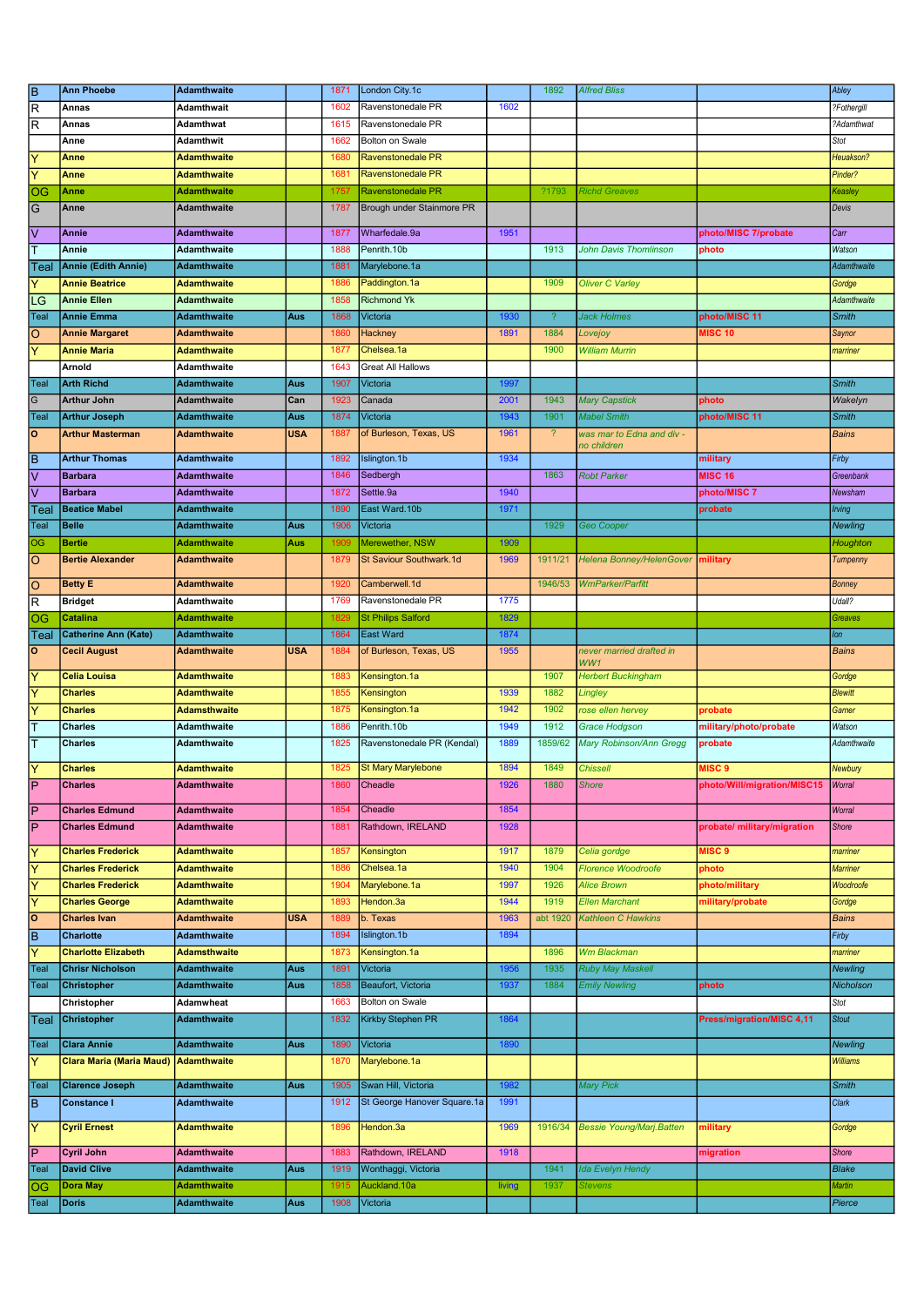|                            | <b>Ann Phoebe</b>               | <b>Adamthwaite</b>  |            | 1871 | London City.1c              |        | 1892                     | <b>Alfred Bliss</b>             |                                  | Abley           |
|----------------------------|---------------------------------|---------------------|------------|------|-----------------------------|--------|--------------------------|---------------------------------|----------------------------------|-----------------|
| $\frac{B}{R}$              | Annas                           | Adamthwait          |            | 1602 | Ravenstonedale PR           | 1602   |                          |                                 |                                  | ?Fothergill     |
| $\overline{\mathsf{R}}$    | Annas                           | Adamthwat           |            | 1615 | Ravenstonedale PR           |        |                          |                                 |                                  | ?Adamthwat      |
|                            | Anne                            | Adamthwit           |            | 1662 | <b>Bolton on Swale</b>      |        |                          |                                 |                                  | Stot            |
| $\overline{Y}$             | Anne                            | Adamthwaite         |            | 1680 | <b>Ravenstonedale PR</b>    |        |                          |                                 |                                  | Heuakson?       |
| $\overline{Y}$             | Anne                            | Adamthwaite         |            | 1681 | Ravenstonedale PR           |        |                          |                                 |                                  | Pinder?         |
| $ \overline{\mathsf{os}} $ | Anne                            |                     |            | 1757 | <b>Ravenstonedale PR</b>    |        | ?1793                    | <b>Richd Greaves</b>            |                                  |                 |
|                            |                                 | Adamthwaite         |            |      |                             |        |                          |                                 |                                  | Keasley         |
| $\overline{G}$             | Anne                            | <b>Adamthwaite</b>  |            | 1787 | Brough under Stainmore PR   |        |                          |                                 |                                  | Devis           |
| $\overline{\vee}$          | <b>Annie</b>                    | <b>Adamthwaite</b>  |            | 1877 | Wharfedale.9a               | 1951   |                          |                                 | photo/MISC 7/probate             | Carr            |
| ĪT                         | Annie                           | Adamthwaite         |            | 1888 | Penrith.10b                 |        | 1913                     | <b>John Davis Thomlinson</b>    | photo                            | Watson          |
| Teal                       | <b>Annie (Edith Annie)</b>      | <b>Adamthwaite</b>  |            | 1881 | Marylebone.1a               |        |                          |                                 |                                  | Adamthwaite     |
| Ÿ                          | <b>Annie Beatrice</b>           | <b>Adamthwaite</b>  |            | 1886 | Paddington.1a               |        | 1909                     | <b>Oliver C Varley</b>          |                                  | Gordge          |
|                            | <b>Annie Ellen</b>              |                     |            | 1858 | <b>Richmond Yk</b>          |        |                          |                                 |                                  | Adamthwaite     |
| LG                         |                                 | <b>Adamthwaite</b>  |            |      |                             |        |                          |                                 |                                  |                 |
| Teal                       | <b>Annie Emma</b>               | Adamthwaite         | Aus        | 1868 | Victoria                    | 1930   | $\boldsymbol{?}$         | <b>Jack Holmes</b>              | photo/MISC 11                    | Smith           |
| O                          | <b>Annie Margaret</b>           | Adamthwaite         |            | 1860 | Hackney                     | 1891   | 1884                     | Lovejoy                         | <b>MISC 10</b>                   | Saynor          |
| Ÿ                          | <b>Annie Maria</b>              | Adamthwaite         |            | 1877 | Chelsea.1a                  |        | 1900                     | <b>William Murrin</b>           |                                  | marriner        |
|                            | Arnold                          | Adamthwaite         |            | 1643 | <b>Great All Hallows</b>    |        |                          |                                 |                                  |                 |
| Teal                       | <b>Arth Richd</b>               | <b>Adamthwaite</b>  | Aus        | 1907 | Victoria                    | 1997   |                          |                                 |                                  | <b>Smith</b>    |
| $\overline{G}$             | <b>Arthur John</b>              | <b>Adamthwaite</b>  | Can        | 1923 | Canada                      | 2001   | 1943                     | <b>Mary Capstick</b>            | photo                            | Wakelyn         |
| Teal                       | <b>Arthur Joseph</b>            | Adamthwaite         | Aus        | 1874 | Victoria                    | 1943   | 1901                     | <b>Mabel Smith</b>              | photo/MISC 11                    | Smith           |
| $\overline{\mathsf{o}}$    | <b>Arthur Masterman</b>         | <b>Adamthwaite</b>  | <b>USA</b> | 1887 | of Burleson, Texas, US      | 1961   | $\overline{\mathcal{L}}$ | was mar to Edna and div -       |                                  | <b>Bains</b>    |
|                            |                                 |                     |            |      |                             |        |                          | no children                     |                                  |                 |
| $\overline{\mathsf{B}}$    | <b>Arthur Thomas</b>            | Adamthwaite         |            | 1892 | Islington.1b                | 1934   |                          |                                 | military                         | Firby           |
| $\overline{\vee}$          | <b>Barbara</b>                  | <b>Adamthwaite</b>  |            | 1846 | Sedbergh                    |        | 1863                     | <b>Robt Parker</b>              | <b>MISC 16</b>                   | Greenbank       |
| $\overline{\vee}$          | <b>Barbara</b>                  | <b>Adamthwaite</b>  |            | 1872 | Settle.9a                   | 1940   |                          |                                 | photo/MISC 7                     | Newsham         |
| ∣Teal                      | <b>Beatice Mabel</b>            | <b>Adamthwaite</b>  |            | 1890 | East Ward.10b               | 1971   |                          |                                 | probate                          | Irving          |
| <b>Teal</b>                | <b>Belle</b>                    | Adamthwaite         | Aus        | 1906 | Victoria                    |        | 1929                     | Geo Cooper                      |                                  | <b>Newling</b>  |
| OG                         | <b>Bertie</b>                   | <b>Adamthwaite</b>  | Aus        | 1909 | Merewether, NSW             | 1909   |                          |                                 |                                  | Houghton        |
| $\overline{\circ}$         | <b>Bertie Alexander</b>         |                     |            | 1879 | St Saviour Southwark.1d     | 1969   | 1911/21                  |                                 | military                         |                 |
|                            |                                 | <b>Adamthwaite</b>  |            |      |                             |        |                          | <b>Helena Bonney/HelenGover</b> |                                  | Tumpenny        |
| $\overline{\circ}$         | <b>Betty E</b>                  | Adamthwaite         |            | 1920 | Camberwell.1d               |        | 1946/53                  | WmParker/Parfitt                |                                  | <b>Bonney</b>   |
| $\overline{\mathsf{R}}$    | <b>Bridget</b>                  | Adamthwaite         |            | 1769 | Ravenstonedale PR           | 1775   |                          |                                 |                                  | Udall?          |
| og                         | Catalina                        | Adamthwaite         |            | 1829 | <b>St Philips Salford</b>   | 1829   |                          |                                 |                                  | Greaves         |
| Teal                       | <b>Catherine Ann (Kate)</b>     | <b>Adamthwaite</b>  |            | 1864 | <b>East Ward</b>            | 1874   |                          |                                 |                                  | lon             |
| $\overline{\circ}$         | <b>Cecil August</b>             | <b>Adamthwaite</b>  | <b>USA</b> | 1884 | of Burleson, Texas, US      | 1955   |                          | never married drafted in        |                                  | <b>Bains</b>    |
|                            |                                 |                     |            |      |                             |        |                          | WW1                             |                                  |                 |
| $\overline{\mathsf{Y}}$    | <b>Celia Louisa</b>             | Adamthwaite         |            | 1883 | Kensington.1a               |        | 1907                     | <b>Herbert Buckingham</b>       |                                  | Gordge          |
| $\overline{\mathsf{Y}}$    | <b>Charles</b>                  | Adamthwaite         |            | 1855 | Kensington                  | 1939   | 1882                     | Lingley                         |                                  | <b>Blewitt</b>  |
| $\overline{\mathsf{Y}}$    | <b>Charles</b>                  | <b>Adamsthwaite</b> |            | 1875 | Kensington.1a               | 1942   | 1902                     | rose ellen hervey               | probate                          |                 |
|                            |                                 |                     |            |      |                             |        |                          |                                 |                                  |                 |
|                            |                                 |                     |            |      |                             |        |                          |                                 |                                  | Garner          |
| $\overline{\mathsf{T}}$    | <b>Charles</b>                  | Adamthwaite         |            | 1886 | Penrith.10b                 | 1949   | 1912                     | <b>Grace Hodgson</b>            | military/photo/probate           | Watson          |
| Ŧ                          | <b>Charles</b>                  | Adamthwaite         |            | 1825 | Ravenstonedale PR (Kendal)  | 1889   | 1859/62                  | Mary Robinson/Ann Gregg         | probate                          | Adamthwaite     |
| $\overline{\mathsf{Y}}$    | <b>Charles</b>                  | <b>Adamthwaite</b>  |            | 1825 | <b>St Mary Marylebone</b>   | 1894   | 1849                     | <b>Chissell</b>                 | MISC <sub>9</sub>                | Newbury         |
|                            | <b>Charles</b>                  | <b>Adamthwaite</b>  |            | 1860 | Cheadle                     | 1926   | 1880                     | <b>Shore</b>                    | photo/Will/migration/MISC15      | <b>Worral</b>   |
| $\overline{\mathsf{P}}$    |                                 |                     |            |      |                             |        |                          |                                 |                                  |                 |
| $\overline{P}$             | <b>Charles Edmund</b>           | <b>Adamthwaite</b>  |            | 1854 | Cheadle                     | 1854   |                          |                                 |                                  | Worral          |
| $\overline{\mathsf{P}}$    | <b>Charles Edmund</b>           | <b>Adamthwaite</b>  |            | 1881 | Rathdown, IRELAND           | 1928   |                          |                                 | probate/ military/migration      | Shore           |
|                            |                                 |                     |            |      |                             |        |                          |                                 |                                  |                 |
| $\overline{\mathsf{Y}}$    | <b>Charles Frederick</b>        | <b>Adamthwaite</b>  |            | 1857 | Kensington                  | 1917   | 1879                     | Celia gordge                    | MISC <sub>9</sub>                | marriner        |
| $\overline{\mathsf{Y}}$    | <b>Charles Frederick</b>        | <b>Adamthwaite</b>  |            | 1886 | Chelsea.1a                  | 1940   | 1904                     | <b>Florence Woodroofe</b>       | photo                            | <b>Marriner</b> |
| Y                          | <b>Charles Frederick</b>        | <b>Adamthwaite</b>  |            | 1904 | Marylebone.1a               | 1997   | 1926                     | <b>Alice Brown</b>              | photo/military                   | Woodroofe       |
| $\overline{\mathsf{Y}}$    | <b>Charles George</b>           | <b>Adamthwaite</b>  |            | 1893 | Hendon.3a                   | 1944   | 1919                     | <b>Ellen Marchant</b>           | military/probate                 | Gordge          |
| $\overline{\circ}$         | <b>Charles Ivan</b>             | <b>Adamthwaite</b>  | <b>USA</b> | 1889 | b. Texas                    | 1963   | abt 1920                 | <b>Kathleen C Hawkins</b>       |                                  | <b>Bains</b>    |
| $\overline{B}$             | <b>Charlotte</b>                | <b>Adamthwaite</b>  |            | 1894 | Islington.1b                | 1894   |                          |                                 |                                  | Firby           |
| $\overline{\mathsf{Y}}$    | <b>Charlotte Elizabeth</b>      | <b>Adamsthwaite</b> |            | 1873 | Kensington.1a               |        | 1896                     | <b>Wm Blackman</b>              |                                  | marriner        |
| Teal                       | <b>Chrisr Nicholson</b>         | <b>Adamthwaite</b>  | Aus        | 1891 | Victoria                    | 1956   | 1935                     | <b>Ruby May Maskell</b>         |                                  | <b>Newling</b>  |
| Teal                       | Christopher                     | <b>Adamthwaite</b>  | Aus        | 1858 | Beaufort, Victoria          | 1937   | 1884                     | <b>Emily Newling</b>            | photo                            | Nicholson       |
|                            | Christopher                     | Adamwheat           |            | 1663 | Bolton on Swale             |        |                          |                                 |                                  | Stot            |
|                            |                                 | <b>Adamthwaite</b>  |            | 1832 |                             | 1864   |                          |                                 |                                  | <b>Stout</b>    |
| Teal                       | <b>Christopher</b>              |                     |            |      | Kirkby Stephen PR           |        |                          |                                 | <b>Press/migration/MISC 4,11</b> |                 |
| Teal                       | <b>Clara Annie</b>              | <b>Adamthwaite</b>  | Aus        | 1890 | Victoria                    | 1890   |                          |                                 |                                  | <b>Newling</b>  |
| ΙY                         | <b>Clara Maria (Maria Maud)</b> | <b>Adamthwaite</b>  |            | 1870 | Marylebone.1a               |        |                          |                                 |                                  | <b>Williams</b> |
|                            |                                 |                     |            |      |                             |        |                          |                                 |                                  |                 |
|                            | <b>Clarence Joseph</b>          | <b>Adamthwaite</b>  | Aus        | 1905 | Swan Hill, Victoria         | 1982   |                          | <b>Mary Pick</b>                |                                  | <b>Smith</b>    |
| Teal<br>$\overline{B}$     | <b>Constance I</b>              | <b>Adamthwaite</b>  |            | 1912 | St George Hanover Square.1a | 1991   |                          |                                 |                                  | Clark           |
|                            | <b>Cyril Ernest</b>             | <b>Adamthwaite</b>  |            | 1896 | Hendon.3a                   | 1969   | 1916/34                  |                                 | military                         |                 |
| $\overline{\mathsf{Y}}$    |                                 |                     |            |      |                             |        |                          | <b>Bessie Young/Marj.Batten</b> |                                  | Gordge          |
| $\overline{P}$             | <b>Cyril John</b>               | <b>Adamthwaite</b>  |            | 1883 | Rathdown, IRELAND           | 1918   |                          |                                 | migration                        | <b>Shore</b>    |
| Teal                       | <b>David Clive</b>              | <b>Adamthwaite</b>  | Aus        | 1919 | Wonthaggi, Victoria         |        | 1941                     | <b>Ida Evelyn Hendy</b>         |                                  | <b>Blake</b>    |
| ΙOG                        | <b>Dora May</b>                 | <b>Adamthwaite</b>  |            | 1915 | Auckland.10a                | living | 1937                     | <b>Stevens</b>                  |                                  | <b>Martin</b>   |
| Teal                       | <b>Doris</b>                    | <b>Adamthwaite</b>  | Aus        | 1908 | Victoria                    |        |                          |                                 |                                  | Pierce          |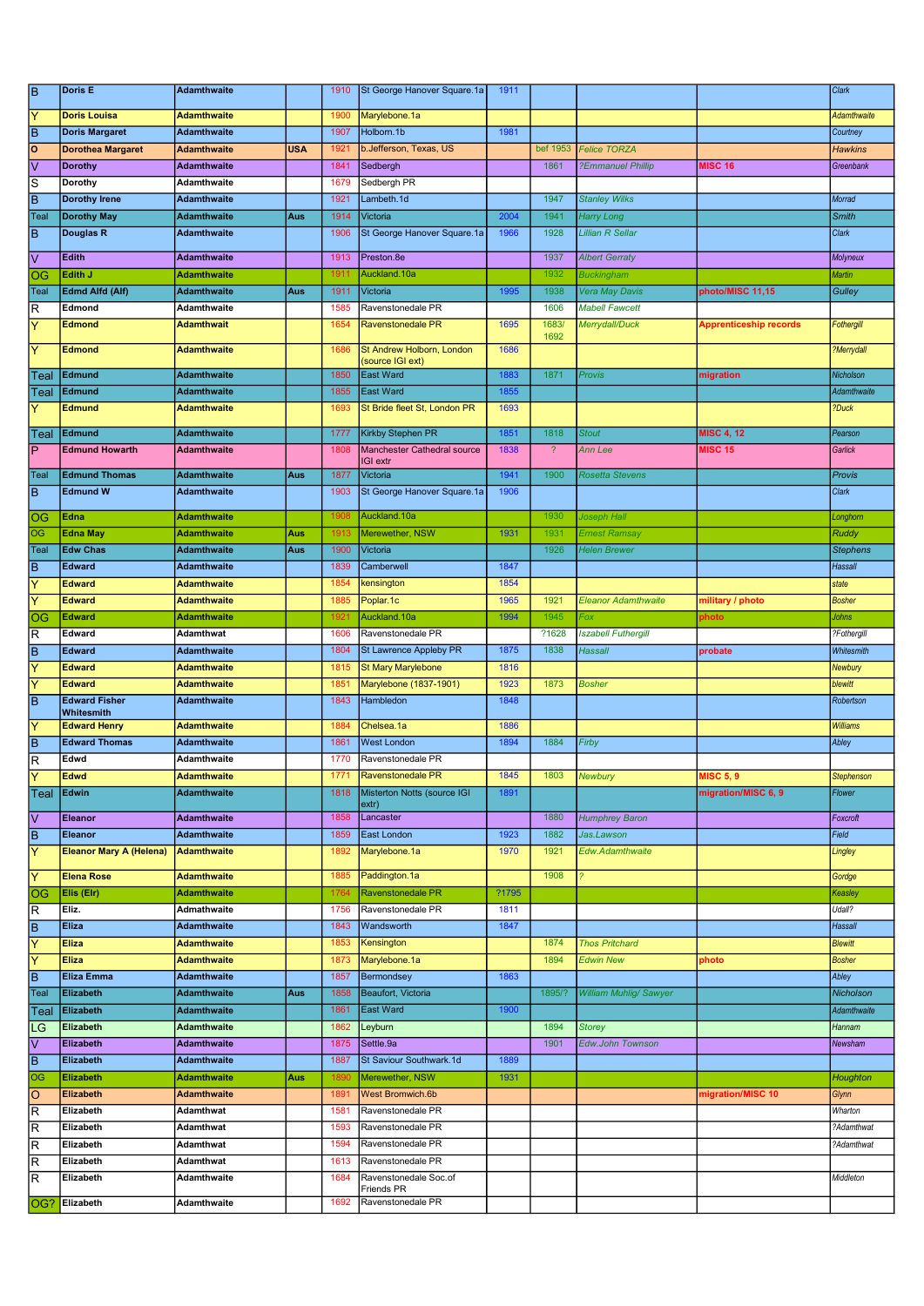| $\overline{\mathsf{B}}$ | Doris E                            | <b>Adamthwaite</b> |            | 1910 | St George Hanover Square.1a                    | 1911  |                          |                               |                               | Clark             |
|-------------------------|------------------------------------|--------------------|------------|------|------------------------------------------------|-------|--------------------------|-------------------------------|-------------------------------|-------------------|
| Ÿ                       | <b>Doris Louisa</b>                | <b>Adamthwaite</b> |            | 1900 | Marylebone.1a                                  |       |                          |                               |                               | Adamthwaite       |
| lв                      | <b>Doris Margaret</b>              | <b>Adamthwaite</b> |            | 1907 | Holborn.1b                                     | 1981  |                          |                               |                               | Courtney          |
| ᅙ                       | <b>Dorothea Margaret</b>           | <b>Adamthwaite</b> | <b>USA</b> | 1921 | b.Jefferson, Texas, US                         |       | bef 1953                 | <b>Felice TORZA</b>           |                               | <b>Hawkins</b>    |
| ⊽                       | <b>Dorothy</b>                     | <b>Adamthwaite</b> |            | 1841 | Sedbergh                                       |       | 1861                     | ?Emmanuel Phillip             | <b>MISC 16</b>                | Greenbank         |
| s                       | Dorothy                            | Adamthwaite        |            | 1679 | Sedbergh PR                                    |       |                          |                               |                               |                   |
| B                       | <b>Dorothy Irene</b>               | <b>Adamthwaite</b> |            | 1921 | Lambeth.1d                                     |       | 1947                     | <b>Stanley Wilks</b>          |                               | Morrad            |
| Teal                    | <b>Dorothy May</b>                 | <b>Adamthwaite</b> | Aus        | 1914 | Victoria                                       | 2004  | 1941                     | <b>Harry Long</b>             |                               | Smith             |
| ĪΒ                      | Douglas R                          | <b>Adamthwaite</b> |            | 1906 | St George Hanover Square.1a                    | 1966  | 1928                     | <b>Lillian R Sellar</b>       |                               | Clark             |
| Ιv                      | Edith                              | <b>Adamthwaite</b> |            | 1913 | Preston.8e                                     |       | 1937                     | <b>Albert Gerraty</b>         |                               | Molyneux          |
| OG                      | Edith J                            | <b>Adamthwaite</b> |            | 1911 | Auckland.10a                                   |       | 1932                     | <b>Buckingham</b>             |                               | <b>Martin</b>     |
| Teal                    | <b>Edmd Alfd (Alf)</b>             | <b>Adamthwaite</b> | Aus        | 1911 | Victoria                                       | 1995  | 1938                     | Vera May Davis                | photo/MISC 11,15              | <b>Gulley</b>     |
| R                       | Edmond                             | Adamthwaite        |            | 1585 | Ravenstonedale PR                              |       | 1606                     | <b>Mabell Fawcett</b>         |                               |                   |
| ΙY                      | <b>Edmond</b>                      | <b>Adamthwait</b>  |            | 1654 | Ravenstonedale PR                              | 1695  | 1683/                    | Merrydall/Duck                | <b>Apprenticeship records</b> | Fothergill        |
|                         |                                    |                    |            |      |                                                |       | 1692                     |                               |                               |                   |
| ΙY                      | <b>Edmond</b>                      | <b>Adamthwaite</b> |            | 1686 | St Andrew Holborn, London<br>(source IGI ext)  | 1686  |                          |                               |                               | ?Merrydall        |
| Teal                    | Edmund                             | <b>Adamthwaite</b> |            | 1850 | <b>East Ward</b>                               | 1883  | 1871                     | <b>Provis</b>                 | migration                     | Nicholson         |
| Teal                    | Edmund                             | <b>Adamthwaite</b> |            | 1855 | <b>East Ward</b>                               | 1855  |                          |                               |                               | Adamthwaite       |
| Y                       | <b>Edmund</b>                      | <b>Adamthwaite</b> |            | 1693 | St Bride fleet St, London PR                   | 1693  |                          |                               |                               | ?Duck             |
|                         |                                    |                    |            |      |                                                |       |                          |                               |                               |                   |
| ∣Teal                   | Edmund                             | <b>Adamthwaite</b> |            | 1777 | Kirkby Stephen PR                              | 1851  | 1818                     | <b>Stout</b>                  | <b>MISC 4, 12</b>             | Pearson           |
| lP                      | <b>Edmund Howarth</b>              | <b>Adamthwaite</b> |            | 1808 | Manchester Cathedral source<br><b>IGI</b> extr | 1838  | $\overline{\mathcal{L}}$ | Ann Lee                       | <b>MISC 15</b>                | Garlick           |
| Teal                    | <b>Edmund Thomas</b>               | <b>Adamthwaite</b> | Aus        | 1877 | Victoria                                       | 1941  | 1900                     | <b>Rosetta Stevens</b>        |                               | Provis            |
| lв                      | <b>Edmund W</b>                    | <b>Adamthwaite</b> |            | 1903 | St George Hanover Square.1a                    | 1906  |                          |                               |                               | Clark             |
|                         |                                    |                    |            |      |                                                |       |                          |                               |                               |                   |
| OG                      | Edna                               | <b>Adamthwaite</b> |            | 1908 | Auckland.10a                                   |       | 1930                     | Joseph Hall                   |                               | Longhom           |
| OG                      | <b>Edna May</b>                    | <b>Adamthwaite</b> | Aus        | 1913 | Merewether, NSW                                | 1931  | 1931                     | Ernest Ramsay                 |                               | <b>Ruddy</b>      |
| Teal                    | <b>Edw Chas</b>                    | <b>Adamthwaite</b> | Aus        | 1900 | Victoria                                       |       | 1926                     | <b>Helen Brewer</b>           |                               | <b>Stephens</b>   |
| lв                      | <b>Edward</b>                      | <b>Adamthwaite</b> |            | 1839 | Camberwell                                     | 1847  |                          |                               |                               | <b>Hassall</b>    |
| ΙY                      | <b>Edward</b>                      | <b>Adamthwaite</b> |            | 1854 | kensington                                     | 1854  |                          |                               |                               | state             |
| Ÿ                       | <b>Edward</b>                      | <b>Adamthwaite</b> |            | 1885 | Poplar.1c                                      | 1965  | 1921                     | <b>Eleanor Adamthwaite</b>    | military / photo              | <b>Bosher</b>     |
| OG                      | <b>Edward</b>                      | <b>Adamthwaite</b> |            | 1921 | Auckland.10a                                   | 1994  | 1945                     | Fox                           | photo                         | <b>Johns</b>      |
| R                       | Edward                             | Adamthwat          |            | 1606 | Ravenstonedale PR                              |       | ?1628                    | <b>Iszabell Futhergill</b>    |                               | ?Fothergill       |
| ΓB                      | <b>Edward</b>                      | <b>Adamthwaite</b> |            | 1804 | St Lawrence Appleby PR                         | 1875  | 1838                     | Hassall                       | probate                       | Whitesmith        |
| Y                       | <b>Edward</b>                      | <b>Adamthwaite</b> |            | 1815 | <b>St Mary Marylebone</b>                      | 1816  |                          |                               |                               | Newbury           |
| $\overline{\mathsf{Y}}$ | <b>Edward</b>                      | <b>Adamthwaite</b> |            | 1851 | Marylebone (1837-1901)                         | 1923  | 1873                     | <b>Bosher</b>                 |                               | blewitt           |
| Ē                       | <b>Edward Fisher</b><br>Whitesmith | <b>Adamthwaite</b> |            | 1843 | Hambledon                                      | 1848  |                          |                               |                               | Robertson         |
| $\overline{\mathsf{Y}}$ | <b>Edward Henry</b>                | <b>Adamthwaite</b> |            | 1884 | Chelsea.1a                                     | 1886  |                          |                               |                               | <b>Williams</b>   |
| ĪΒ                      | <b>Edward Thomas</b>               | <b>Adamthwaite</b> |            | 1861 | <b>West London</b>                             | 1894  | 1884                     | Firby                         |                               | Abley             |
| $\overline{\mathsf{R}}$ | Edwd                               | Adamthwaite        |            | 1770 | Ravenstonedale PR                              |       |                          |                               |                               |                   |
| Ιv                      | <b>Edwd</b>                        | <b>Adamthwaite</b> |            | 1771 | Ravenstonedale PR                              | 1845  | 1803                     | Newbury                       | <b>MISC 5, 9</b>              | <b>Stephenson</b> |
| Teal                    | Edwin                              | <b>Adamthwaite</b> |            | 1818 | Misterton Notts (source IGI                    | 1891  |                          |                               | migration/MISC 6, 9           | Flower            |
| l٧                      | <b>Eleanor</b>                     | <b>Adamthwaite</b> |            | 1858 | extr)<br>Lancaster                             |       | 1880                     | <b>Humphrey Baron</b>         |                               | Foxcroft          |
| B                       | Eleanor                            | <b>Adamthwaite</b> |            | 1859 | East London                                    | 1923  | 1882                     | Jas.Lawson                    |                               | Field             |
| ΓY                      | <b>Eleanor Mary A (Helena)</b>     | <b>Adamthwaite</b> |            | 1892 | Marylebone.1a                                  | 1970  | 1921                     | Edw.Adamthwaite               |                               | Lingley           |
|                         |                                    |                    |            |      |                                                |       |                          |                               |                               |                   |
| ΙY                      | <b>Elena Rose</b>                  | <b>Adamthwaite</b> |            | 1885 | Paddington.1a                                  |       | 1908                     |                               |                               | Gordge            |
| OG                      | Elis (Elr)                         | <b>Adamthwaite</b> |            | 1764 | Ravenstonedale PR                              | ?1795 |                          |                               |                               | Keasley           |
| R                       | Eliz.                              | Admathwaite        |            | 1756 | Ravenstonedale PR                              | 1811  |                          |                               |                               | Udall?            |
| Ē                       | <b>Eliza</b>                       | <b>Adamthwaite</b> |            | 1843 | Wandsworth                                     | 1847  |                          |                               |                               | <b>Hassall</b>    |
| ΙY                      | <b>Eliza</b>                       | <b>Adamthwaite</b> |            | 1853 | Kensington                                     |       | 1874                     | <b>Thos Pritchard</b>         |                               | <b>Blewitt</b>    |
| Y                       | <b>Eliza</b>                       | <b>Adamthwaite</b> |            | 1873 | Marylebone.1a                                  |       | 1894                     | <b>Edwin New</b>              | photo                         | <b>Bosher</b>     |
| ĪВ                      | <b>Eliza Emma</b>                  | <b>Adamthwaite</b> |            | 1857 | Bermondsey                                     | 1863  |                          |                               |                               | Abley             |
| Teal                    | <b>Elizabeth</b>                   | <b>Adamthwaite</b> | Aus        | 1858 | Beaufort, Victoria                             |       | 1895/?                   | <b>William Muhlig/ Sawyer</b> |                               | Nicholson         |
| Teal                    | Elizabeth                          | <b>Adamthwaite</b> |            | 1861 | <b>East Ward</b>                               | 1900  |                          |                               |                               | Adamthwaite       |
| LG                      | Elizabeth                          | Adamthwaite        |            | 1862 | Leyburn                                        |       | 1894                     | <b>Storey</b>                 |                               | Hannam            |
| l٧                      | Elizabeth                          | <b>Adamthwaite</b> |            | 1875 | Settle.9a                                      |       | 1901                     | <b>Edw.John Townson</b>       |                               | Newsham           |
| ĪВ                      | Elizabeth                          | <b>Adamthwaite</b> |            | 1887 | St Saviour Southwark.1d                        | 1889  |                          |                               |                               |                   |
| OG                      | Elizabeth                          | <b>Adamthwaite</b> | Aus        | 1890 | Merewether, NSW                                | 1931  |                          |                               |                               | Houghton          |
| lo                      | <b>Elizabeth</b>                   | <b>Adamthwaite</b> |            | 1891 | West Bromwich.6b                               |       |                          |                               | migration/MISC 10             | Glynn             |
| R                       | Elizabeth                          | Adamthwat          |            | 1581 | Ravenstonedale PR                              |       |                          |                               |                               | Wharton           |
| R                       | Elizabeth                          | Adamthwat          |            | 1593 | Ravenstonedale PR                              |       |                          |                               |                               | ?Adamthwat        |
| $\overline{R}$          | Elizabeth                          | Adamthwat          |            | 1594 | Ravenstonedale PR                              |       |                          |                               |                               | ?Adamthwat        |
| lR                      | Elizabeth                          | Adamthwat          |            | 1613 | Ravenstonedale PR                              |       |                          |                               |                               |                   |
| R                       | Elizabeth                          | Adamthwaite        |            | 1684 | Ravenstonedale Soc.of<br>Friends PR            |       |                          |                               |                               | Middleton         |
| OG?                     | Elizabeth                          | Adamthwaite        |            | 1692 | Ravenstonedale PR                              |       |                          |                               |                               |                   |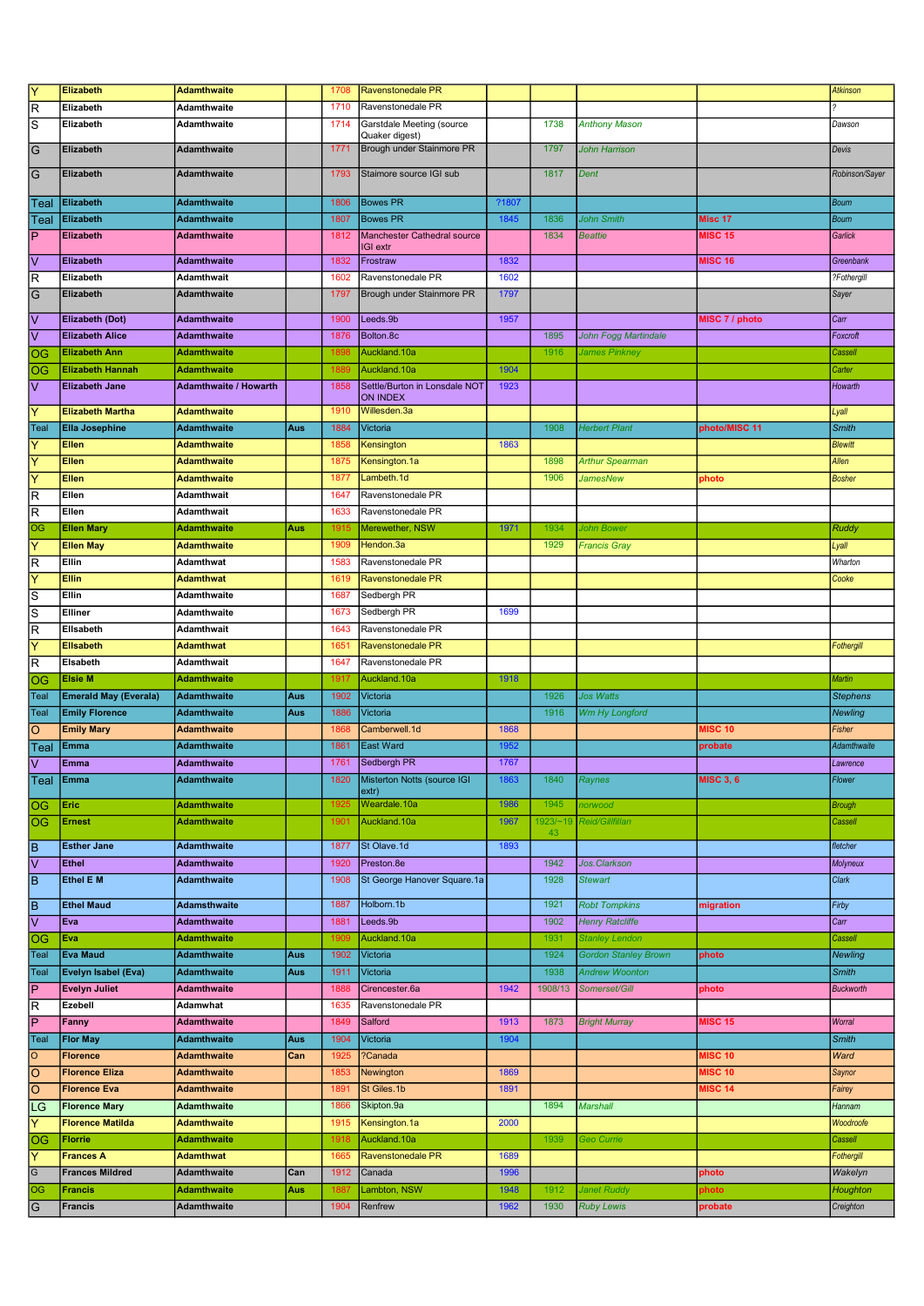| $\overline{\mathsf{Y}}$                   | <b>Elizabeth</b>             | <b>Adamthwaite</b>           |     | 1708 | Ravenstonedale PR             |       |          |                             |                  | <b>Atkinson</b>  |
|-------------------------------------------|------------------------------|------------------------------|-----|------|-------------------------------|-------|----------|-----------------------------|------------------|------------------|
| $\overline{\mathsf{R}}$                   | Elizabeth                    | Adamthwaite                  |     | 1710 | Ravenstonedale PR             |       |          |                             |                  |                  |
| s                                         | Elizabeth                    | Adamthwaite                  |     | 1714 | Garstdale Meeting (source     |       | 1738     | <b>Anthony Mason</b>        |                  | Dawson           |
|                                           |                              |                              |     |      | Quaker digest)                |       |          |                             |                  |                  |
| $\overline{G}$                            | Elizabeth                    | <b>Adamthwaite</b>           |     | 1771 | Brough under Stainmore PR     |       | 1797     | John Harrison               |                  | Devis            |
| $\overline{G}$                            | Elizabeth                    | <b>Adamthwaite</b>           |     | 1793 | Staimore source IGI sub       |       | 1817     | Dent                        |                  | Robinson/Sayer   |
|                                           |                              |                              |     |      |                               |       |          |                             |                  |                  |
| Teal                                      | Elizabeth                    | <b>Adamthwaite</b>           |     | 1806 | <b>Bowes PR</b>               | ?1807 |          |                             |                  | <b>Bourn</b>     |
| Teal                                      | Elizabeth                    | Adamthwaite                  |     | 1807 | <b>Bowes PR</b>               | 1845  | 1836     | <b>John Smith</b>           | Misc 17          | <b>Bourn</b>     |
| $\overline{\mathsf{P}}$                   | <b>Elizabeth</b>             | <b>Adamthwaite</b>           |     | 1812 | Manchester Cathedral source   |       | 1834     | <b>Beattie</b>              | <b>MISC 15</b>   | Garlick          |
|                                           |                              |                              |     |      | IGI extr                      |       |          |                             |                  |                  |
| $\overline{\vee}$                         | <b>Elizabeth</b>             | <b>Adamthwaite</b>           |     | 1832 | Frostraw                      | 1832  |          |                             | <b>MISC 16</b>   | Greenbank        |
| $\overline{\mathsf{R}}$                   | Elizabeth                    | Adamthwait                   |     | 1602 | Ravenstonedale PR             | 1602  |          |                             |                  | ?Fothergill      |
| $\overline{G}$                            | <b>Elizabeth</b>             | <b>Adamthwaite</b>           |     | 1797 | Brough under Stainmore PR     | 1797  |          |                             |                  | Sayer            |
| ⊽                                         | <b>Elizabeth (Dot)</b>       | <b>Adamthwaite</b>           |     | 1900 | Leeds.9b                      | 1957  |          |                             | MISC 7 / photo   | Carr             |
| $\overline{\vee}$                         | <b>Elizabeth Alice</b>       | <b>Adamthwaite</b>           |     | 1876 | Bolton.8c                     |       | 1895     | <b>John Fogg Martindale</b> |                  | Foxcroft         |
| log                                       | <b>Elizabeth Ann</b>         | <b>Adamthwaite</b>           |     | 1898 | Auckland.10a                  |       | 1916     | James Pinkney               |                  | Cassell          |
| OG                                        | <b>Elizabeth Hannah</b>      | <b>Adamthwaite</b>           |     | 1889 | Auckland.10a                  | 1904  |          |                             |                  | Carter           |
| $\overline{\mathsf{v}}$                   | <b>Elizabeth Jane</b>        | <b>Adamthwaite / Howarth</b> |     | 1858 | Settle/Burton in Lonsdale NOT | 1923  |          |                             |                  | Howarth          |
|                                           |                              |                              |     |      | ON INDEX                      |       |          |                             |                  |                  |
| $\overline{\mathsf{Y}}$                   | <b>Elizabeth Martha</b>      | <b>Adamthwaite</b>           |     | 1910 | Willesden.3a                  |       |          |                             |                  | Lyall            |
| Teal                                      | <b>Ella Josephine</b>        | Adamthwaite                  | Aus | 1884 | Victoria                      |       | 1908     | <b>Herbert Plant</b>        | photo/MISC 11    | <b>Smith</b>     |
| ΙY                                        | Ellen                        | Adamthwaite                  |     | 1858 | Kensington                    | 1863  |          |                             |                  | <b>Blewitt</b>   |
| $\overline{\mathsf{Y}}$                   | Ellen                        | Adamthwaite                  |     | 1875 | Kensington.1a                 |       | 1898     | <b>Arthur Spearman</b>      |                  | Allen            |
| $\overline{Y}$                            | Ellen                        | <b>Adamthwaite</b>           |     | 1877 | Lambeth.1d                    |       | 1906     | JamesNew                    | photo            | <b>Bosher</b>    |
| $\overline{\mathsf{R}}$                   | Ellen                        | Adamthwait                   |     | 1647 | Ravenstonedale PR             |       |          |                             |                  |                  |
| $\overline{\mathsf{R}}$                   | Ellen                        | Adamthwait                   |     | 1633 | Ravenstonedale PR             |       |          |                             |                  |                  |
| OG                                        | <b>Ellen Mary</b>            | Adamthwaite                  | Aus | 1915 | Merewether, NSW               | 1971  | 1934     | John Bower                  |                  | Ruddy            |
| $\overline{Y}$                            | <b>Ellen May</b>             | Adamthwaite                  |     | 1909 | Hendon.3a                     |       | 1929     | <b>Francis Gray</b>         |                  | Lyall            |
| $\overline{\mathsf{R}}$                   | Ellin                        | Adamthwat                    |     | 1583 | Ravenstonedale PR             |       |          |                             |                  | Wharton          |
| $\overline{\mathsf{Y}}$                   | <b>Ellin</b>                 | <b>Adamthwat</b>             |     | 1619 | Ravenstonedale PR             |       |          |                             |                  | Cooke            |
| $\overline{s}$                            | Ellin                        | Adamthwaite                  |     | 1687 | Sedbergh PR                   |       |          |                             |                  |                  |
|                                           | Elliner                      |                              |     | 1673 | Sedbergh PR                   | 1699  |          |                             |                  |                  |
| $\overline{s}$<br>$\overline{\mathsf{R}}$ | Ellsabeth                    | Adamthwaite                  |     | 1643 | Ravenstonedale PR             |       |          |                             |                  |                  |
| $\overline{Y}$                            |                              | Adamthwait                   |     |      |                               |       |          |                             |                  |                  |
|                                           | <b>Ellsabeth</b>             | <b>Adamthwat</b>             |     | 1651 | <b>Ravenstonedale PR</b>      |       |          |                             |                  | Fothergill       |
| $\overline{\mathsf{R}}$                   | Elsabeth                     | Adamthwait                   |     | 1647 | Ravenstonedale PR             |       |          |                             |                  |                  |
| <b>OG</b>                                 | <b>Elsie M</b>               | <b>Adamthwaite</b>           |     | 1917 | Auckland.10a                  | 1918  |          |                             |                  | Martin           |
| Teal                                      | <b>Emerald May (Everala)</b> | <b>Adamthwaite</b>           | Aus | 1902 | Victoria                      |       | 1926     | <b>Jos Watts</b>            |                  | <b>Stephens</b>  |
| Teal                                      | <b>Emily Florence</b>        | <b>Adamthwaite</b>           | Aus | 1886 | Victoria                      |       | 1916     | Wm Hy Longford              |                  | <b>Newling</b>   |
| $\overline{\circ}$                        | <b>Emily Mary</b>            | <b>Adamthwaite</b>           |     | 1868 | Camberwell.1d                 | 1868  |          |                             | <b>MISC 10</b>   | Fisher           |
| Teal                                      | Emma                         | Adamthwaite                  |     | 1861 | East Ward                     | 1952  |          |                             | probate          | Adamthwaite      |
| $\overline{\mathsf{v}}$                   | Emma                         | <b>Adamthwaite</b>           |     | 1761 | Sedbergh PR                   | 1767  |          |                             |                  | Lawrence         |
| Teal                                      | <b>Emma</b>                  | Adamthwaite                  |     | 1820 | Misterton Notts (source IGI   | 1863  | 1840     | Raynes                      | <b>MISC 3, 6</b> | Flower           |
| $\overline{OG}$                           | Eric                         | <b>Adamthwaite</b>           |     | 1925 | extr)<br>Weardale.10a         | 1986  | 1945     | norwood                     |                  | <b>Brough</b>    |
| $\overline{\text{log}}$                   | <b>Ernest</b>                | <b>Adamthwaite</b>           |     | 1901 | Auckland.10a                  | 1967  | 1923/~19 | Reid/Gillfillan             |                  | Cassell          |
|                                           |                              |                              |     |      |                               |       | 43       |                             |                  |                  |
| $\overline{\mathsf{B}}$                   | <b>Esther Jane</b>           | <b>Adamthwaite</b>           |     | 1877 | St Olave.1d                   | 1893  |          |                             |                  | fletcher         |
| ⊽                                         | Ethel                        | Adamthwaite                  |     | 1920 | Preston.8e                    |       | 1942     | Jos. Clarkson               |                  | <b>Molyneux</b>  |
| Ē                                         | Ethel E M                    | <b>Adamthwaite</b>           |     | 1908 | St George Hanover Square.1a   |       | 1928     | <b>Stewart</b>              |                  | Clark            |
|                                           |                              |                              |     |      |                               |       |          |                             |                  |                  |
| $\overline{\mathsf{B}}$                   | <b>Ethel Maud</b>            | <b>Adamsthwaite</b>          |     | 1887 | Holborn.1b                    |       | 1921     | <b>Robt Tompkins</b>        | migration        | Firby            |
| $\overline{\vee}$                         | Eva                          | <b>Adamthwaite</b>           |     | 1881 | Leeds.9b                      |       | 1902     | <b>Henry Ratcliffe</b>      |                  | Carr             |
| <b>OG</b>                                 | Eva                          | <b>Adamthwaite</b>           |     | 1909 | Auckland.10a                  |       | 1931     | <b>Stanley Lendon</b>       |                  | Cassell          |
| Teal                                      | <b>Eva Maud</b>              | <b>Adamthwaite</b>           | Aus | 1902 | Victoria                      |       | 1924     | <b>Gordon Stanley Brown</b> | photo            | <b>Newling</b>   |
| Teal                                      | Evelyn Isabel (Eva)          | <b>Adamthwaite</b>           | Aus | 1911 | Victoria                      |       | 1938     | <b>Andrew Woonton</b>       |                  | <b>Smith</b>     |
| $\overline{P}$                            | <b>Evelyn Juliet</b>         | <b>Adamthwaite</b>           |     | 1888 | Cirencester.6a                | 1942  | 1908/13  | Somerset/Gill               | photo            | <b>Buckworth</b> |
| $\overline{\mathsf{R}}$                   | Ezebell                      | Adamwhat                     |     | 1635 | Ravenstonedale PR             |       |          |                             |                  |                  |
| $\overline{\mathsf{P}}$                   | Fanny                        | <b>Adamthwaite</b>           |     | 1849 | Salford                       | 1913  | 1873     | <b>Bright Murray</b>        | <b>MISC 15</b>   | Worral           |
| Teal                                      | <b>Flor May</b>              | <b>Adamthwaite</b>           | Aus | 1904 | Victoria                      | 1904  |          |                             |                  | <b>Smith</b>     |
| $\overline{\circ}$                        | <b>Florence</b>              | <b>Adamthwaite</b>           | Can | 1925 | ?Canada                       |       |          |                             | <b>MISC 10</b>   | Ward             |
| $\overline{\circ}$                        | <b>Florence Eliza</b>        | <b>Adamthwaite</b>           |     | 1853 | Newington                     | 1869  |          |                             | <b>MISC 10</b>   | Saynor           |
| $\overline{\circ}$                        | <b>Florence Eva</b>          | <b>Adamthwaite</b>           |     | 1891 | St Giles.1b                   | 1891  |          |                             | <b>MISC 14</b>   | Fairey           |
| LG                                        | <b>Florence Mary</b>         | Adamthwaite                  |     | 1866 | Skipton.9a                    |       | 1894     | <b>Marshall</b>             |                  | Hannam           |
| $\overline{\mathsf{Y}}$                   | <b>Florence Matilda</b>      | <b>Adamthwaite</b>           |     | 1915 | Kensington.1a                 | 2000  |          |                             |                  | Woodroofe        |
| $\overline{\circ}$                        | <b>Florrie</b>               | <b>Adamthwaite</b>           |     | 1918 | Auckland.10a                  |       | 1939     | Geo Currie                  |                  | Cassell          |
| $\overline{\mathsf{Y}}$                   | <b>Frances A</b>             | <b>Adamthwat</b>             |     | 1665 | Ravenstonedale PR             | 1689  |          |                             |                  | Fothergill       |
| $\overline{G}$                            | <b>Frances Mildred</b>       | <b>Adamthwaite</b>           | Can | 1912 | Canada                        | 1996  |          |                             | photo            | Wakelyn          |
| $\overline{\circ}$                        | <b>Francis</b>               | <b>Adamthwaite</b>           | Aus | 1887 | Lambton, NSW                  | 1948  | 1912     | Janet Ruddy                 | photo            | Houghton         |
| $\overline{G}$                            | <b>Francis</b>               | Adamthwaite                  |     | 1904 | Renfrew                       | 1962  | 1930     | <b>Ruby Lewis</b>           | probate          | Creighton        |
|                                           |                              |                              |     |      |                               |       |          |                             |                  |                  |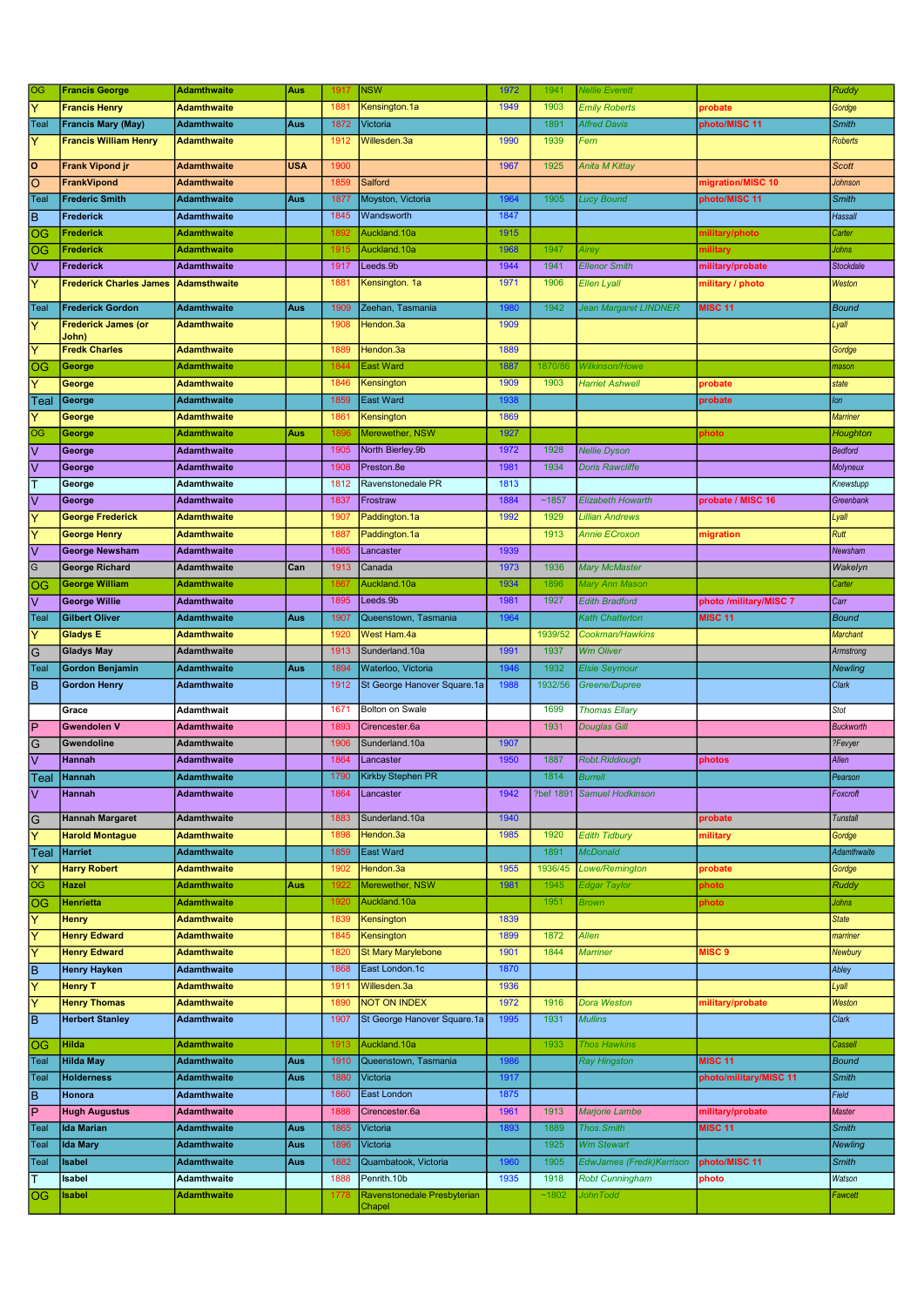| Y<br>1949<br>1903<br><b>Francis Henry</b><br>1881<br>Kensington.1a<br><b>Emily Roberts</b><br><b>Adamthwaite</b><br>probate<br>Gordge<br><b>Francis Mary (May)</b><br>1872<br>1891<br><b>Smith</b><br>Teal<br><b>Adamthwaite</b><br>Aus<br>Victoria<br><b>Alfred Davis</b><br>photo/MISC 11<br>ΙY<br><b>Francis William Henry</b><br>1990<br>1939<br><b>Adamthwaite</b><br>1912<br>Willesden.3a<br>Fern<br><b>Roberts</b><br>١o<br><b>USA</b><br>1900<br>1967<br>1925<br><b>Frank Vipond ir</b><br><b>Adamthwaite</b><br>Anita M Kittay<br><b>Scott</b><br>$\overline{\circ}$<br>Salford<br>1859<br>migration/MISC 10<br>FrankVipond<br><b>Adamthwaite</b><br>Johnson<br>1905<br>Teal<br>1964<br><b>Frederic Smith</b><br><b>Adamthwaite</b><br>Aus<br>1877<br>Moyston, Victoria<br><b>Lucy Bound</b><br>photo/MISC 11<br><b>Smith</b><br>ΓB<br>1847<br>Frederick<br><b>Adamthwaite</b><br>1845<br>Wandsworth<br>Hassall<br>OG<br>1915<br><b>Frederick</b><br><b>Adamthwaite</b><br>Auckland.10a<br>1892<br>military/photo<br>Carter<br>1947<br>OG<br>1915<br>Auckland.10a<br>1968<br><b>Frederick</b><br>Airey<br>military<br>Johns<br><b>Adamthwaite</b><br>l٧<br>1944<br>1941<br>1917<br>Leeds.9b<br><b>Ellenor Smith</b><br>military/probate<br>Frederick<br><b>Adamthwaite</b><br>Stockdale<br>1971<br>1906<br>Ÿ<br>1881<br>Kensington. 1a<br><b>Ellen Lyall</b><br><b>Frederick Charles James</b><br><b>Adamsthwaite</b><br>military / photo<br>Weston<br>1942<br><b>MISC 11</b><br>Aus<br>1980<br>Jean Margaret LINDNER<br>Teal<br><b>Frederick Gordon</b><br><b>Adamthwaite</b><br>1909<br>Zeehan, Tasmania<br><b>Bound</b><br>Ÿ<br>1909<br><b>Frederick James (or</b><br>1908<br>Lyall<br><b>Adamthwaite</b><br>Hendon.3a<br>John)<br>Y<br><b>Fredk Charles</b><br>1889<br>Hendon.3a<br><b>Adamthwaite</b><br>1889<br>Gordge<br>1844<br><b>East Ward</b><br>1887<br>1870/86<br>Wilkinson/Howe<br>OG<br>George<br><b>Adamthwaite</b><br>mason<br>Ÿ<br>1909<br>George<br><b>Adamthwaite</b><br>1846<br>Kensington<br>1903<br><b>Harriet Ashwell</b><br>probate<br>state<br>1938<br>1859<br><b>East Ward</b><br>George<br><b>Adamthwaite</b><br>probate<br>lon<br> Teal<br>1869<br>Ÿ<br>1861<br>Kensington<br>George<br><b>Adamthwaite</b><br>Marriner<br>OG<br>Merewether, NSW<br>1927<br>Aus<br>George<br>Adamthwaite<br>1896<br>ohoto<br>Houghton<br>⊽<br>1972<br>1928<br>George<br>1905<br>North Bierley.9b<br><b>Nellie Dyson</b><br><b>Bedford</b><br>Adamthwaite<br>$\overline{\vee}$<br>1981<br>1934<br><b>Adamthwaite</b><br>1908<br>Preston.8e<br><b>Doris Rawcliffe</b><br>Molyneux<br>George<br>lт<br>Ravenstonedale PR<br>1813<br>1812<br><b>Adamthwaite</b><br>George<br>Knewstupp<br>lv<br>1884<br>~1857<br>1837<br>Frostraw<br>probate / MISC 16<br>George<br><b>Elizabeth Howarth</b><br>Greenbank<br><b>Adamthwaite</b><br>Ÿ<br>1992<br>1929<br><b>George Frederick</b><br><b>Adamthwaite</b><br>1907<br>Paddington.1a<br>Lillian Andrews<br>Lyall<br>Y<br>1913<br>Rutt<br>1887<br>Paddington.1a<br><b>Annie ECroxon</b><br><b>George Henry</b><br><b>Adamthwaite</b><br>migration<br>⊽<br>1939<br><b>George Newsham</b><br><b>Adamthwaite</b><br>1865<br>Lancaster<br>Newsham<br>G<br>1973<br><b>George Richard</b><br>Can<br>1913<br>1936<br><b>Mary McMaster</b><br><b>Adamthwaite</b><br>Canada<br>Wakelyn<br>1934<br>1867<br>Auckland.10a<br>1896<br>OG<br><b>George William</b><br>Mary Ann Mason<br>Carter<br><b>Adamthwaite</b><br>l٧<br>1981<br>1927<br><b>Edith Bradford</b><br>photo /military/MISC 7<br><b>George Willie</b><br>1895<br>Leeds.9b<br>Carr<br><b>Adamthwaite</b><br><b>MISC 11</b><br><b>Gilbert Oliver</b><br>1907<br>1964<br>Teal<br>Aus<br>Queenstown, Tasmania<br><b>Kath Chatterton</b><br><b>Bound</b><br><b>Adamthwaite</b><br>Ÿ<br>1939/52<br><b>Gladys E</b><br><b>Adamthwaite</b><br>1920<br>West Ham.4a<br>Cookman/Hawkins<br><b>Marchant</b><br>1991<br> G<br>1913<br>Sunderland.10a<br>1937<br><b>Wm Oliver</b><br><b>Gladys May</b><br>Adamthwaite<br>Armstrong<br>1932<br><b>Gordon Benjamin</b><br>Aus<br>1894<br>Waterloo, Victoria<br>1946<br><b>Elsie Seymour</b><br>Teal<br><b>Adamthwaite</b><br><b>Newling</b><br>lв<br>St George Hanover Square.1a<br>1988<br>1932/56<br>1912<br><b>Gordon Henry</b><br>Greene/Dupree<br><b>Clark</b><br><b>Adamthwaite</b><br>1699<br>Grace<br>Adamthwait<br>1671<br><b>Bolton on Swale</b><br><b>Thomas Ellary</b><br>Stot<br>İΡ<br><b>Gwendolen V</b><br>1931<br><b>Douglas Gill</b><br><b>Adamthwaite</b><br>1893<br>Cirencester.6a<br><b>Buckworth</b><br>$\overline{G}$<br>1907<br>1906<br>Gwendoline<br>Sunderland, 10a<br>?Fevyer<br>Adamthwaite<br>$\overline{\vee}$<br>1950<br>Allen<br><b>Hannah</b><br><b>Adamthwaite</b><br>1864<br>Lancaster<br>1887<br><b>Robt.Riddiough</b><br>photos<br>∣leal<br> Hannan<br>Adamthwaite<br>1790<br>Kirkby Stephen PR<br>1814.<br>Burrell<br><i>-earson</i><br>$\overline{\vee}$<br>?bef 1891 Samuel Hodkinson<br>Hannah<br><b>Adamthwaite</b><br>1864<br>Lancaster<br>1942<br>Foxcroft<br>$\overline{G}$<br>Sunderland.10a<br>1940<br><b>Hannah Margaret</b><br><b>Adamthwaite</b><br>1883<br>probate<br><b>Tunstall</b><br>ΙY<br><b>Harold Montague</b><br><b>Adamthwaite</b><br>Hendon.3a<br>1985<br>1920<br><b>Edith Tidbury</b><br>military<br>1898<br>Gordge<br>East Ward<br>1891<br><b>Harriet</b><br><b>Adamthwaite</b><br>1859<br><b>McDonald</b><br>Adamthwaite<br>Teal<br>Ÿ<br>1902<br>Hendon.3a<br>1955<br>1936/45<br>Lowe/Remington<br>Gordge<br><b>Harry Robert</b><br><b>Adamthwaite</b><br>probate<br>OG<br>Merewether, NSW<br>1981<br>1945<br>Ruddy<br><b>Hazel</b><br><b>Adamthwaite</b><br>Aus<br>1922<br>Edgar Taylor<br>photo<br>OG<br><b>Henrietta</b><br><b>Adamthwaite</b><br>1920<br>Auckland.10a<br>1951<br>photo<br>Johns<br><b>Brown</b><br>Ÿ<br>Kensington<br>1839<br><b>Henry</b><br><b>Adamthwaite</b><br>1839<br><b>State</b><br>ΙY<br><b>Henry Edward</b><br>1845<br>Kensington<br>1899<br>1872<br><b>Allen</b><br><b>Adamthwaite</b><br>marriner<br>Y<br>1901<br><b>MISC 9</b><br><b>Henry Edward</b><br>1820<br><b>St Mary Marylebone</b><br>1844<br><b>Adamthwaite</b><br><b>Marriner</b><br>Newbury<br>ĪВ<br>East London.1c<br>1870<br><b>Henry Hayken</b><br><b>Adamthwaite</b><br>1868<br>Abley<br>$\overline{\mathsf{Y}}$<br>1936<br><b>Henry T</b><br><b>Adamthwaite</b><br>1911<br>Willesden.3a<br>Lyall<br>ΙY<br><b>NOT ON INDEX</b><br>1972<br><b>Henry Thomas</b><br>1916<br>Dora Weston<br>military/probate<br><b>Adamthwaite</b><br>1890<br>Weston<br>lв<br>St George Hanover Square.1a<br>1931<br>Clark<br><b>Herbert Stanley</b><br><b>Adamthwaite</b><br>1907<br>1995<br><b>Mullins</b><br>Auckland.10a<br>1933<br><b>Thos Hawkins</b><br>OG<br>Hilda<br><b>Adamthwaite</b><br>1913<br>Cassell<br><b>Hilda May</b><br>1986<br><b>MISC 11</b><br><b>Adamthwaite</b><br>Aus<br>1910<br>Queenstown, Tasmania<br><b>Ray Hingston</b><br><b>Bound</b><br>Teal<br>1880<br>1917<br>photo/military/MISC 11<br>Teal<br><b>Holderness</b><br><b>Adamthwaite</b><br>Aus<br>Victoria<br><b>Smith</b><br>lв<br>Field<br><b>Adamthwaite</b><br>1860<br>East London<br>1875<br>Honora<br>ΙP<br>1961<br><b>Hugh Augustus</b><br>1888<br>1913<br><b>Marjorie Lambe</b><br>military/probate<br><b>Master</b><br><b>Adamthwaite</b><br>Cirencester.6a<br><b>MISC 11</b><br><b>Ida Marian</b><br>Victoria<br>1893<br>1889<br><b>Thos. Smith</b><br><b>Smith</b><br>Teal<br><b>Adamthwaite</b><br>Aus<br>1865<br>1925<br><b>Ida Mary</b><br><b>Adamthwaite</b><br>1896<br>Victoria<br><b>Wm Stewart</b><br><b>Newling</b><br>Teal<br>Aus<br>1882<br>Quambatook, Victoria<br>1960<br>1905<br>EdwJames (Fredk) Kerrison<br>photo/MISC 11<br>Teal<br>Isabel<br><b>Adamthwaite</b><br>Aus<br><b>Smith</b><br>Penrith.10b<br>1935<br>T<br>Adamthwaite<br>1888<br>1918<br><b>Robt Cunningham</b><br>photo<br>Watson<br>Isabel<br>Ravenstonedale Presbyterian<br>~1802<br><b>JohnTodd</b><br>OG<br><b>Isabel</b><br><b>Adamthwaite</b><br>Fawcett<br>1778 | OG | <b>Francis George</b> | <b>Adamthwaite</b> | Aus | 1917 | <b>NSW</b> | 1972 | 1941 | <b>Vellie Everett</b> | Ruddy |
|------------------------------------------------------------------------------------------------------------------------------------------------------------------------------------------------------------------------------------------------------------------------------------------------------------------------------------------------------------------------------------------------------------------------------------------------------------------------------------------------------------------------------------------------------------------------------------------------------------------------------------------------------------------------------------------------------------------------------------------------------------------------------------------------------------------------------------------------------------------------------------------------------------------------------------------------------------------------------------------------------------------------------------------------------------------------------------------------------------------------------------------------------------------------------------------------------------------------------------------------------------------------------------------------------------------------------------------------------------------------------------------------------------------------------------------------------------------------------------------------------------------------------------------------------------------------------------------------------------------------------------------------------------------------------------------------------------------------------------------------------------------------------------------------------------------------------------------------------------------------------------------------------------------------------------------------------------------------------------------------------------------------------------------------------------------------------------------------------------------------------------------------------------------------------------------------------------------------------------------------------------------------------------------------------------------------------------------------------------------------------------------------------------------------------------------------------------------------------------------------------------------------------------------------------------------------------------------------------------------------------------------------------------------------------------------------------------------------------------------------------------------------------------------------------------------------------------------------------------------------------------------------------------------------------------------------------------------------------------------------------------------------------------------------------------------------------------------------------------------------------------------------------------------------------------------------------------------------------------------------------------------------------------------------------------------------------------------------------------------------------------------------------------------------------------------------------------------------------------------------------------------------------------------------------------------------------------------------------------------------------------------------------------------------------------------------------------------------------------------------------------------------------------------------------------------------------------------------------------------------------------------------------------------------------------------------------------------------------------------------------------------------------------------------------------------------------------------------------------------------------------------------------------------------------------------------------------------------------------------------------------------------------------------------------------------------------------------------------------------------------------------------------------------------------------------------------------------------------------------------------------------------------------------------------------------------------------------------------------------------------------------------------------------------------------------------------------------------------------------------------------------------------------------------------------------------------------------------------------------------------------------------------------------------------------------------------------------------------------------------------------------------------------------------------------------------------------------------------------------------------------------------------------------------------------------------------------------------------------------------------------------------------------------------------------------------------------------------------------------------------------------------------------------------------------------------------------------------------------------------------------------------------------------------------------------------------------------------------------------------------------------------------------------------------------------------------------------------------------------------------------------------------------------------------------------------------------------------------------------------------------------------------------------------------------------------------------------------------------------------------------------------------------------------------------------------------------------------------------------------------------------------------------------------------------------------------------------------------------------------------------------------------------------------------------------------------------------------------------------------------------------------------------------------------------------------------------------------------------------------------------------------------------------------------------------------------------------------------------------------------------------------------------------------------------------------------------------------------------------------------------------------------------------------------------------------------------------------------------------------------------------------------------------------------------------------------------------------------------------------------------------------------------------------------------------------------------------------------------------------------------------------------------------------------------------------------------------------------------------------------------------------------------------------------------------------------------------------------------------------------------------------------------------------------------------------------------------------------------------------------------------------------------------------------------------------------------------------------------------------------------------------------------------------------------------------------------------------------------------------------------------------------------------------------------------------------------------------------------------------------------------------------------------------------------------------------------------------------------------------------------------------------------------|----|-----------------------|--------------------|-----|------|------------|------|------|-----------------------|-------|
|                                                                                                                                                                                                                                                                                                                                                                                                                                                                                                                                                                                                                                                                                                                                                                                                                                                                                                                                                                                                                                                                                                                                                                                                                                                                                                                                                                                                                                                                                                                                                                                                                                                                                                                                                                                                                                                                                                                                                                                                                                                                                                                                                                                                                                                                                                                                                                                                                                                                                                                                                                                                                                                                                                                                                                                                                                                                                                                                                                                                                                                                                                                                                                                                                                                                                                                                                                                                                                                                                                                                                                                                                                                                                                                                                                                                                                                                                                                                                                                                                                                                                                                                                                                                                                                                                                                                                                                                                                                                                                                                                                                                                                                                                                                                                                                                                                                                                                                                                                                                                                                                                                                                                                                                                                                                                                                                                                                                                                                                                                                                                                                                                                                                                                                                                                                                                                                                                                                                                                                                                                                                                                                                                                                                                                                                                                                                                                                                                                                                                                                                                                                                                                                                                                                                                                                                                                                                                                                                                                                                                                                                                                                                                                                                                                                                                                                                                                                                                                                                                                                                                                                                                                                                                                                                                                                                                                                                                                                                                                                                                                          |    |                       |                    |     |      |            |      |      |                       |       |
|                                                                                                                                                                                                                                                                                                                                                                                                                                                                                                                                                                                                                                                                                                                                                                                                                                                                                                                                                                                                                                                                                                                                                                                                                                                                                                                                                                                                                                                                                                                                                                                                                                                                                                                                                                                                                                                                                                                                                                                                                                                                                                                                                                                                                                                                                                                                                                                                                                                                                                                                                                                                                                                                                                                                                                                                                                                                                                                                                                                                                                                                                                                                                                                                                                                                                                                                                                                                                                                                                                                                                                                                                                                                                                                                                                                                                                                                                                                                                                                                                                                                                                                                                                                                                                                                                                                                                                                                                                                                                                                                                                                                                                                                                                                                                                                                                                                                                                                                                                                                                                                                                                                                                                                                                                                                                                                                                                                                                                                                                                                                                                                                                                                                                                                                                                                                                                                                                                                                                                                                                                                                                                                                                                                                                                                                                                                                                                                                                                                                                                                                                                                                                                                                                                                                                                                                                                                                                                                                                                                                                                                                                                                                                                                                                                                                                                                                                                                                                                                                                                                                                                                                                                                                                                                                                                                                                                                                                                                                                                                                                                          |    |                       |                    |     |      |            |      |      |                       |       |
|                                                                                                                                                                                                                                                                                                                                                                                                                                                                                                                                                                                                                                                                                                                                                                                                                                                                                                                                                                                                                                                                                                                                                                                                                                                                                                                                                                                                                                                                                                                                                                                                                                                                                                                                                                                                                                                                                                                                                                                                                                                                                                                                                                                                                                                                                                                                                                                                                                                                                                                                                                                                                                                                                                                                                                                                                                                                                                                                                                                                                                                                                                                                                                                                                                                                                                                                                                                                                                                                                                                                                                                                                                                                                                                                                                                                                                                                                                                                                                                                                                                                                                                                                                                                                                                                                                                                                                                                                                                                                                                                                                                                                                                                                                                                                                                                                                                                                                                                                                                                                                                                                                                                                                                                                                                                                                                                                                                                                                                                                                                                                                                                                                                                                                                                                                                                                                                                                                                                                                                                                                                                                                                                                                                                                                                                                                                                                                                                                                                                                                                                                                                                                                                                                                                                                                                                                                                                                                                                                                                                                                                                                                                                                                                                                                                                                                                                                                                                                                                                                                                                                                                                                                                                                                                                                                                                                                                                                                                                                                                                                                          |    |                       |                    |     |      |            |      |      |                       |       |
|                                                                                                                                                                                                                                                                                                                                                                                                                                                                                                                                                                                                                                                                                                                                                                                                                                                                                                                                                                                                                                                                                                                                                                                                                                                                                                                                                                                                                                                                                                                                                                                                                                                                                                                                                                                                                                                                                                                                                                                                                                                                                                                                                                                                                                                                                                                                                                                                                                                                                                                                                                                                                                                                                                                                                                                                                                                                                                                                                                                                                                                                                                                                                                                                                                                                                                                                                                                                                                                                                                                                                                                                                                                                                                                                                                                                                                                                                                                                                                                                                                                                                                                                                                                                                                                                                                                                                                                                                                                                                                                                                                                                                                                                                                                                                                                                                                                                                                                                                                                                                                                                                                                                                                                                                                                                                                                                                                                                                                                                                                                                                                                                                                                                                                                                                                                                                                                                                                                                                                                                                                                                                                                                                                                                                                                                                                                                                                                                                                                                                                                                                                                                                                                                                                                                                                                                                                                                                                                                                                                                                                                                                                                                                                                                                                                                                                                                                                                                                                                                                                                                                                                                                                                                                                                                                                                                                                                                                                                                                                                                                                          |    |                       |                    |     |      |            |      |      |                       |       |
|                                                                                                                                                                                                                                                                                                                                                                                                                                                                                                                                                                                                                                                                                                                                                                                                                                                                                                                                                                                                                                                                                                                                                                                                                                                                                                                                                                                                                                                                                                                                                                                                                                                                                                                                                                                                                                                                                                                                                                                                                                                                                                                                                                                                                                                                                                                                                                                                                                                                                                                                                                                                                                                                                                                                                                                                                                                                                                                                                                                                                                                                                                                                                                                                                                                                                                                                                                                                                                                                                                                                                                                                                                                                                                                                                                                                                                                                                                                                                                                                                                                                                                                                                                                                                                                                                                                                                                                                                                                                                                                                                                                                                                                                                                                                                                                                                                                                                                                                                                                                                                                                                                                                                                                                                                                                                                                                                                                                                                                                                                                                                                                                                                                                                                                                                                                                                                                                                                                                                                                                                                                                                                                                                                                                                                                                                                                                                                                                                                                                                                                                                                                                                                                                                                                                                                                                                                                                                                                                                                                                                                                                                                                                                                                                                                                                                                                                                                                                                                                                                                                                                                                                                                                                                                                                                                                                                                                                                                                                                                                                                                          |    |                       |                    |     |      |            |      |      |                       |       |
|                                                                                                                                                                                                                                                                                                                                                                                                                                                                                                                                                                                                                                                                                                                                                                                                                                                                                                                                                                                                                                                                                                                                                                                                                                                                                                                                                                                                                                                                                                                                                                                                                                                                                                                                                                                                                                                                                                                                                                                                                                                                                                                                                                                                                                                                                                                                                                                                                                                                                                                                                                                                                                                                                                                                                                                                                                                                                                                                                                                                                                                                                                                                                                                                                                                                                                                                                                                                                                                                                                                                                                                                                                                                                                                                                                                                                                                                                                                                                                                                                                                                                                                                                                                                                                                                                                                                                                                                                                                                                                                                                                                                                                                                                                                                                                                                                                                                                                                                                                                                                                                                                                                                                                                                                                                                                                                                                                                                                                                                                                                                                                                                                                                                                                                                                                                                                                                                                                                                                                                                                                                                                                                                                                                                                                                                                                                                                                                                                                                                                                                                                                                                                                                                                                                                                                                                                                                                                                                                                                                                                                                                                                                                                                                                                                                                                                                                                                                                                                                                                                                                                                                                                                                                                                                                                                                                                                                                                                                                                                                                                                          |    |                       |                    |     |      |            |      |      |                       |       |
|                                                                                                                                                                                                                                                                                                                                                                                                                                                                                                                                                                                                                                                                                                                                                                                                                                                                                                                                                                                                                                                                                                                                                                                                                                                                                                                                                                                                                                                                                                                                                                                                                                                                                                                                                                                                                                                                                                                                                                                                                                                                                                                                                                                                                                                                                                                                                                                                                                                                                                                                                                                                                                                                                                                                                                                                                                                                                                                                                                                                                                                                                                                                                                                                                                                                                                                                                                                                                                                                                                                                                                                                                                                                                                                                                                                                                                                                                                                                                                                                                                                                                                                                                                                                                                                                                                                                                                                                                                                                                                                                                                                                                                                                                                                                                                                                                                                                                                                                                                                                                                                                                                                                                                                                                                                                                                                                                                                                                                                                                                                                                                                                                                                                                                                                                                                                                                                                                                                                                                                                                                                                                                                                                                                                                                                                                                                                                                                                                                                                                                                                                                                                                                                                                                                                                                                                                                                                                                                                                                                                                                                                                                                                                                                                                                                                                                                                                                                                                                                                                                                                                                                                                                                                                                                                                                                                                                                                                                                                                                                                                                          |    |                       |                    |     |      |            |      |      |                       |       |
|                                                                                                                                                                                                                                                                                                                                                                                                                                                                                                                                                                                                                                                                                                                                                                                                                                                                                                                                                                                                                                                                                                                                                                                                                                                                                                                                                                                                                                                                                                                                                                                                                                                                                                                                                                                                                                                                                                                                                                                                                                                                                                                                                                                                                                                                                                                                                                                                                                                                                                                                                                                                                                                                                                                                                                                                                                                                                                                                                                                                                                                                                                                                                                                                                                                                                                                                                                                                                                                                                                                                                                                                                                                                                                                                                                                                                                                                                                                                                                                                                                                                                                                                                                                                                                                                                                                                                                                                                                                                                                                                                                                                                                                                                                                                                                                                                                                                                                                                                                                                                                                                                                                                                                                                                                                                                                                                                                                                                                                                                                                                                                                                                                                                                                                                                                                                                                                                                                                                                                                                                                                                                                                                                                                                                                                                                                                                                                                                                                                                                                                                                                                                                                                                                                                                                                                                                                                                                                                                                                                                                                                                                                                                                                                                                                                                                                                                                                                                                                                                                                                                                                                                                                                                                                                                                                                                                                                                                                                                                                                                                                          |    |                       |                    |     |      |            |      |      |                       |       |
|                                                                                                                                                                                                                                                                                                                                                                                                                                                                                                                                                                                                                                                                                                                                                                                                                                                                                                                                                                                                                                                                                                                                                                                                                                                                                                                                                                                                                                                                                                                                                                                                                                                                                                                                                                                                                                                                                                                                                                                                                                                                                                                                                                                                                                                                                                                                                                                                                                                                                                                                                                                                                                                                                                                                                                                                                                                                                                                                                                                                                                                                                                                                                                                                                                                                                                                                                                                                                                                                                                                                                                                                                                                                                                                                                                                                                                                                                                                                                                                                                                                                                                                                                                                                                                                                                                                                                                                                                                                                                                                                                                                                                                                                                                                                                                                                                                                                                                                                                                                                                                                                                                                                                                                                                                                                                                                                                                                                                                                                                                                                                                                                                                                                                                                                                                                                                                                                                                                                                                                                                                                                                                                                                                                                                                                                                                                                                                                                                                                                                                                                                                                                                                                                                                                                                                                                                                                                                                                                                                                                                                                                                                                                                                                                                                                                                                                                                                                                                                                                                                                                                                                                                                                                                                                                                                                                                                                                                                                                                                                                                                          |    |                       |                    |     |      |            |      |      |                       |       |
|                                                                                                                                                                                                                                                                                                                                                                                                                                                                                                                                                                                                                                                                                                                                                                                                                                                                                                                                                                                                                                                                                                                                                                                                                                                                                                                                                                                                                                                                                                                                                                                                                                                                                                                                                                                                                                                                                                                                                                                                                                                                                                                                                                                                                                                                                                                                                                                                                                                                                                                                                                                                                                                                                                                                                                                                                                                                                                                                                                                                                                                                                                                                                                                                                                                                                                                                                                                                                                                                                                                                                                                                                                                                                                                                                                                                                                                                                                                                                                                                                                                                                                                                                                                                                                                                                                                                                                                                                                                                                                                                                                                                                                                                                                                                                                                                                                                                                                                                                                                                                                                                                                                                                                                                                                                                                                                                                                                                                                                                                                                                                                                                                                                                                                                                                                                                                                                                                                                                                                                                                                                                                                                                                                                                                                                                                                                                                                                                                                                                                                                                                                                                                                                                                                                                                                                                                                                                                                                                                                                                                                                                                                                                                                                                                                                                                                                                                                                                                                                                                                                                                                                                                                                                                                                                                                                                                                                                                                                                                                                                                                          |    |                       |                    |     |      |            |      |      |                       |       |
|                                                                                                                                                                                                                                                                                                                                                                                                                                                                                                                                                                                                                                                                                                                                                                                                                                                                                                                                                                                                                                                                                                                                                                                                                                                                                                                                                                                                                                                                                                                                                                                                                                                                                                                                                                                                                                                                                                                                                                                                                                                                                                                                                                                                                                                                                                                                                                                                                                                                                                                                                                                                                                                                                                                                                                                                                                                                                                                                                                                                                                                                                                                                                                                                                                                                                                                                                                                                                                                                                                                                                                                                                                                                                                                                                                                                                                                                                                                                                                                                                                                                                                                                                                                                                                                                                                                                                                                                                                                                                                                                                                                                                                                                                                                                                                                                                                                                                                                                                                                                                                                                                                                                                                                                                                                                                                                                                                                                                                                                                                                                                                                                                                                                                                                                                                                                                                                                                                                                                                                                                                                                                                                                                                                                                                                                                                                                                                                                                                                                                                                                                                                                                                                                                                                                                                                                                                                                                                                                                                                                                                                                                                                                                                                                                                                                                                                                                                                                                                                                                                                                                                                                                                                                                                                                                                                                                                                                                                                                                                                                                                          |    |                       |                    |     |      |            |      |      |                       |       |
|                                                                                                                                                                                                                                                                                                                                                                                                                                                                                                                                                                                                                                                                                                                                                                                                                                                                                                                                                                                                                                                                                                                                                                                                                                                                                                                                                                                                                                                                                                                                                                                                                                                                                                                                                                                                                                                                                                                                                                                                                                                                                                                                                                                                                                                                                                                                                                                                                                                                                                                                                                                                                                                                                                                                                                                                                                                                                                                                                                                                                                                                                                                                                                                                                                                                                                                                                                                                                                                                                                                                                                                                                                                                                                                                                                                                                                                                                                                                                                                                                                                                                                                                                                                                                                                                                                                                                                                                                                                                                                                                                                                                                                                                                                                                                                                                                                                                                                                                                                                                                                                                                                                                                                                                                                                                                                                                                                                                                                                                                                                                                                                                                                                                                                                                                                                                                                                                                                                                                                                                                                                                                                                                                                                                                                                                                                                                                                                                                                                                                                                                                                                                                                                                                                                                                                                                                                                                                                                                                                                                                                                                                                                                                                                                                                                                                                                                                                                                                                                                                                                                                                                                                                                                                                                                                                                                                                                                                                                                                                                                                                          |    |                       |                    |     |      |            |      |      |                       |       |
|                                                                                                                                                                                                                                                                                                                                                                                                                                                                                                                                                                                                                                                                                                                                                                                                                                                                                                                                                                                                                                                                                                                                                                                                                                                                                                                                                                                                                                                                                                                                                                                                                                                                                                                                                                                                                                                                                                                                                                                                                                                                                                                                                                                                                                                                                                                                                                                                                                                                                                                                                                                                                                                                                                                                                                                                                                                                                                                                                                                                                                                                                                                                                                                                                                                                                                                                                                                                                                                                                                                                                                                                                                                                                                                                                                                                                                                                                                                                                                                                                                                                                                                                                                                                                                                                                                                                                                                                                                                                                                                                                                                                                                                                                                                                                                                                                                                                                                                                                                                                                                                                                                                                                                                                                                                                                                                                                                                                                                                                                                                                                                                                                                                                                                                                                                                                                                                                                                                                                                                                                                                                                                                                                                                                                                                                                                                                                                                                                                                                                                                                                                                                                                                                                                                                                                                                                                                                                                                                                                                                                                                                                                                                                                                                                                                                                                                                                                                                                                                                                                                                                                                                                                                                                                                                                                                                                                                                                                                                                                                                                                          |    |                       |                    |     |      |            |      |      |                       |       |
|                                                                                                                                                                                                                                                                                                                                                                                                                                                                                                                                                                                                                                                                                                                                                                                                                                                                                                                                                                                                                                                                                                                                                                                                                                                                                                                                                                                                                                                                                                                                                                                                                                                                                                                                                                                                                                                                                                                                                                                                                                                                                                                                                                                                                                                                                                                                                                                                                                                                                                                                                                                                                                                                                                                                                                                                                                                                                                                                                                                                                                                                                                                                                                                                                                                                                                                                                                                                                                                                                                                                                                                                                                                                                                                                                                                                                                                                                                                                                                                                                                                                                                                                                                                                                                                                                                                                                                                                                                                                                                                                                                                                                                                                                                                                                                                                                                                                                                                                                                                                                                                                                                                                                                                                                                                                                                                                                                                                                                                                                                                                                                                                                                                                                                                                                                                                                                                                                                                                                                                                                                                                                                                                                                                                                                                                                                                                                                                                                                                                                                                                                                                                                                                                                                                                                                                                                                                                                                                                                                                                                                                                                                                                                                                                                                                                                                                                                                                                                                                                                                                                                                                                                                                                                                                                                                                                                                                                                                                                                                                                                                          |    |                       |                    |     |      |            |      |      |                       |       |
|                                                                                                                                                                                                                                                                                                                                                                                                                                                                                                                                                                                                                                                                                                                                                                                                                                                                                                                                                                                                                                                                                                                                                                                                                                                                                                                                                                                                                                                                                                                                                                                                                                                                                                                                                                                                                                                                                                                                                                                                                                                                                                                                                                                                                                                                                                                                                                                                                                                                                                                                                                                                                                                                                                                                                                                                                                                                                                                                                                                                                                                                                                                                                                                                                                                                                                                                                                                                                                                                                                                                                                                                                                                                                                                                                                                                                                                                                                                                                                                                                                                                                                                                                                                                                                                                                                                                                                                                                                                                                                                                                                                                                                                                                                                                                                                                                                                                                                                                                                                                                                                                                                                                                                                                                                                                                                                                                                                                                                                                                                                                                                                                                                                                                                                                                                                                                                                                                                                                                                                                                                                                                                                                                                                                                                                                                                                                                                                                                                                                                                                                                                                                                                                                                                                                                                                                                                                                                                                                                                                                                                                                                                                                                                                                                                                                                                                                                                                                                                                                                                                                                                                                                                                                                                                                                                                                                                                                                                                                                                                                                                          |    |                       |                    |     |      |            |      |      |                       |       |
|                                                                                                                                                                                                                                                                                                                                                                                                                                                                                                                                                                                                                                                                                                                                                                                                                                                                                                                                                                                                                                                                                                                                                                                                                                                                                                                                                                                                                                                                                                                                                                                                                                                                                                                                                                                                                                                                                                                                                                                                                                                                                                                                                                                                                                                                                                                                                                                                                                                                                                                                                                                                                                                                                                                                                                                                                                                                                                                                                                                                                                                                                                                                                                                                                                                                                                                                                                                                                                                                                                                                                                                                                                                                                                                                                                                                                                                                                                                                                                                                                                                                                                                                                                                                                                                                                                                                                                                                                                                                                                                                                                                                                                                                                                                                                                                                                                                                                                                                                                                                                                                                                                                                                                                                                                                                                                                                                                                                                                                                                                                                                                                                                                                                                                                                                                                                                                                                                                                                                                                                                                                                                                                                                                                                                                                                                                                                                                                                                                                                                                                                                                                                                                                                                                                                                                                                                                                                                                                                                                                                                                                                                                                                                                                                                                                                                                                                                                                                                                                                                                                                                                                                                                                                                                                                                                                                                                                                                                                                                                                                                                          |    |                       |                    |     |      |            |      |      |                       |       |
|                                                                                                                                                                                                                                                                                                                                                                                                                                                                                                                                                                                                                                                                                                                                                                                                                                                                                                                                                                                                                                                                                                                                                                                                                                                                                                                                                                                                                                                                                                                                                                                                                                                                                                                                                                                                                                                                                                                                                                                                                                                                                                                                                                                                                                                                                                                                                                                                                                                                                                                                                                                                                                                                                                                                                                                                                                                                                                                                                                                                                                                                                                                                                                                                                                                                                                                                                                                                                                                                                                                                                                                                                                                                                                                                                                                                                                                                                                                                                                                                                                                                                                                                                                                                                                                                                                                                                                                                                                                                                                                                                                                                                                                                                                                                                                                                                                                                                                                                                                                                                                                                                                                                                                                                                                                                                                                                                                                                                                                                                                                                                                                                                                                                                                                                                                                                                                                                                                                                                                                                                                                                                                                                                                                                                                                                                                                                                                                                                                                                                                                                                                                                                                                                                                                                                                                                                                                                                                                                                                                                                                                                                                                                                                                                                                                                                                                                                                                                                                                                                                                                                                                                                                                                                                                                                                                                                                                                                                                                                                                                                                          |    |                       |                    |     |      |            |      |      |                       |       |
|                                                                                                                                                                                                                                                                                                                                                                                                                                                                                                                                                                                                                                                                                                                                                                                                                                                                                                                                                                                                                                                                                                                                                                                                                                                                                                                                                                                                                                                                                                                                                                                                                                                                                                                                                                                                                                                                                                                                                                                                                                                                                                                                                                                                                                                                                                                                                                                                                                                                                                                                                                                                                                                                                                                                                                                                                                                                                                                                                                                                                                                                                                                                                                                                                                                                                                                                                                                                                                                                                                                                                                                                                                                                                                                                                                                                                                                                                                                                                                                                                                                                                                                                                                                                                                                                                                                                                                                                                                                                                                                                                                                                                                                                                                                                                                                                                                                                                                                                                                                                                                                                                                                                                                                                                                                                                                                                                                                                                                                                                                                                                                                                                                                                                                                                                                                                                                                                                                                                                                                                                                                                                                                                                                                                                                                                                                                                                                                                                                                                                                                                                                                                                                                                                                                                                                                                                                                                                                                                                                                                                                                                                                                                                                                                                                                                                                                                                                                                                                                                                                                                                                                                                                                                                                                                                                                                                                                                                                                                                                                                                                          |    |                       |                    |     |      |            |      |      |                       |       |
|                                                                                                                                                                                                                                                                                                                                                                                                                                                                                                                                                                                                                                                                                                                                                                                                                                                                                                                                                                                                                                                                                                                                                                                                                                                                                                                                                                                                                                                                                                                                                                                                                                                                                                                                                                                                                                                                                                                                                                                                                                                                                                                                                                                                                                                                                                                                                                                                                                                                                                                                                                                                                                                                                                                                                                                                                                                                                                                                                                                                                                                                                                                                                                                                                                                                                                                                                                                                                                                                                                                                                                                                                                                                                                                                                                                                                                                                                                                                                                                                                                                                                                                                                                                                                                                                                                                                                                                                                                                                                                                                                                                                                                                                                                                                                                                                                                                                                                                                                                                                                                                                                                                                                                                                                                                                                                                                                                                                                                                                                                                                                                                                                                                                                                                                                                                                                                                                                                                                                                                                                                                                                                                                                                                                                                                                                                                                                                                                                                                                                                                                                                                                                                                                                                                                                                                                                                                                                                                                                                                                                                                                                                                                                                                                                                                                                                                                                                                                                                                                                                                                                                                                                                                                                                                                                                                                                                                                                                                                                                                                                                          |    |                       |                    |     |      |            |      |      |                       |       |
|                                                                                                                                                                                                                                                                                                                                                                                                                                                                                                                                                                                                                                                                                                                                                                                                                                                                                                                                                                                                                                                                                                                                                                                                                                                                                                                                                                                                                                                                                                                                                                                                                                                                                                                                                                                                                                                                                                                                                                                                                                                                                                                                                                                                                                                                                                                                                                                                                                                                                                                                                                                                                                                                                                                                                                                                                                                                                                                                                                                                                                                                                                                                                                                                                                                                                                                                                                                                                                                                                                                                                                                                                                                                                                                                                                                                                                                                                                                                                                                                                                                                                                                                                                                                                                                                                                                                                                                                                                                                                                                                                                                                                                                                                                                                                                                                                                                                                                                                                                                                                                                                                                                                                                                                                                                                                                                                                                                                                                                                                                                                                                                                                                                                                                                                                                                                                                                                                                                                                                                                                                                                                                                                                                                                                                                                                                                                                                                                                                                                                                                                                                                                                                                                                                                                                                                                                                                                                                                                                                                                                                                                                                                                                                                                                                                                                                                                                                                                                                                                                                                                                                                                                                                                                                                                                                                                                                                                                                                                                                                                                                          |    |                       |                    |     |      |            |      |      |                       |       |
|                                                                                                                                                                                                                                                                                                                                                                                                                                                                                                                                                                                                                                                                                                                                                                                                                                                                                                                                                                                                                                                                                                                                                                                                                                                                                                                                                                                                                                                                                                                                                                                                                                                                                                                                                                                                                                                                                                                                                                                                                                                                                                                                                                                                                                                                                                                                                                                                                                                                                                                                                                                                                                                                                                                                                                                                                                                                                                                                                                                                                                                                                                                                                                                                                                                                                                                                                                                                                                                                                                                                                                                                                                                                                                                                                                                                                                                                                                                                                                                                                                                                                                                                                                                                                                                                                                                                                                                                                                                                                                                                                                                                                                                                                                                                                                                                                                                                                                                                                                                                                                                                                                                                                                                                                                                                                                                                                                                                                                                                                                                                                                                                                                                                                                                                                                                                                                                                                                                                                                                                                                                                                                                                                                                                                                                                                                                                                                                                                                                                                                                                                                                                                                                                                                                                                                                                                                                                                                                                                                                                                                                                                                                                                                                                                                                                                                                                                                                                                                                                                                                                                                                                                                                                                                                                                                                                                                                                                                                                                                                                                                          |    |                       |                    |     |      |            |      |      |                       |       |
|                                                                                                                                                                                                                                                                                                                                                                                                                                                                                                                                                                                                                                                                                                                                                                                                                                                                                                                                                                                                                                                                                                                                                                                                                                                                                                                                                                                                                                                                                                                                                                                                                                                                                                                                                                                                                                                                                                                                                                                                                                                                                                                                                                                                                                                                                                                                                                                                                                                                                                                                                                                                                                                                                                                                                                                                                                                                                                                                                                                                                                                                                                                                                                                                                                                                                                                                                                                                                                                                                                                                                                                                                                                                                                                                                                                                                                                                                                                                                                                                                                                                                                                                                                                                                                                                                                                                                                                                                                                                                                                                                                                                                                                                                                                                                                                                                                                                                                                                                                                                                                                                                                                                                                                                                                                                                                                                                                                                                                                                                                                                                                                                                                                                                                                                                                                                                                                                                                                                                                                                                                                                                                                                                                                                                                                                                                                                                                                                                                                                                                                                                                                                                                                                                                                                                                                                                                                                                                                                                                                                                                                                                                                                                                                                                                                                                                                                                                                                                                                                                                                                                                                                                                                                                                                                                                                                                                                                                                                                                                                                                                          |    |                       |                    |     |      |            |      |      |                       |       |
|                                                                                                                                                                                                                                                                                                                                                                                                                                                                                                                                                                                                                                                                                                                                                                                                                                                                                                                                                                                                                                                                                                                                                                                                                                                                                                                                                                                                                                                                                                                                                                                                                                                                                                                                                                                                                                                                                                                                                                                                                                                                                                                                                                                                                                                                                                                                                                                                                                                                                                                                                                                                                                                                                                                                                                                                                                                                                                                                                                                                                                                                                                                                                                                                                                                                                                                                                                                                                                                                                                                                                                                                                                                                                                                                                                                                                                                                                                                                                                                                                                                                                                                                                                                                                                                                                                                                                                                                                                                                                                                                                                                                                                                                                                                                                                                                                                                                                                                                                                                                                                                                                                                                                                                                                                                                                                                                                                                                                                                                                                                                                                                                                                                                                                                                                                                                                                                                                                                                                                                                                                                                                                                                                                                                                                                                                                                                                                                                                                                                                                                                                                                                                                                                                                                                                                                                                                                                                                                                                                                                                                                                                                                                                                                                                                                                                                                                                                                                                                                                                                                                                                                                                                                                                                                                                                                                                                                                                                                                                                                                                                          |    |                       |                    |     |      |            |      |      |                       |       |
|                                                                                                                                                                                                                                                                                                                                                                                                                                                                                                                                                                                                                                                                                                                                                                                                                                                                                                                                                                                                                                                                                                                                                                                                                                                                                                                                                                                                                                                                                                                                                                                                                                                                                                                                                                                                                                                                                                                                                                                                                                                                                                                                                                                                                                                                                                                                                                                                                                                                                                                                                                                                                                                                                                                                                                                                                                                                                                                                                                                                                                                                                                                                                                                                                                                                                                                                                                                                                                                                                                                                                                                                                                                                                                                                                                                                                                                                                                                                                                                                                                                                                                                                                                                                                                                                                                                                                                                                                                                                                                                                                                                                                                                                                                                                                                                                                                                                                                                                                                                                                                                                                                                                                                                                                                                                                                                                                                                                                                                                                                                                                                                                                                                                                                                                                                                                                                                                                                                                                                                                                                                                                                                                                                                                                                                                                                                                                                                                                                                                                                                                                                                                                                                                                                                                                                                                                                                                                                                                                                                                                                                                                                                                                                                                                                                                                                                                                                                                                                                                                                                                                                                                                                                                                                                                                                                                                                                                                                                                                                                                                                          |    |                       |                    |     |      |            |      |      |                       |       |
|                                                                                                                                                                                                                                                                                                                                                                                                                                                                                                                                                                                                                                                                                                                                                                                                                                                                                                                                                                                                                                                                                                                                                                                                                                                                                                                                                                                                                                                                                                                                                                                                                                                                                                                                                                                                                                                                                                                                                                                                                                                                                                                                                                                                                                                                                                                                                                                                                                                                                                                                                                                                                                                                                                                                                                                                                                                                                                                                                                                                                                                                                                                                                                                                                                                                                                                                                                                                                                                                                                                                                                                                                                                                                                                                                                                                                                                                                                                                                                                                                                                                                                                                                                                                                                                                                                                                                                                                                                                                                                                                                                                                                                                                                                                                                                                                                                                                                                                                                                                                                                                                                                                                                                                                                                                                                                                                                                                                                                                                                                                                                                                                                                                                                                                                                                                                                                                                                                                                                                                                                                                                                                                                                                                                                                                                                                                                                                                                                                                                                                                                                                                                                                                                                                                                                                                                                                                                                                                                                                                                                                                                                                                                                                                                                                                                                                                                                                                                                                                                                                                                                                                                                                                                                                                                                                                                                                                                                                                                                                                                                                          |    |                       |                    |     |      |            |      |      |                       |       |
|                                                                                                                                                                                                                                                                                                                                                                                                                                                                                                                                                                                                                                                                                                                                                                                                                                                                                                                                                                                                                                                                                                                                                                                                                                                                                                                                                                                                                                                                                                                                                                                                                                                                                                                                                                                                                                                                                                                                                                                                                                                                                                                                                                                                                                                                                                                                                                                                                                                                                                                                                                                                                                                                                                                                                                                                                                                                                                                                                                                                                                                                                                                                                                                                                                                                                                                                                                                                                                                                                                                                                                                                                                                                                                                                                                                                                                                                                                                                                                                                                                                                                                                                                                                                                                                                                                                                                                                                                                                                                                                                                                                                                                                                                                                                                                                                                                                                                                                                                                                                                                                                                                                                                                                                                                                                                                                                                                                                                                                                                                                                                                                                                                                                                                                                                                                                                                                                                                                                                                                                                                                                                                                                                                                                                                                                                                                                                                                                                                                                                                                                                                                                                                                                                                                                                                                                                                                                                                                                                                                                                                                                                                                                                                                                                                                                                                                                                                                                                                                                                                                                                                                                                                                                                                                                                                                                                                                                                                                                                                                                                                          |    |                       |                    |     |      |            |      |      |                       |       |
|                                                                                                                                                                                                                                                                                                                                                                                                                                                                                                                                                                                                                                                                                                                                                                                                                                                                                                                                                                                                                                                                                                                                                                                                                                                                                                                                                                                                                                                                                                                                                                                                                                                                                                                                                                                                                                                                                                                                                                                                                                                                                                                                                                                                                                                                                                                                                                                                                                                                                                                                                                                                                                                                                                                                                                                                                                                                                                                                                                                                                                                                                                                                                                                                                                                                                                                                                                                                                                                                                                                                                                                                                                                                                                                                                                                                                                                                                                                                                                                                                                                                                                                                                                                                                                                                                                                                                                                                                                                                                                                                                                                                                                                                                                                                                                                                                                                                                                                                                                                                                                                                                                                                                                                                                                                                                                                                                                                                                                                                                                                                                                                                                                                                                                                                                                                                                                                                                                                                                                                                                                                                                                                                                                                                                                                                                                                                                                                                                                                                                                                                                                                                                                                                                                                                                                                                                                                                                                                                                                                                                                                                                                                                                                                                                                                                                                                                                                                                                                                                                                                                                                                                                                                                                                                                                                                                                                                                                                                                                                                                                                          |    |                       |                    |     |      |            |      |      |                       |       |
|                                                                                                                                                                                                                                                                                                                                                                                                                                                                                                                                                                                                                                                                                                                                                                                                                                                                                                                                                                                                                                                                                                                                                                                                                                                                                                                                                                                                                                                                                                                                                                                                                                                                                                                                                                                                                                                                                                                                                                                                                                                                                                                                                                                                                                                                                                                                                                                                                                                                                                                                                                                                                                                                                                                                                                                                                                                                                                                                                                                                                                                                                                                                                                                                                                                                                                                                                                                                                                                                                                                                                                                                                                                                                                                                                                                                                                                                                                                                                                                                                                                                                                                                                                                                                                                                                                                                                                                                                                                                                                                                                                                                                                                                                                                                                                                                                                                                                                                                                                                                                                                                                                                                                                                                                                                                                                                                                                                                                                                                                                                                                                                                                                                                                                                                                                                                                                                                                                                                                                                                                                                                                                                                                                                                                                                                                                                                                                                                                                                                                                                                                                                                                                                                                                                                                                                                                                                                                                                                                                                                                                                                                                                                                                                                                                                                                                                                                                                                                                                                                                                                                                                                                                                                                                                                                                                                                                                                                                                                                                                                                                          |    |                       |                    |     |      |            |      |      |                       |       |
|                                                                                                                                                                                                                                                                                                                                                                                                                                                                                                                                                                                                                                                                                                                                                                                                                                                                                                                                                                                                                                                                                                                                                                                                                                                                                                                                                                                                                                                                                                                                                                                                                                                                                                                                                                                                                                                                                                                                                                                                                                                                                                                                                                                                                                                                                                                                                                                                                                                                                                                                                                                                                                                                                                                                                                                                                                                                                                                                                                                                                                                                                                                                                                                                                                                                                                                                                                                                                                                                                                                                                                                                                                                                                                                                                                                                                                                                                                                                                                                                                                                                                                                                                                                                                                                                                                                                                                                                                                                                                                                                                                                                                                                                                                                                                                                                                                                                                                                                                                                                                                                                                                                                                                                                                                                                                                                                                                                                                                                                                                                                                                                                                                                                                                                                                                                                                                                                                                                                                                                                                                                                                                                                                                                                                                                                                                                                                                                                                                                                                                                                                                                                                                                                                                                                                                                                                                                                                                                                                                                                                                                                                                                                                                                                                                                                                                                                                                                                                                                                                                                                                                                                                                                                                                                                                                                                                                                                                                                                                                                                                                          |    |                       |                    |     |      |            |      |      |                       |       |
|                                                                                                                                                                                                                                                                                                                                                                                                                                                                                                                                                                                                                                                                                                                                                                                                                                                                                                                                                                                                                                                                                                                                                                                                                                                                                                                                                                                                                                                                                                                                                                                                                                                                                                                                                                                                                                                                                                                                                                                                                                                                                                                                                                                                                                                                                                                                                                                                                                                                                                                                                                                                                                                                                                                                                                                                                                                                                                                                                                                                                                                                                                                                                                                                                                                                                                                                                                                                                                                                                                                                                                                                                                                                                                                                                                                                                                                                                                                                                                                                                                                                                                                                                                                                                                                                                                                                                                                                                                                                                                                                                                                                                                                                                                                                                                                                                                                                                                                                                                                                                                                                                                                                                                                                                                                                                                                                                                                                                                                                                                                                                                                                                                                                                                                                                                                                                                                                                                                                                                                                                                                                                                                                                                                                                                                                                                                                                                                                                                                                                                                                                                                                                                                                                                                                                                                                                                                                                                                                                                                                                                                                                                                                                                                                                                                                                                                                                                                                                                                                                                                                                                                                                                                                                                                                                                                                                                                                                                                                                                                                                                          |    |                       |                    |     |      |            |      |      |                       |       |
|                                                                                                                                                                                                                                                                                                                                                                                                                                                                                                                                                                                                                                                                                                                                                                                                                                                                                                                                                                                                                                                                                                                                                                                                                                                                                                                                                                                                                                                                                                                                                                                                                                                                                                                                                                                                                                                                                                                                                                                                                                                                                                                                                                                                                                                                                                                                                                                                                                                                                                                                                                                                                                                                                                                                                                                                                                                                                                                                                                                                                                                                                                                                                                                                                                                                                                                                                                                                                                                                                                                                                                                                                                                                                                                                                                                                                                                                                                                                                                                                                                                                                                                                                                                                                                                                                                                                                                                                                                                                                                                                                                                                                                                                                                                                                                                                                                                                                                                                                                                                                                                                                                                                                                                                                                                                                                                                                                                                                                                                                                                                                                                                                                                                                                                                                                                                                                                                                                                                                                                                                                                                                                                                                                                                                                                                                                                                                                                                                                                                                                                                                                                                                                                                                                                                                                                                                                                                                                                                                                                                                                                                                                                                                                                                                                                                                                                                                                                                                                                                                                                                                                                                                                                                                                                                                                                                                                                                                                                                                                                                                                          |    |                       |                    |     |      |            |      |      |                       |       |
|                                                                                                                                                                                                                                                                                                                                                                                                                                                                                                                                                                                                                                                                                                                                                                                                                                                                                                                                                                                                                                                                                                                                                                                                                                                                                                                                                                                                                                                                                                                                                                                                                                                                                                                                                                                                                                                                                                                                                                                                                                                                                                                                                                                                                                                                                                                                                                                                                                                                                                                                                                                                                                                                                                                                                                                                                                                                                                                                                                                                                                                                                                                                                                                                                                                                                                                                                                                                                                                                                                                                                                                                                                                                                                                                                                                                                                                                                                                                                                                                                                                                                                                                                                                                                                                                                                                                                                                                                                                                                                                                                                                                                                                                                                                                                                                                                                                                                                                                                                                                                                                                                                                                                                                                                                                                                                                                                                                                                                                                                                                                                                                                                                                                                                                                                                                                                                                                                                                                                                                                                                                                                                                                                                                                                                                                                                                                                                                                                                                                                                                                                                                                                                                                                                                                                                                                                                                                                                                                                                                                                                                                                                                                                                                                                                                                                                                                                                                                                                                                                                                                                                                                                                                                                                                                                                                                                                                                                                                                                                                                                                          |    |                       |                    |     |      |            |      |      |                       |       |
|                                                                                                                                                                                                                                                                                                                                                                                                                                                                                                                                                                                                                                                                                                                                                                                                                                                                                                                                                                                                                                                                                                                                                                                                                                                                                                                                                                                                                                                                                                                                                                                                                                                                                                                                                                                                                                                                                                                                                                                                                                                                                                                                                                                                                                                                                                                                                                                                                                                                                                                                                                                                                                                                                                                                                                                                                                                                                                                                                                                                                                                                                                                                                                                                                                                                                                                                                                                                                                                                                                                                                                                                                                                                                                                                                                                                                                                                                                                                                                                                                                                                                                                                                                                                                                                                                                                                                                                                                                                                                                                                                                                                                                                                                                                                                                                                                                                                                                                                                                                                                                                                                                                                                                                                                                                                                                                                                                                                                                                                                                                                                                                                                                                                                                                                                                                                                                                                                                                                                                                                                                                                                                                                                                                                                                                                                                                                                                                                                                                                                                                                                                                                                                                                                                                                                                                                                                                                                                                                                                                                                                                                                                                                                                                                                                                                                                                                                                                                                                                                                                                                                                                                                                                                                                                                                                                                                                                                                                                                                                                                                                          |    |                       |                    |     |      |            |      |      |                       |       |
|                                                                                                                                                                                                                                                                                                                                                                                                                                                                                                                                                                                                                                                                                                                                                                                                                                                                                                                                                                                                                                                                                                                                                                                                                                                                                                                                                                                                                                                                                                                                                                                                                                                                                                                                                                                                                                                                                                                                                                                                                                                                                                                                                                                                                                                                                                                                                                                                                                                                                                                                                                                                                                                                                                                                                                                                                                                                                                                                                                                                                                                                                                                                                                                                                                                                                                                                                                                                                                                                                                                                                                                                                                                                                                                                                                                                                                                                                                                                                                                                                                                                                                                                                                                                                                                                                                                                                                                                                                                                                                                                                                                                                                                                                                                                                                                                                                                                                                                                                                                                                                                                                                                                                                                                                                                                                                                                                                                                                                                                                                                                                                                                                                                                                                                                                                                                                                                                                                                                                                                                                                                                                                                                                                                                                                                                                                                                                                                                                                                                                                                                                                                                                                                                                                                                                                                                                                                                                                                                                                                                                                                                                                                                                                                                                                                                                                                                                                                                                                                                                                                                                                                                                                                                                                                                                                                                                                                                                                                                                                                                                                          |    |                       |                    |     |      |            |      |      |                       |       |
|                                                                                                                                                                                                                                                                                                                                                                                                                                                                                                                                                                                                                                                                                                                                                                                                                                                                                                                                                                                                                                                                                                                                                                                                                                                                                                                                                                                                                                                                                                                                                                                                                                                                                                                                                                                                                                                                                                                                                                                                                                                                                                                                                                                                                                                                                                                                                                                                                                                                                                                                                                                                                                                                                                                                                                                                                                                                                                                                                                                                                                                                                                                                                                                                                                                                                                                                                                                                                                                                                                                                                                                                                                                                                                                                                                                                                                                                                                                                                                                                                                                                                                                                                                                                                                                                                                                                                                                                                                                                                                                                                                                                                                                                                                                                                                                                                                                                                                                                                                                                                                                                                                                                                                                                                                                                                                                                                                                                                                                                                                                                                                                                                                                                                                                                                                                                                                                                                                                                                                                                                                                                                                                                                                                                                                                                                                                                                                                                                                                                                                                                                                                                                                                                                                                                                                                                                                                                                                                                                                                                                                                                                                                                                                                                                                                                                                                                                                                                                                                                                                                                                                                                                                                                                                                                                                                                                                                                                                                                                                                                                                          |    |                       |                    |     |      |            |      |      |                       |       |
|                                                                                                                                                                                                                                                                                                                                                                                                                                                                                                                                                                                                                                                                                                                                                                                                                                                                                                                                                                                                                                                                                                                                                                                                                                                                                                                                                                                                                                                                                                                                                                                                                                                                                                                                                                                                                                                                                                                                                                                                                                                                                                                                                                                                                                                                                                                                                                                                                                                                                                                                                                                                                                                                                                                                                                                                                                                                                                                                                                                                                                                                                                                                                                                                                                                                                                                                                                                                                                                                                                                                                                                                                                                                                                                                                                                                                                                                                                                                                                                                                                                                                                                                                                                                                                                                                                                                                                                                                                                                                                                                                                                                                                                                                                                                                                                                                                                                                                                                                                                                                                                                                                                                                                                                                                                                                                                                                                                                                                                                                                                                                                                                                                                                                                                                                                                                                                                                                                                                                                                                                                                                                                                                                                                                                                                                                                                                                                                                                                                                                                                                                                                                                                                                                                                                                                                                                                                                                                                                                                                                                                                                                                                                                                                                                                                                                                                                                                                                                                                                                                                                                                                                                                                                                                                                                                                                                                                                                                                                                                                                                                          |    |                       |                    |     |      |            |      |      |                       |       |
|                                                                                                                                                                                                                                                                                                                                                                                                                                                                                                                                                                                                                                                                                                                                                                                                                                                                                                                                                                                                                                                                                                                                                                                                                                                                                                                                                                                                                                                                                                                                                                                                                                                                                                                                                                                                                                                                                                                                                                                                                                                                                                                                                                                                                                                                                                                                                                                                                                                                                                                                                                                                                                                                                                                                                                                                                                                                                                                                                                                                                                                                                                                                                                                                                                                                                                                                                                                                                                                                                                                                                                                                                                                                                                                                                                                                                                                                                                                                                                                                                                                                                                                                                                                                                                                                                                                                                                                                                                                                                                                                                                                                                                                                                                                                                                                                                                                                                                                                                                                                                                                                                                                                                                                                                                                                                                                                                                                                                                                                                                                                                                                                                                                                                                                                                                                                                                                                                                                                                                                                                                                                                                                                                                                                                                                                                                                                                                                                                                                                                                                                                                                                                                                                                                                                                                                                                                                                                                                                                                                                                                                                                                                                                                                                                                                                                                                                                                                                                                                                                                                                                                                                                                                                                                                                                                                                                                                                                                                                                                                                                                          |    |                       |                    |     |      |            |      |      |                       |       |
|                                                                                                                                                                                                                                                                                                                                                                                                                                                                                                                                                                                                                                                                                                                                                                                                                                                                                                                                                                                                                                                                                                                                                                                                                                                                                                                                                                                                                                                                                                                                                                                                                                                                                                                                                                                                                                                                                                                                                                                                                                                                                                                                                                                                                                                                                                                                                                                                                                                                                                                                                                                                                                                                                                                                                                                                                                                                                                                                                                                                                                                                                                                                                                                                                                                                                                                                                                                                                                                                                                                                                                                                                                                                                                                                                                                                                                                                                                                                                                                                                                                                                                                                                                                                                                                                                                                                                                                                                                                                                                                                                                                                                                                                                                                                                                                                                                                                                                                                                                                                                                                                                                                                                                                                                                                                                                                                                                                                                                                                                                                                                                                                                                                                                                                                                                                                                                                                                                                                                                                                                                                                                                                                                                                                                                                                                                                                                                                                                                                                                                                                                                                                                                                                                                                                                                                                                                                                                                                                                                                                                                                                                                                                                                                                                                                                                                                                                                                                                                                                                                                                                                                                                                                                                                                                                                                                                                                                                                                                                                                                                                          |    |                       |                    |     |      |            |      |      |                       |       |
|                                                                                                                                                                                                                                                                                                                                                                                                                                                                                                                                                                                                                                                                                                                                                                                                                                                                                                                                                                                                                                                                                                                                                                                                                                                                                                                                                                                                                                                                                                                                                                                                                                                                                                                                                                                                                                                                                                                                                                                                                                                                                                                                                                                                                                                                                                                                                                                                                                                                                                                                                                                                                                                                                                                                                                                                                                                                                                                                                                                                                                                                                                                                                                                                                                                                                                                                                                                                                                                                                                                                                                                                                                                                                                                                                                                                                                                                                                                                                                                                                                                                                                                                                                                                                                                                                                                                                                                                                                                                                                                                                                                                                                                                                                                                                                                                                                                                                                                                                                                                                                                                                                                                                                                                                                                                                                                                                                                                                                                                                                                                                                                                                                                                                                                                                                                                                                                                                                                                                                                                                                                                                                                                                                                                                                                                                                                                                                                                                                                                                                                                                                                                                                                                                                                                                                                                                                                                                                                                                                                                                                                                                                                                                                                                                                                                                                                                                                                                                                                                                                                                                                                                                                                                                                                                                                                                                                                                                                                                                                                                                                          |    |                       |                    |     |      |            |      |      |                       |       |
|                                                                                                                                                                                                                                                                                                                                                                                                                                                                                                                                                                                                                                                                                                                                                                                                                                                                                                                                                                                                                                                                                                                                                                                                                                                                                                                                                                                                                                                                                                                                                                                                                                                                                                                                                                                                                                                                                                                                                                                                                                                                                                                                                                                                                                                                                                                                                                                                                                                                                                                                                                                                                                                                                                                                                                                                                                                                                                                                                                                                                                                                                                                                                                                                                                                                                                                                                                                                                                                                                                                                                                                                                                                                                                                                                                                                                                                                                                                                                                                                                                                                                                                                                                                                                                                                                                                                                                                                                                                                                                                                                                                                                                                                                                                                                                                                                                                                                                                                                                                                                                                                                                                                                                                                                                                                                                                                                                                                                                                                                                                                                                                                                                                                                                                                                                                                                                                                                                                                                                                                                                                                                                                                                                                                                                                                                                                                                                                                                                                                                                                                                                                                                                                                                                                                                                                                                                                                                                                                                                                                                                                                                                                                                                                                                                                                                                                                                                                                                                                                                                                                                                                                                                                                                                                                                                                                                                                                                                                                                                                                                                          |    |                       |                    |     |      |            |      |      |                       |       |
|                                                                                                                                                                                                                                                                                                                                                                                                                                                                                                                                                                                                                                                                                                                                                                                                                                                                                                                                                                                                                                                                                                                                                                                                                                                                                                                                                                                                                                                                                                                                                                                                                                                                                                                                                                                                                                                                                                                                                                                                                                                                                                                                                                                                                                                                                                                                                                                                                                                                                                                                                                                                                                                                                                                                                                                                                                                                                                                                                                                                                                                                                                                                                                                                                                                                                                                                                                                                                                                                                                                                                                                                                                                                                                                                                                                                                                                                                                                                                                                                                                                                                                                                                                                                                                                                                                                                                                                                                                                                                                                                                                                                                                                                                                                                                                                                                                                                                                                                                                                                                                                                                                                                                                                                                                                                                                                                                                                                                                                                                                                                                                                                                                                                                                                                                                                                                                                                                                                                                                                                                                                                                                                                                                                                                                                                                                                                                                                                                                                                                                                                                                                                                                                                                                                                                                                                                                                                                                                                                                                                                                                                                                                                                                                                                                                                                                                                                                                                                                                                                                                                                                                                                                                                                                                                                                                                                                                                                                                                                                                                                                          |    |                       |                    |     |      |            |      |      |                       |       |
|                                                                                                                                                                                                                                                                                                                                                                                                                                                                                                                                                                                                                                                                                                                                                                                                                                                                                                                                                                                                                                                                                                                                                                                                                                                                                                                                                                                                                                                                                                                                                                                                                                                                                                                                                                                                                                                                                                                                                                                                                                                                                                                                                                                                                                                                                                                                                                                                                                                                                                                                                                                                                                                                                                                                                                                                                                                                                                                                                                                                                                                                                                                                                                                                                                                                                                                                                                                                                                                                                                                                                                                                                                                                                                                                                                                                                                                                                                                                                                                                                                                                                                                                                                                                                                                                                                                                                                                                                                                                                                                                                                                                                                                                                                                                                                                                                                                                                                                                                                                                                                                                                                                                                                                                                                                                                                                                                                                                                                                                                                                                                                                                                                                                                                                                                                                                                                                                                                                                                                                                                                                                                                                                                                                                                                                                                                                                                                                                                                                                                                                                                                                                                                                                                                                                                                                                                                                                                                                                                                                                                                                                                                                                                                                                                                                                                                                                                                                                                                                                                                                                                                                                                                                                                                                                                                                                                                                                                                                                                                                                                                          |    |                       |                    |     |      |            |      |      |                       |       |
|                                                                                                                                                                                                                                                                                                                                                                                                                                                                                                                                                                                                                                                                                                                                                                                                                                                                                                                                                                                                                                                                                                                                                                                                                                                                                                                                                                                                                                                                                                                                                                                                                                                                                                                                                                                                                                                                                                                                                                                                                                                                                                                                                                                                                                                                                                                                                                                                                                                                                                                                                                                                                                                                                                                                                                                                                                                                                                                                                                                                                                                                                                                                                                                                                                                                                                                                                                                                                                                                                                                                                                                                                                                                                                                                                                                                                                                                                                                                                                                                                                                                                                                                                                                                                                                                                                                                                                                                                                                                                                                                                                                                                                                                                                                                                                                                                                                                                                                                                                                                                                                                                                                                                                                                                                                                                                                                                                                                                                                                                                                                                                                                                                                                                                                                                                                                                                                                                                                                                                                                                                                                                                                                                                                                                                                                                                                                                                                                                                                                                                                                                                                                                                                                                                                                                                                                                                                                                                                                                                                                                                                                                                                                                                                                                                                                                                                                                                                                                                                                                                                                                                                                                                                                                                                                                                                                                                                                                                                                                                                                                                          |    |                       |                    |     |      |            |      |      |                       |       |
|                                                                                                                                                                                                                                                                                                                                                                                                                                                                                                                                                                                                                                                                                                                                                                                                                                                                                                                                                                                                                                                                                                                                                                                                                                                                                                                                                                                                                                                                                                                                                                                                                                                                                                                                                                                                                                                                                                                                                                                                                                                                                                                                                                                                                                                                                                                                                                                                                                                                                                                                                                                                                                                                                                                                                                                                                                                                                                                                                                                                                                                                                                                                                                                                                                                                                                                                                                                                                                                                                                                                                                                                                                                                                                                                                                                                                                                                                                                                                                                                                                                                                                                                                                                                                                                                                                                                                                                                                                                                                                                                                                                                                                                                                                                                                                                                                                                                                                                                                                                                                                                                                                                                                                                                                                                                                                                                                                                                                                                                                                                                                                                                                                                                                                                                                                                                                                                                                                                                                                                                                                                                                                                                                                                                                                                                                                                                                                                                                                                                                                                                                                                                                                                                                                                                                                                                                                                                                                                                                                                                                                                                                                                                                                                                                                                                                                                                                                                                                                                                                                                                                                                                                                                                                                                                                                                                                                                                                                                                                                                                                                          |    |                       |                    |     |      |            |      |      |                       |       |
|                                                                                                                                                                                                                                                                                                                                                                                                                                                                                                                                                                                                                                                                                                                                                                                                                                                                                                                                                                                                                                                                                                                                                                                                                                                                                                                                                                                                                                                                                                                                                                                                                                                                                                                                                                                                                                                                                                                                                                                                                                                                                                                                                                                                                                                                                                                                                                                                                                                                                                                                                                                                                                                                                                                                                                                                                                                                                                                                                                                                                                                                                                                                                                                                                                                                                                                                                                                                                                                                                                                                                                                                                                                                                                                                                                                                                                                                                                                                                                                                                                                                                                                                                                                                                                                                                                                                                                                                                                                                                                                                                                                                                                                                                                                                                                                                                                                                                                                                                                                                                                                                                                                                                                                                                                                                                                                                                                                                                                                                                                                                                                                                                                                                                                                                                                                                                                                                                                                                                                                                                                                                                                                                                                                                                                                                                                                                                                                                                                                                                                                                                                                                                                                                                                                                                                                                                                                                                                                                                                                                                                                                                                                                                                                                                                                                                                                                                                                                                                                                                                                                                                                                                                                                                                                                                                                                                                                                                                                                                                                                                                          |    |                       |                    |     |      |            |      |      |                       |       |
|                                                                                                                                                                                                                                                                                                                                                                                                                                                                                                                                                                                                                                                                                                                                                                                                                                                                                                                                                                                                                                                                                                                                                                                                                                                                                                                                                                                                                                                                                                                                                                                                                                                                                                                                                                                                                                                                                                                                                                                                                                                                                                                                                                                                                                                                                                                                                                                                                                                                                                                                                                                                                                                                                                                                                                                                                                                                                                                                                                                                                                                                                                                                                                                                                                                                                                                                                                                                                                                                                                                                                                                                                                                                                                                                                                                                                                                                                                                                                                                                                                                                                                                                                                                                                                                                                                                                                                                                                                                                                                                                                                                                                                                                                                                                                                                                                                                                                                                                                                                                                                                                                                                                                                                                                                                                                                                                                                                                                                                                                                                                                                                                                                                                                                                                                                                                                                                                                                                                                                                                                                                                                                                                                                                                                                                                                                                                                                                                                                                                                                                                                                                                                                                                                                                                                                                                                                                                                                                                                                                                                                                                                                                                                                                                                                                                                                                                                                                                                                                                                                                                                                                                                                                                                                                                                                                                                                                                                                                                                                                                                                          |    |                       |                    |     |      |            |      |      |                       |       |
|                                                                                                                                                                                                                                                                                                                                                                                                                                                                                                                                                                                                                                                                                                                                                                                                                                                                                                                                                                                                                                                                                                                                                                                                                                                                                                                                                                                                                                                                                                                                                                                                                                                                                                                                                                                                                                                                                                                                                                                                                                                                                                                                                                                                                                                                                                                                                                                                                                                                                                                                                                                                                                                                                                                                                                                                                                                                                                                                                                                                                                                                                                                                                                                                                                                                                                                                                                                                                                                                                                                                                                                                                                                                                                                                                                                                                                                                                                                                                                                                                                                                                                                                                                                                                                                                                                                                                                                                                                                                                                                                                                                                                                                                                                                                                                                                                                                                                                                                                                                                                                                                                                                                                                                                                                                                                                                                                                                                                                                                                                                                                                                                                                                                                                                                                                                                                                                                                                                                                                                                                                                                                                                                                                                                                                                                                                                                                                                                                                                                                                                                                                                                                                                                                                                                                                                                                                                                                                                                                                                                                                                                                                                                                                                                                                                                                                                                                                                                                                                                                                                                                                                                                                                                                                                                                                                                                                                                                                                                                                                                                                          |    |                       |                    |     |      |            |      |      |                       |       |
|                                                                                                                                                                                                                                                                                                                                                                                                                                                                                                                                                                                                                                                                                                                                                                                                                                                                                                                                                                                                                                                                                                                                                                                                                                                                                                                                                                                                                                                                                                                                                                                                                                                                                                                                                                                                                                                                                                                                                                                                                                                                                                                                                                                                                                                                                                                                                                                                                                                                                                                                                                                                                                                                                                                                                                                                                                                                                                                                                                                                                                                                                                                                                                                                                                                                                                                                                                                                                                                                                                                                                                                                                                                                                                                                                                                                                                                                                                                                                                                                                                                                                                                                                                                                                                                                                                                                                                                                                                                                                                                                                                                                                                                                                                                                                                                                                                                                                                                                                                                                                                                                                                                                                                                                                                                                                                                                                                                                                                                                                                                                                                                                                                                                                                                                                                                                                                                                                                                                                                                                                                                                                                                                                                                                                                                                                                                                                                                                                                                                                                                                                                                                                                                                                                                                                                                                                                                                                                                                                                                                                                                                                                                                                                                                                                                                                                                                                                                                                                                                                                                                                                                                                                                                                                                                                                                                                                                                                                                                                                                                                                          |    |                       |                    |     |      |            |      |      |                       |       |
|                                                                                                                                                                                                                                                                                                                                                                                                                                                                                                                                                                                                                                                                                                                                                                                                                                                                                                                                                                                                                                                                                                                                                                                                                                                                                                                                                                                                                                                                                                                                                                                                                                                                                                                                                                                                                                                                                                                                                                                                                                                                                                                                                                                                                                                                                                                                                                                                                                                                                                                                                                                                                                                                                                                                                                                                                                                                                                                                                                                                                                                                                                                                                                                                                                                                                                                                                                                                                                                                                                                                                                                                                                                                                                                                                                                                                                                                                                                                                                                                                                                                                                                                                                                                                                                                                                                                                                                                                                                                                                                                                                                                                                                                                                                                                                                                                                                                                                                                                                                                                                                                                                                                                                                                                                                                                                                                                                                                                                                                                                                                                                                                                                                                                                                                                                                                                                                                                                                                                                                                                                                                                                                                                                                                                                                                                                                                                                                                                                                                                                                                                                                                                                                                                                                                                                                                                                                                                                                                                                                                                                                                                                                                                                                                                                                                                                                                                                                                                                                                                                                                                                                                                                                                                                                                                                                                                                                                                                                                                                                                                                          |    |                       |                    |     |      |            |      |      |                       |       |
|                                                                                                                                                                                                                                                                                                                                                                                                                                                                                                                                                                                                                                                                                                                                                                                                                                                                                                                                                                                                                                                                                                                                                                                                                                                                                                                                                                                                                                                                                                                                                                                                                                                                                                                                                                                                                                                                                                                                                                                                                                                                                                                                                                                                                                                                                                                                                                                                                                                                                                                                                                                                                                                                                                                                                                                                                                                                                                                                                                                                                                                                                                                                                                                                                                                                                                                                                                                                                                                                                                                                                                                                                                                                                                                                                                                                                                                                                                                                                                                                                                                                                                                                                                                                                                                                                                                                                                                                                                                                                                                                                                                                                                                                                                                                                                                                                                                                                                                                                                                                                                                                                                                                                                                                                                                                                                                                                                                                                                                                                                                                                                                                                                                                                                                                                                                                                                                                                                                                                                                                                                                                                                                                                                                                                                                                                                                                                                                                                                                                                                                                                                                                                                                                                                                                                                                                                                                                                                                                                                                                                                                                                                                                                                                                                                                                                                                                                                                                                                                                                                                                                                                                                                                                                                                                                                                                                                                                                                                                                                                                                                          |    |                       |                    |     |      |            |      |      |                       |       |
|                                                                                                                                                                                                                                                                                                                                                                                                                                                                                                                                                                                                                                                                                                                                                                                                                                                                                                                                                                                                                                                                                                                                                                                                                                                                                                                                                                                                                                                                                                                                                                                                                                                                                                                                                                                                                                                                                                                                                                                                                                                                                                                                                                                                                                                                                                                                                                                                                                                                                                                                                                                                                                                                                                                                                                                                                                                                                                                                                                                                                                                                                                                                                                                                                                                                                                                                                                                                                                                                                                                                                                                                                                                                                                                                                                                                                                                                                                                                                                                                                                                                                                                                                                                                                                                                                                                                                                                                                                                                                                                                                                                                                                                                                                                                                                                                                                                                                                                                                                                                                                                                                                                                                                                                                                                                                                                                                                                                                                                                                                                                                                                                                                                                                                                                                                                                                                                                                                                                                                                                                                                                                                                                                                                                                                                                                                                                                                                                                                                                                                                                                                                                                                                                                                                                                                                                                                                                                                                                                                                                                                                                                                                                                                                                                                                                                                                                                                                                                                                                                                                                                                                                                                                                                                                                                                                                                                                                                                                                                                                                                                          |    |                       |                    |     |      |            |      |      |                       |       |
|                                                                                                                                                                                                                                                                                                                                                                                                                                                                                                                                                                                                                                                                                                                                                                                                                                                                                                                                                                                                                                                                                                                                                                                                                                                                                                                                                                                                                                                                                                                                                                                                                                                                                                                                                                                                                                                                                                                                                                                                                                                                                                                                                                                                                                                                                                                                                                                                                                                                                                                                                                                                                                                                                                                                                                                                                                                                                                                                                                                                                                                                                                                                                                                                                                                                                                                                                                                                                                                                                                                                                                                                                                                                                                                                                                                                                                                                                                                                                                                                                                                                                                                                                                                                                                                                                                                                                                                                                                                                                                                                                                                                                                                                                                                                                                                                                                                                                                                                                                                                                                                                                                                                                                                                                                                                                                                                                                                                                                                                                                                                                                                                                                                                                                                                                                                                                                                                                                                                                                                                                                                                                                                                                                                                                                                                                                                                                                                                                                                                                                                                                                                                                                                                                                                                                                                                                                                                                                                                                                                                                                                                                                                                                                                                                                                                                                                                                                                                                                                                                                                                                                                                                                                                                                                                                                                                                                                                                                                                                                                                                                          |    |                       |                    |     |      |            |      |      |                       |       |
|                                                                                                                                                                                                                                                                                                                                                                                                                                                                                                                                                                                                                                                                                                                                                                                                                                                                                                                                                                                                                                                                                                                                                                                                                                                                                                                                                                                                                                                                                                                                                                                                                                                                                                                                                                                                                                                                                                                                                                                                                                                                                                                                                                                                                                                                                                                                                                                                                                                                                                                                                                                                                                                                                                                                                                                                                                                                                                                                                                                                                                                                                                                                                                                                                                                                                                                                                                                                                                                                                                                                                                                                                                                                                                                                                                                                                                                                                                                                                                                                                                                                                                                                                                                                                                                                                                                                                                                                                                                                                                                                                                                                                                                                                                                                                                                                                                                                                                                                                                                                                                                                                                                                                                                                                                                                                                                                                                                                                                                                                                                                                                                                                                                                                                                                                                                                                                                                                                                                                                                                                                                                                                                                                                                                                                                                                                                                                                                                                                                                                                                                                                                                                                                                                                                                                                                                                                                                                                                                                                                                                                                                                                                                                                                                                                                                                                                                                                                                                                                                                                                                                                                                                                                                                                                                                                                                                                                                                                                                                                                                                                          |    |                       |                    |     |      |            |      |      |                       |       |
|                                                                                                                                                                                                                                                                                                                                                                                                                                                                                                                                                                                                                                                                                                                                                                                                                                                                                                                                                                                                                                                                                                                                                                                                                                                                                                                                                                                                                                                                                                                                                                                                                                                                                                                                                                                                                                                                                                                                                                                                                                                                                                                                                                                                                                                                                                                                                                                                                                                                                                                                                                                                                                                                                                                                                                                                                                                                                                                                                                                                                                                                                                                                                                                                                                                                                                                                                                                                                                                                                                                                                                                                                                                                                                                                                                                                                                                                                                                                                                                                                                                                                                                                                                                                                                                                                                                                                                                                                                                                                                                                                                                                                                                                                                                                                                                                                                                                                                                                                                                                                                                                                                                                                                                                                                                                                                                                                                                                                                                                                                                                                                                                                                                                                                                                                                                                                                                                                                                                                                                                                                                                                                                                                                                                                                                                                                                                                                                                                                                                                                                                                                                                                                                                                                                                                                                                                                                                                                                                                                                                                                                                                                                                                                                                                                                                                                                                                                                                                                                                                                                                                                                                                                                                                                                                                                                                                                                                                                                                                                                                                                          |    |                       |                    |     |      |            |      |      |                       |       |
|                                                                                                                                                                                                                                                                                                                                                                                                                                                                                                                                                                                                                                                                                                                                                                                                                                                                                                                                                                                                                                                                                                                                                                                                                                                                                                                                                                                                                                                                                                                                                                                                                                                                                                                                                                                                                                                                                                                                                                                                                                                                                                                                                                                                                                                                                                                                                                                                                                                                                                                                                                                                                                                                                                                                                                                                                                                                                                                                                                                                                                                                                                                                                                                                                                                                                                                                                                                                                                                                                                                                                                                                                                                                                                                                                                                                                                                                                                                                                                                                                                                                                                                                                                                                                                                                                                                                                                                                                                                                                                                                                                                                                                                                                                                                                                                                                                                                                                                                                                                                                                                                                                                                                                                                                                                                                                                                                                                                                                                                                                                                                                                                                                                                                                                                                                                                                                                                                                                                                                                                                                                                                                                                                                                                                                                                                                                                                                                                                                                                                                                                                                                                                                                                                                                                                                                                                                                                                                                                                                                                                                                                                                                                                                                                                                                                                                                                                                                                                                                                                                                                                                                                                                                                                                                                                                                                                                                                                                                                                                                                                                          |    |                       |                    |     |      |            |      |      |                       |       |
|                                                                                                                                                                                                                                                                                                                                                                                                                                                                                                                                                                                                                                                                                                                                                                                                                                                                                                                                                                                                                                                                                                                                                                                                                                                                                                                                                                                                                                                                                                                                                                                                                                                                                                                                                                                                                                                                                                                                                                                                                                                                                                                                                                                                                                                                                                                                                                                                                                                                                                                                                                                                                                                                                                                                                                                                                                                                                                                                                                                                                                                                                                                                                                                                                                                                                                                                                                                                                                                                                                                                                                                                                                                                                                                                                                                                                                                                                                                                                                                                                                                                                                                                                                                                                                                                                                                                                                                                                                                                                                                                                                                                                                                                                                                                                                                                                                                                                                                                                                                                                                                                                                                                                                                                                                                                                                                                                                                                                                                                                                                                                                                                                                                                                                                                                                                                                                                                                                                                                                                                                                                                                                                                                                                                                                                                                                                                                                                                                                                                                                                                                                                                                                                                                                                                                                                                                                                                                                                                                                                                                                                                                                                                                                                                                                                                                                                                                                                                                                                                                                                                                                                                                                                                                                                                                                                                                                                                                                                                                                                                                                          |    |                       |                    |     |      |            |      |      |                       |       |
|                                                                                                                                                                                                                                                                                                                                                                                                                                                                                                                                                                                                                                                                                                                                                                                                                                                                                                                                                                                                                                                                                                                                                                                                                                                                                                                                                                                                                                                                                                                                                                                                                                                                                                                                                                                                                                                                                                                                                                                                                                                                                                                                                                                                                                                                                                                                                                                                                                                                                                                                                                                                                                                                                                                                                                                                                                                                                                                                                                                                                                                                                                                                                                                                                                                                                                                                                                                                                                                                                                                                                                                                                                                                                                                                                                                                                                                                                                                                                                                                                                                                                                                                                                                                                                                                                                                                                                                                                                                                                                                                                                                                                                                                                                                                                                                                                                                                                                                                                                                                                                                                                                                                                                                                                                                                                                                                                                                                                                                                                                                                                                                                                                                                                                                                                                                                                                                                                                                                                                                                                                                                                                                                                                                                                                                                                                                                                                                                                                                                                                                                                                                                                                                                                                                                                                                                                                                                                                                                                                                                                                                                                                                                                                                                                                                                                                                                                                                                                                                                                                                                                                                                                                                                                                                                                                                                                                                                                                                                                                                                                                          |    |                       |                    |     |      |            |      |      |                       |       |
|                                                                                                                                                                                                                                                                                                                                                                                                                                                                                                                                                                                                                                                                                                                                                                                                                                                                                                                                                                                                                                                                                                                                                                                                                                                                                                                                                                                                                                                                                                                                                                                                                                                                                                                                                                                                                                                                                                                                                                                                                                                                                                                                                                                                                                                                                                                                                                                                                                                                                                                                                                                                                                                                                                                                                                                                                                                                                                                                                                                                                                                                                                                                                                                                                                                                                                                                                                                                                                                                                                                                                                                                                                                                                                                                                                                                                                                                                                                                                                                                                                                                                                                                                                                                                                                                                                                                                                                                                                                                                                                                                                                                                                                                                                                                                                                                                                                                                                                                                                                                                                                                                                                                                                                                                                                                                                                                                                                                                                                                                                                                                                                                                                                                                                                                                                                                                                                                                                                                                                                                                                                                                                                                                                                                                                                                                                                                                                                                                                                                                                                                                                                                                                                                                                                                                                                                                                                                                                                                                                                                                                                                                                                                                                                                                                                                                                                                                                                                                                                                                                                                                                                                                                                                                                                                                                                                                                                                                                                                                                                                                                          |    |                       |                    |     |      |            |      |      |                       |       |
|                                                                                                                                                                                                                                                                                                                                                                                                                                                                                                                                                                                                                                                                                                                                                                                                                                                                                                                                                                                                                                                                                                                                                                                                                                                                                                                                                                                                                                                                                                                                                                                                                                                                                                                                                                                                                                                                                                                                                                                                                                                                                                                                                                                                                                                                                                                                                                                                                                                                                                                                                                                                                                                                                                                                                                                                                                                                                                                                                                                                                                                                                                                                                                                                                                                                                                                                                                                                                                                                                                                                                                                                                                                                                                                                                                                                                                                                                                                                                                                                                                                                                                                                                                                                                                                                                                                                                                                                                                                                                                                                                                                                                                                                                                                                                                                                                                                                                                                                                                                                                                                                                                                                                                                                                                                                                                                                                                                                                                                                                                                                                                                                                                                                                                                                                                                                                                                                                                                                                                                                                                                                                                                                                                                                                                                                                                                                                                                                                                                                                                                                                                                                                                                                                                                                                                                                                                                                                                                                                                                                                                                                                                                                                                                                                                                                                                                                                                                                                                                                                                                                                                                                                                                                                                                                                                                                                                                                                                                                                                                                                                          |    |                       |                    |     |      |            |      |      |                       |       |
|                                                                                                                                                                                                                                                                                                                                                                                                                                                                                                                                                                                                                                                                                                                                                                                                                                                                                                                                                                                                                                                                                                                                                                                                                                                                                                                                                                                                                                                                                                                                                                                                                                                                                                                                                                                                                                                                                                                                                                                                                                                                                                                                                                                                                                                                                                                                                                                                                                                                                                                                                                                                                                                                                                                                                                                                                                                                                                                                                                                                                                                                                                                                                                                                                                                                                                                                                                                                                                                                                                                                                                                                                                                                                                                                                                                                                                                                                                                                                                                                                                                                                                                                                                                                                                                                                                                                                                                                                                                                                                                                                                                                                                                                                                                                                                                                                                                                                                                                                                                                                                                                                                                                                                                                                                                                                                                                                                                                                                                                                                                                                                                                                                                                                                                                                                                                                                                                                                                                                                                                                                                                                                                                                                                                                                                                                                                                                                                                                                                                                                                                                                                                                                                                                                                                                                                                                                                                                                                                                                                                                                                                                                                                                                                                                                                                                                                                                                                                                                                                                                                                                                                                                                                                                                                                                                                                                                                                                                                                                                                                                                          |    |                       |                    |     |      |            |      |      |                       |       |
|                                                                                                                                                                                                                                                                                                                                                                                                                                                                                                                                                                                                                                                                                                                                                                                                                                                                                                                                                                                                                                                                                                                                                                                                                                                                                                                                                                                                                                                                                                                                                                                                                                                                                                                                                                                                                                                                                                                                                                                                                                                                                                                                                                                                                                                                                                                                                                                                                                                                                                                                                                                                                                                                                                                                                                                                                                                                                                                                                                                                                                                                                                                                                                                                                                                                                                                                                                                                                                                                                                                                                                                                                                                                                                                                                                                                                                                                                                                                                                                                                                                                                                                                                                                                                                                                                                                                                                                                                                                                                                                                                                                                                                                                                                                                                                                                                                                                                                                                                                                                                                                                                                                                                                                                                                                                                                                                                                                                                                                                                                                                                                                                                                                                                                                                                                                                                                                                                                                                                                                                                                                                                                                                                                                                                                                                                                                                                                                                                                                                                                                                                                                                                                                                                                                                                                                                                                                                                                                                                                                                                                                                                                                                                                                                                                                                                                                                                                                                                                                                                                                                                                                                                                                                                                                                                                                                                                                                                                                                                                                                                                          |    |                       |                    |     |      |            |      |      |                       |       |
|                                                                                                                                                                                                                                                                                                                                                                                                                                                                                                                                                                                                                                                                                                                                                                                                                                                                                                                                                                                                                                                                                                                                                                                                                                                                                                                                                                                                                                                                                                                                                                                                                                                                                                                                                                                                                                                                                                                                                                                                                                                                                                                                                                                                                                                                                                                                                                                                                                                                                                                                                                                                                                                                                                                                                                                                                                                                                                                                                                                                                                                                                                                                                                                                                                                                                                                                                                                                                                                                                                                                                                                                                                                                                                                                                                                                                                                                                                                                                                                                                                                                                                                                                                                                                                                                                                                                                                                                                                                                                                                                                                                                                                                                                                                                                                                                                                                                                                                                                                                                                                                                                                                                                                                                                                                                                                                                                                                                                                                                                                                                                                                                                                                                                                                                                                                                                                                                                                                                                                                                                                                                                                                                                                                                                                                                                                                                                                                                                                                                                                                                                                                                                                                                                                                                                                                                                                                                                                                                                                                                                                                                                                                                                                                                                                                                                                                                                                                                                                                                                                                                                                                                                                                                                                                                                                                                                                                                                                                                                                                                                                          |    |                       |                    |     |      |            |      |      |                       |       |
|                                                                                                                                                                                                                                                                                                                                                                                                                                                                                                                                                                                                                                                                                                                                                                                                                                                                                                                                                                                                                                                                                                                                                                                                                                                                                                                                                                                                                                                                                                                                                                                                                                                                                                                                                                                                                                                                                                                                                                                                                                                                                                                                                                                                                                                                                                                                                                                                                                                                                                                                                                                                                                                                                                                                                                                                                                                                                                                                                                                                                                                                                                                                                                                                                                                                                                                                                                                                                                                                                                                                                                                                                                                                                                                                                                                                                                                                                                                                                                                                                                                                                                                                                                                                                                                                                                                                                                                                                                                                                                                                                                                                                                                                                                                                                                                                                                                                                                                                                                                                                                                                                                                                                                                                                                                                                                                                                                                                                                                                                                                                                                                                                                                                                                                                                                                                                                                                                                                                                                                                                                                                                                                                                                                                                                                                                                                                                                                                                                                                                                                                                                                                                                                                                                                                                                                                                                                                                                                                                                                                                                                                                                                                                                                                                                                                                                                                                                                                                                                                                                                                                                                                                                                                                                                                                                                                                                                                                                                                                                                                                                          |    |                       |                    |     |      |            |      |      |                       |       |
|                                                                                                                                                                                                                                                                                                                                                                                                                                                                                                                                                                                                                                                                                                                                                                                                                                                                                                                                                                                                                                                                                                                                                                                                                                                                                                                                                                                                                                                                                                                                                                                                                                                                                                                                                                                                                                                                                                                                                                                                                                                                                                                                                                                                                                                                                                                                                                                                                                                                                                                                                                                                                                                                                                                                                                                                                                                                                                                                                                                                                                                                                                                                                                                                                                                                                                                                                                                                                                                                                                                                                                                                                                                                                                                                                                                                                                                                                                                                                                                                                                                                                                                                                                                                                                                                                                                                                                                                                                                                                                                                                                                                                                                                                                                                                                                                                                                                                                                                                                                                                                                                                                                                                                                                                                                                                                                                                                                                                                                                                                                                                                                                                                                                                                                                                                                                                                                                                                                                                                                                                                                                                                                                                                                                                                                                                                                                                                                                                                                                                                                                                                                                                                                                                                                                                                                                                                                                                                                                                                                                                                                                                                                                                                                                                                                                                                                                                                                                                                                                                                                                                                                                                                                                                                                                                                                                                                                                                                                                                                                                                                          |    |                       |                    |     |      |            |      |      |                       |       |
|                                                                                                                                                                                                                                                                                                                                                                                                                                                                                                                                                                                                                                                                                                                                                                                                                                                                                                                                                                                                                                                                                                                                                                                                                                                                                                                                                                                                                                                                                                                                                                                                                                                                                                                                                                                                                                                                                                                                                                                                                                                                                                                                                                                                                                                                                                                                                                                                                                                                                                                                                                                                                                                                                                                                                                                                                                                                                                                                                                                                                                                                                                                                                                                                                                                                                                                                                                                                                                                                                                                                                                                                                                                                                                                                                                                                                                                                                                                                                                                                                                                                                                                                                                                                                                                                                                                                                                                                                                                                                                                                                                                                                                                                                                                                                                                                                                                                                                                                                                                                                                                                                                                                                                                                                                                                                                                                                                                                                                                                                                                                                                                                                                                                                                                                                                                                                                                                                                                                                                                                                                                                                                                                                                                                                                                                                                                                                                                                                                                                                                                                                                                                                                                                                                                                                                                                                                                                                                                                                                                                                                                                                                                                                                                                                                                                                                                                                                                                                                                                                                                                                                                                                                                                                                                                                                                                                                                                                                                                                                                                                                          |    |                       |                    |     |      |            |      |      |                       |       |
|                                                                                                                                                                                                                                                                                                                                                                                                                                                                                                                                                                                                                                                                                                                                                                                                                                                                                                                                                                                                                                                                                                                                                                                                                                                                                                                                                                                                                                                                                                                                                                                                                                                                                                                                                                                                                                                                                                                                                                                                                                                                                                                                                                                                                                                                                                                                                                                                                                                                                                                                                                                                                                                                                                                                                                                                                                                                                                                                                                                                                                                                                                                                                                                                                                                                                                                                                                                                                                                                                                                                                                                                                                                                                                                                                                                                                                                                                                                                                                                                                                                                                                                                                                                                                                                                                                                                                                                                                                                                                                                                                                                                                                                                                                                                                                                                                                                                                                                                                                                                                                                                                                                                                                                                                                                                                                                                                                                                                                                                                                                                                                                                                                                                                                                                                                                                                                                                                                                                                                                                                                                                                                                                                                                                                                                                                                                                                                                                                                                                                                                                                                                                                                                                                                                                                                                                                                                                                                                                                                                                                                                                                                                                                                                                                                                                                                                                                                                                                                                                                                                                                                                                                                                                                                                                                                                                                                                                                                                                                                                                                                          |    |                       |                    |     |      |            |      |      |                       |       |
|                                                                                                                                                                                                                                                                                                                                                                                                                                                                                                                                                                                                                                                                                                                                                                                                                                                                                                                                                                                                                                                                                                                                                                                                                                                                                                                                                                                                                                                                                                                                                                                                                                                                                                                                                                                                                                                                                                                                                                                                                                                                                                                                                                                                                                                                                                                                                                                                                                                                                                                                                                                                                                                                                                                                                                                                                                                                                                                                                                                                                                                                                                                                                                                                                                                                                                                                                                                                                                                                                                                                                                                                                                                                                                                                                                                                                                                                                                                                                                                                                                                                                                                                                                                                                                                                                                                                                                                                                                                                                                                                                                                                                                                                                                                                                                                                                                                                                                                                                                                                                                                                                                                                                                                                                                                                                                                                                                                                                                                                                                                                                                                                                                                                                                                                                                                                                                                                                                                                                                                                                                                                                                                                                                                                                                                                                                                                                                                                                                                                                                                                                                                                                                                                                                                                                                                                                                                                                                                                                                                                                                                                                                                                                                                                                                                                                                                                                                                                                                                                                                                                                                                                                                                                                                                                                                                                                                                                                                                                                                                                                                          |    |                       |                    |     |      |            |      |      |                       |       |
|                                                                                                                                                                                                                                                                                                                                                                                                                                                                                                                                                                                                                                                                                                                                                                                                                                                                                                                                                                                                                                                                                                                                                                                                                                                                                                                                                                                                                                                                                                                                                                                                                                                                                                                                                                                                                                                                                                                                                                                                                                                                                                                                                                                                                                                                                                                                                                                                                                                                                                                                                                                                                                                                                                                                                                                                                                                                                                                                                                                                                                                                                                                                                                                                                                                                                                                                                                                                                                                                                                                                                                                                                                                                                                                                                                                                                                                                                                                                                                                                                                                                                                                                                                                                                                                                                                                                                                                                                                                                                                                                                                                                                                                                                                                                                                                                                                                                                                                                                                                                                                                                                                                                                                                                                                                                                                                                                                                                                                                                                                                                                                                                                                                                                                                                                                                                                                                                                                                                                                                                                                                                                                                                                                                                                                                                                                                                                                                                                                                                                                                                                                                                                                                                                                                                                                                                                                                                                                                                                                                                                                                                                                                                                                                                                                                                                                                                                                                                                                                                                                                                                                                                                                                                                                                                                                                                                                                                                                                                                                                                                                          |    |                       |                    |     |      |            |      |      |                       |       |
|                                                                                                                                                                                                                                                                                                                                                                                                                                                                                                                                                                                                                                                                                                                                                                                                                                                                                                                                                                                                                                                                                                                                                                                                                                                                                                                                                                                                                                                                                                                                                                                                                                                                                                                                                                                                                                                                                                                                                                                                                                                                                                                                                                                                                                                                                                                                                                                                                                                                                                                                                                                                                                                                                                                                                                                                                                                                                                                                                                                                                                                                                                                                                                                                                                                                                                                                                                                                                                                                                                                                                                                                                                                                                                                                                                                                                                                                                                                                                                                                                                                                                                                                                                                                                                                                                                                                                                                                                                                                                                                                                                                                                                                                                                                                                                                                                                                                                                                                                                                                                                                                                                                                                                                                                                                                                                                                                                                                                                                                                                                                                                                                                                                                                                                                                                                                                                                                                                                                                                                                                                                                                                                                                                                                                                                                                                                                                                                                                                                                                                                                                                                                                                                                                                                                                                                                                                                                                                                                                                                                                                                                                                                                                                                                                                                                                                                                                                                                                                                                                                                                                                                                                                                                                                                                                                                                                                                                                                                                                                                                                                          |    |                       |                    |     |      | Chapel     |      |      |                       |       |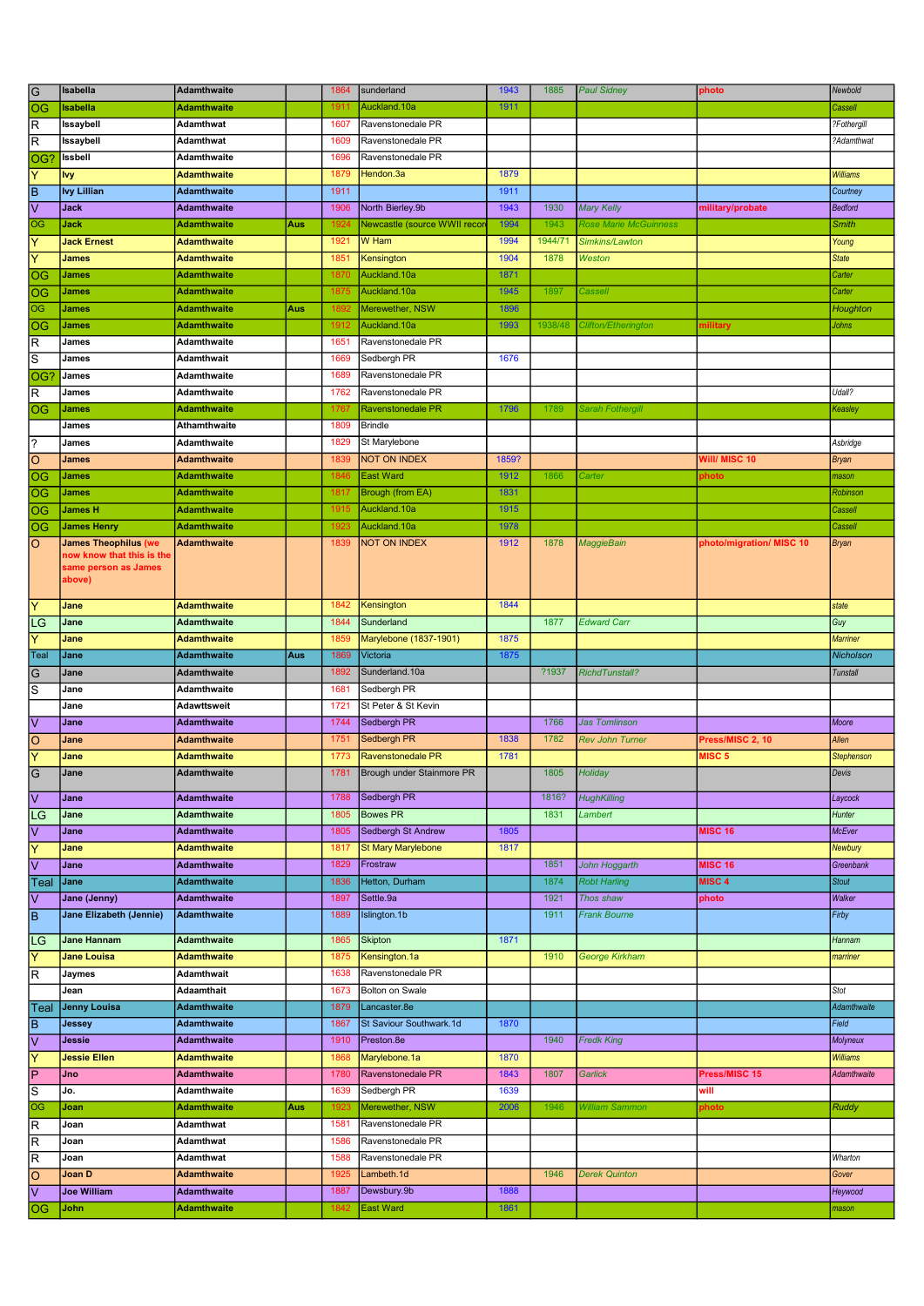| $\overline{G}$             | Isabella                       | <b>Adamthwaite</b> |     | 1864 | sunderland                      | 1943         | 1885    | <b>Paul Sidney</b>      | photo                    | Newbold           |
|----------------------------|--------------------------------|--------------------|-----|------|---------------------------------|--------------|---------|-------------------------|--------------------------|-------------------|
| $\overline{\circ}$         | <b>Isabella</b>                | <b>Adamthwaite</b> |     | 1911 | Auckland.10a                    | 1911         |         |                         |                          | Cassell           |
| $\overline{\mathsf{R}}$    | Issaybell                      | Adamthwat          |     | 1607 | Ravenstonedale PR               |              |         |                         |                          | ?Fothergill       |
| $\overline{\mathsf{R}}$    | Issaybell                      | Adamthwat          |     | 1609 | Ravenstonedale PR               |              |         |                         |                          | ?Adamthwat        |
| OG?                        | Issbell                        | Adamthwaite        |     | 1696 | Ravenstonedale PR               |              |         |                         |                          |                   |
|                            |                                |                    |     |      |                                 | 1879         |         |                         |                          |                   |
| ΙY                         | <b>Ivy</b>                     | <b>Adamthwaite</b> |     | 1879 | Hendon.3a                       |              |         |                         |                          | <b>Williams</b>   |
| $\overline{\mathsf{B}}$    | <b>Ivy Lillian</b>             | <b>Adamthwaite</b> |     | 1911 |                                 | 1911         |         |                         |                          | Courtney          |
| $\overline{\vee}$          | Jack                           | <b>Adamthwaite</b> |     | 1906 | North Bierley.9b                | 1943         | 1930    | <b>Mary Kelly</b>       | military/probate         | <b>Bedford</b>    |
| $\overline{\circ}$         | Jack                           | <b>Adamthwaite</b> | Aus | 1924 | Newcastle (source WWII recor    | 1994         | 1943    | Rose Marie McGuinness   |                          | <b>Smith</b>      |
| $\overline{\mathsf{Y}}$    | <b>Jack Ernest</b>             | <b>Adamthwaite</b> |     | 1921 | W Ham                           | 1994         | 1944/71 | Simkins/Lawton          |                          | Young             |
| $\overline{\mathsf{Y}}$    | <b>James</b>                   | Adamthwaite        |     | 1851 | Kensington                      | 1904         | 1878    | Weston                  |                          | <b>State</b>      |
| $ \overline{\mathsf{oc}} $ | <b>James</b>                   | Adamthwaite        |     | 1870 | Auckland.10a                    | 1871         |         |                         |                          | Carter            |
| og                         | <b>James</b>                   | Adamthwaite        |     | 1875 | Auckland.10a                    | 1945         | 1897    | Cassel                  |                          | Carter            |
| $\overline{OG}$            | <b>James</b>                   | <b>Adamthwaite</b> | Aus | 1892 | Merewether, NSW                 | 1896         |         |                         |                          | Houghton          |
|                            |                                |                    |     |      |                                 |              |         |                         |                          |                   |
| log                        | <b>James</b>                   | <b>Adamthwaite</b> |     | 1912 | Auckland.10a                    | 1993         | 1938/48 | Clifton/Etherington     | nilitary                 | Johns             |
| $\overline{\mathsf{R}}$    | James                          | Adamthwaite        |     | 1651 | Ravenstonedale PR               |              |         |                         |                          |                   |
| $\overline{s}$             | James                          | Adamthwait         |     | 1669 | Sedbergh PR                     | 1676         |         |                         |                          |                   |
| OG?                        | James                          | Adamthwaite        |     | 1689 | Ravenstonedale PR               |              |         |                         |                          |                   |
| $\overline{R}$             | James                          | Adamthwaite        |     | 1762 | Ravenstonedale PR               |              |         |                         |                          | Udall?            |
| OG                         | <b>James</b>                   | Adamthwaite        |     | 1767 | <b>Ravenstonedale PR</b>        | 1796         | 1789    | <b>Sarah Fothergill</b> |                          | Keasley           |
|                            | James                          | Athamthwaite       |     | 1809 | <b>Brindle</b>                  |              |         |                         |                          |                   |
| $\overline{?}$             | James                          | Adamthwaite        |     | 1829 | St Marylebone                   |              |         |                         |                          | Asbridge          |
| $\overline{\circ}$         | <b>James</b>                   | <b>Adamthwaite</b> |     | 1839 | <b>NOT ON INDEX</b>             | 1859?        |         |                         | Will/ MISC 10            | <b>Bryan</b>      |
| $\overline{\circ}$         | <b>James</b>                   | <b>Adamthwaite</b> |     | 1846 | <b>East Ward</b>                | 1912         | 1866    | Carter                  | ohoto                    | mason             |
|                            |                                |                    |     |      |                                 |              |         |                         |                          |                   |
| <b>OG</b>                  | <b>James</b>                   | <b>Adamthwaite</b> |     | 1817 | Brough (from EA)                | 1831         |         |                         |                          | Robinson          |
| <b>OG</b>                  | <b>James H</b>                 | <b>Adamthwaite</b> |     | 1915 | Auckland.10a                    | 1915         |         |                         |                          | Cassell           |
| <b>OG</b>                  | <b>James Henry</b>             | <b>Adamthwaite</b> |     | 1923 | Auckland.10a                    | 1978         |         |                         |                          | Cassell           |
| $\overline{\circ}$         | <b>James Theophilus (we</b>    | <b>Adamthwaite</b> |     | 1839 | <b>NOT ON INDEX</b>             | 1912         | 1878    | <b>MaggieBain</b>       | photo/migration/ MISC 10 | <b>Bryan</b>      |
|                            | now know that this is the      |                    |     |      |                                 |              |         |                         |                          |                   |
|                            | same person as James<br>above) |                    |     |      |                                 |              |         |                         |                          |                   |
|                            |                                |                    |     |      |                                 |              |         |                         |                          |                   |
| $\overline{\mathsf{Y}}$    | Jane                           | <b>Adamthwaite</b> |     | 1842 | Kensington                      | 1844         |         |                         |                          | state             |
| LG                         | Jane                           | Adamthwaite        |     | 1844 | Sunderland                      |              | 1877    | <b>Edward Carr</b>      |                          | Guy               |
| $\overline{\mathsf{Y}}$    | Jane                           | Adamthwaite        |     | 1859 | Marylebone (1837-1901)          | 1875         |         |                         |                          | <b>Marriner</b>   |
| Teal                       | Jane                           | <b>Adamthwaite</b> | Aus | 1869 | Victoria                        | 1875         |         |                         |                          | Nicholson         |
|                            |                                |                    |     |      |                                 |              |         |                         |                          |                   |
|                            |                                |                    |     |      |                                 |              |         |                         |                          |                   |
| $\overline{G}$             | Jane                           | <b>Adamthwaite</b> |     | 1892 | Sunderland.10a                  |              | ?1937   | <b>RichdTunstall?</b>   |                          | <b>Tunstall</b>   |
| $\overline{s}$             | Jane                           | Adamthwaite        |     | 1681 | Sedbergh PR                     |              |         |                         |                          |                   |
|                            | Jane                           | Adawttsweit        |     | 1721 | St Peter & St Kevin             |              |         |                         |                          |                   |
| $\overline{\vee}$          | Jane                           | <b>Adamthwaite</b> |     | 1744 | Sedbergh PR                     |              | 1766    | <b>Jas Tomlinson</b>    |                          | Moore             |
|                            | Jane                           | <b>Adamthwaite</b> |     | 1751 | Sedbergh PR                     | 1838         | 1782    | <b>Rev John Turner</b>  | Press/MISC 2, 10         | Allen             |
| $\frac{1}{2}$              | Jane                           | <b>Adamthwaite</b> |     | 1773 | Ravenstonedale PR               | 1781         |         |                         | MISC 5                   | <b>Stephenson</b> |
|                            | Jane                           | <b>Adamthwaite</b> |     | 1781 | Brough under Stainmore PR       |              | 1805    | Holiday                 |                          | Devis             |
| $\overline{G}$             |                                |                    |     |      |                                 |              |         |                         |                          |                   |
| $\overline{\triangledown}$ | Jane                           | <b>Adamthwaite</b> |     | 1788 | Sedbergh PR                     |              | 1816?   | <b>HughKilling</b>      |                          | Laycock           |
| LG                         | Jane                           | <b>Adamthwaite</b> |     | 1805 | <b>Bowes PR</b>                 |              | 1831    | Lambert                 |                          | Hunter            |
| $\overline{\vee}$          | Jane                           | <b>Adamthwaite</b> |     | 1805 | Sedbergh St Andrew              | 1805         |         |                         | <b>MISC 16</b>           | McEver            |
| $\overline{\mathsf{Y}}$    | Jane                           | <b>Adamthwaite</b> |     | 1817 | <b>St Mary Marylebone</b>       | 1817         |         |                         |                          | Newbury           |
| $\overline{\vee}$          | Jane                           | <b>Adamthwaite</b> |     | 1829 | Frostraw                        |              | 1851    | John Hoggarth           | <b>MISC 16</b>           | Greenbank         |
|                            | Jane                           | <b>Adamthwaite</b> |     | 1836 | Hetton, Durham                  |              | 1874    | <b>Robt Harling</b>     | MISC <sub>4</sub>        | <b>Stout</b>      |
| Teal                       |                                |                    |     | 1897 | Settle.9a                       |              | 1921    |                         |                          |                   |
| $\overline{\mathsf{v}}$    | Jane (Jenny)                   | <b>Adamthwaite</b> |     |      |                                 |              |         | Thos shaw               | photo                    | Walker            |
| $\overline{\mathsf{B}}$    | Jane Elizabeth (Jennie)        | <b>Adamthwaite</b> |     | 1889 | Islington.1b                    |              | 1911    | <b>Frank Bourne</b>     |                          | Firby             |
|                            | <b>Jane Hannam</b>             | <b>Adamthwaite</b> |     | 1865 | <b>Skipton</b>                  | 1871         |         |                         |                          | Hannam            |
| <b>LG</b><br>ΙY            | Jane Louisa                    | Adamthwaite        |     | 1875 | Kensington.1a                   |              | 1910    | <b>George Kirkham</b>   |                          | marriner          |
|                            |                                | Adamthwait         |     | 1638 |                                 |              |         |                         |                          |                   |
| $\overline{R}$             | Jaymes                         |                    |     |      | Ravenstonedale PR               |              |         |                         |                          |                   |
|                            | Jean                           | Adaamthait         |     | 1673 | Bolton on Swale                 |              |         |                         |                          | Stot              |
| <b>Teal</b>                | <b>Jenny Louisa</b>            | <b>Adamthwaite</b> |     | 1879 | Lancaster.8e                    |              |         |                         |                          | Adamthwaite       |
| $\overline{B}$             | <b>Jessey</b>                  | <b>Adamthwaite</b> |     | 1867 | St Saviour Southwark.1d         | 1870         |         |                         |                          | Field             |
| ⊽                          | Jessie                         | <b>Adamthwaite</b> |     | 1910 | Preston.8e                      |              | 1940    | <b>Fredk King</b>       |                          | Molyneux          |
| $\overline{\mathsf{Y}}$    | <b>Jessie Ellen</b>            | <b>Adamthwaite</b> |     | 1868 | Marylebone.1a                   | 1870         |         |                         |                          | <b>Williams</b>   |
| $\overline{P}$             | Jno                            | <b>Adamthwaite</b> |     | 1780 | Ravenstonedale PR               | 1843         | 1807    | Garlick                 | Press/MISC 15            | Adamthwaite       |
| $\overline{s}$             | Jo.                            | Adamthwaite        |     | 1639 | Sedbergh PR                     | 1639         |         |                         | will                     |                   |
| $\overline{\circ}$         | Joan                           | Adamthwaite        | Aus | 1923 | Merewether, NSW                 | 2006         | 1946    | William Sammon          | photo                    | <b>Ruddy</b>      |
|                            | Joan                           | Adamthwat          |     | 1581 | Ravenstonedale PR               |              |         |                         |                          |                   |
| $\overline{\mathsf{R}}$    |                                |                    |     |      |                                 |              |         |                         |                          |                   |
| $\overline{\mathsf{R}}$    | Joan                           | <b>Adamthwat</b>   |     | 1586 | Ravenstonedale PR               |              |         |                         |                          |                   |
| $\overline{\mathsf{R}}$    | Joan                           | <b>Adamthwat</b>   |     | 1588 | Ravenstonedale PR               |              |         |                         |                          | Wharton           |
| $\overline{\circ}$         | Joan D                         | <b>Adamthwaite</b> |     | 1925 | Lambeth.1d                      |              | 1946    | <b>Derek Quinton</b>    |                          | Gover             |
| $\overline{\vee}$<br> OG   | <b>Joe William</b><br>John     | <b>Adamthwaite</b> |     | 1887 | Dewsbury.9b<br><b>East Ward</b> | 1888<br>1861 |         |                         |                          | Heywood           |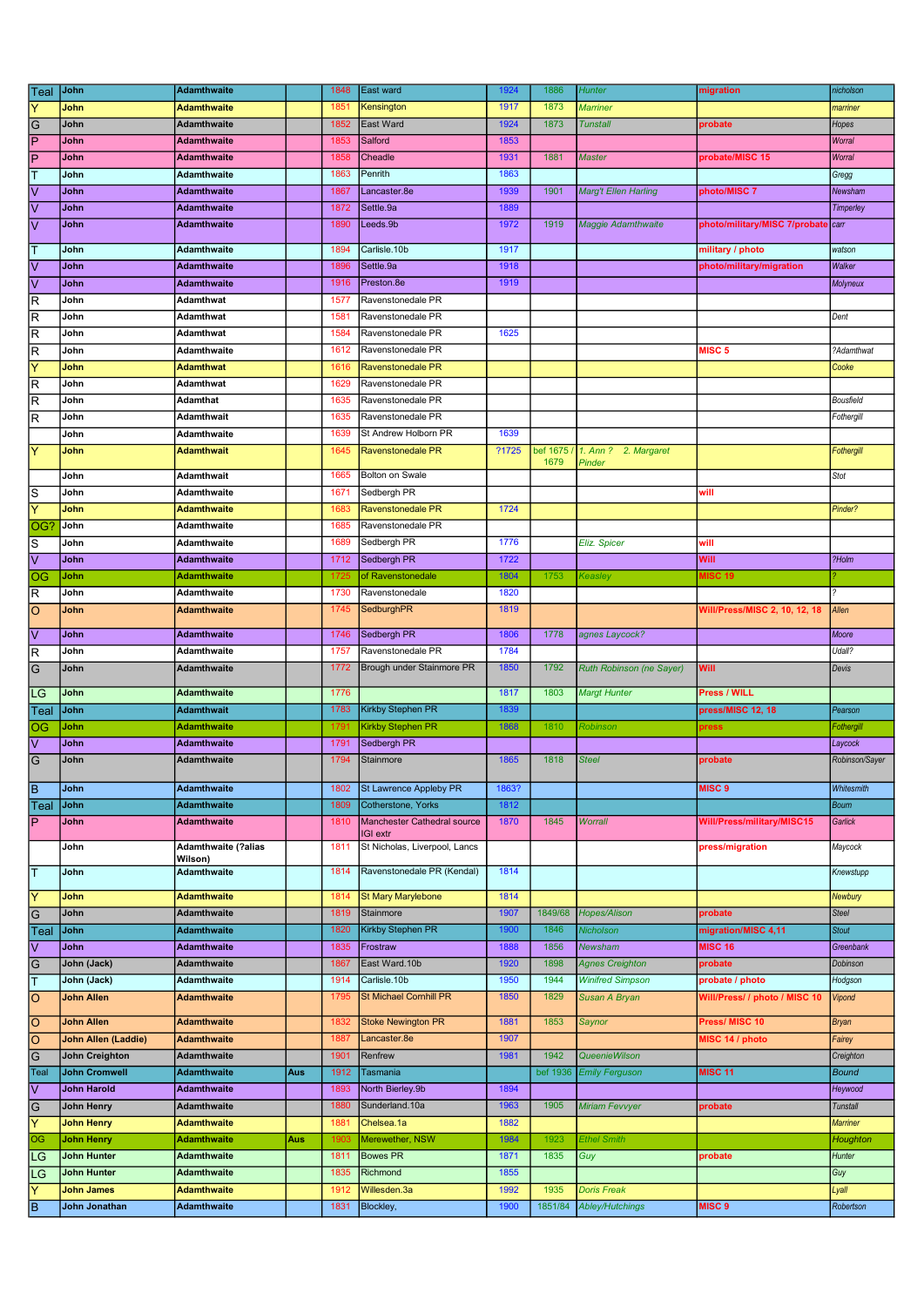| Teal                    | John                       | <b>Adamthwaite</b>         |     | 1848 | East ward                                 | 1924  | 1886     | <b>Hunter</b>               | migration                     | nicholson       |
|-------------------------|----------------------------|----------------------------|-----|------|-------------------------------------------|-------|----------|-----------------------------|-------------------------------|-----------------|
| Y                       | John                       | <b>Adamthwaite</b>         |     | 1851 | Kensington                                | 1917  | 1873     | Marriner                    |                               | marriner        |
| G                       | John                       | Adamthwaite                |     | 1852 | East Ward                                 | 1924  | 1873     | <b>Tunstall</b>             | probate                       | Hopes           |
| İΡ                      | John                       | <b>Adamthwaite</b>         |     | 1853 | Salford                                   | 1853  |          |                             |                               | Worral          |
| P                       | John                       | <b>Adamthwaite</b>         |     | 1858 | Cheadle                                   | 1931  | 1881     | Master                      | probate/MISC 15               | Worral          |
| т                       | John                       | Adamthwaite                |     | 1863 | Penrith                                   | 1863  |          |                             |                               | Gregg           |
| $\overline{\mathsf{V}}$ | John                       | <b>Adamthwaite</b>         |     | 1867 | Lancaster.8e                              | 1939  | 1901     | <b>Marg't Ellen Harling</b> | photo/MISC 7                  | Newsham         |
| V                       | John                       | <b>Adamthwaite</b>         |     | 1872 | Settle.9a                                 | 1889  |          |                             |                               | Timperley       |
| l٧                      | John                       | <b>Adamthwaite</b>         |     | 1890 | Leeds.9b                                  | 1972  | 1919     | <b>Maggie Adamthwaite</b>   | photo/military/MISC 7/probate | carr            |
|                         |                            |                            |     |      |                                           |       |          |                             |                               |                 |
| T                       | John                       | <b>Adamthwaite</b>         |     | 1894 | Carlisle.10b                              | 1917  |          |                             | military / photo              | watson          |
| V                       | John                       | <b>Adamthwaite</b>         |     | 1896 | Settle.9a                                 | 1918  |          |                             | photo/military/migration      | Walker          |
| V                       | John                       | <b>Adamthwaite</b>         |     | 1916 | Preston.8e                                | 1919  |          |                             |                               | Molyneux        |
| R                       | John                       | <b>Adamthwat</b>           |     | 1577 | Ravenstonedale PR                         |       |          |                             |                               |                 |
| $\mathsf R$             | John                       | <b>Adamthwat</b>           |     | 1581 | Ravenstonedale PR                         |       |          |                             |                               | Dent            |
| $\mathsf R$             | John                       | Adamthwat                  |     | 1584 | Ravenstonedale PR                         | 1625  |          |                             |                               |                 |
| lR                      | John                       | Adamthwaite                |     | 1612 | Ravenstonedale PR                         |       |          |                             | <b>MISC 5</b>                 | ?Adamthwat      |
| Y                       | John                       | <b>Adamthwat</b>           |     | 1616 | <b>Ravenstonedale PR</b>                  |       |          |                             |                               | Cooke           |
| R                       | John                       | Adamthwat                  |     | 1629 | Ravenstonedale PR                         |       |          |                             |                               |                 |
| R                       | John                       | <b>Adamthat</b>            |     | 1635 | Ravenstonedale PR                         |       |          |                             |                               | Bousfield       |
| $\mathsf R$             | John                       | <b>Adamthwait</b>          |     | 1635 | Ravenstonedale PR                         |       |          |                             |                               | Fothergill      |
|                         | John                       | Adamthwaite                |     | 1639 | St Andrew Holborn PR                      | 1639  |          |                             |                               |                 |
| Υ                       | John                       | <b>Adamthwait</b>          |     | 1645 | Ravenstonedale PR                         | ?1725 | bef 1675 | 1. Ann ? 2. Margaret        |                               | Fothergill      |
|                         |                            |                            |     |      |                                           |       | 1679     | Pinder                      |                               |                 |
|                         | John                       | <b>Adamthwait</b>          |     | 1665 | Bolton on Swale                           |       |          |                             |                               | Stot            |
| S                       | John                       | <b>Adamthwaite</b>         |     | 1671 | Sedbergh PR                               |       |          |                             | will                          |                 |
| Ÿ                       | John                       | <b>Adamthwaite</b>         |     | 1683 | Ravenstonedale PR                         | 1724  |          |                             |                               | Pinder?         |
| OG <sup>®</sup>         | John                       | Adamthwaite                |     | 1685 | Ravenstonedale PR                         |       |          |                             |                               |                 |
| $\overline{s}$          | John                       | Adamthwaite                |     | 1689 | Sedbergh PR                               | 1776  |          | Eliz. Spicer                | will                          |                 |
| $\overline{\mathsf{v}}$ | John                       | <b>Adamthwaite</b>         |     | 1712 | Sedbergh PR                               | 1722  |          |                             | Will                          | ?Holm           |
| OG                      | John                       | <b>Adamthwaite</b>         |     | 1725 | of Ravenstonedale                         | 1804  | 1753     | Keasley                     | <b>MISC 19</b>                |                 |
| R                       | John                       | Adamthwaite                |     | 1730 | Ravenstonedale                            | 1820  |          |                             |                               |                 |
| $\circ$                 | John                       | <b>Adamthwaite</b>         |     | 1745 | <b>SedburghPR</b>                         | 1819  |          |                             | Will/Press/MISC 2, 10, 12, 18 | Allen           |
| l٧                      | John                       | <b>Adamthwaite</b>         |     | 1746 | Sedbergh PR                               | 1806  | 1778     | agnes Laycock?              |                               | Moore           |
| R                       | John                       | <b>Adamthwaite</b>         |     | 1757 | Ravenstonedale PR                         | 1784  |          |                             |                               | Udall?          |
| G                       | John                       | Adamthwaite                |     | 1772 | Brough under Stainmore PR                 | 1850  | 1792     | Ruth Robinson (ne Sayer)    | Will                          | Devis           |
|                         |                            |                            |     |      |                                           |       |          |                             |                               |                 |
| LG                      | John                       | <b>Adamthwaite</b>         |     | 1776 |                                           | 1817  | 1803     | <b>Margt Hunter</b>         | Press / WILL                  |                 |
| Teal                    | John                       | <b>Adamthwait</b>          |     | 1783 | <b>Kirkby Stephen PR</b>                  | 1839  |          |                             | press/MISC 12, 18             | Pearson         |
| OG                      | John                       | <b>Adamthwaite</b>         |     | 1791 | <b>Kirkby Stephen PR</b>                  | 1868  | 1810     | Robinson                    | press                         | Fothergill      |
| V                       | John                       | <b>Adamthwaite</b>         |     | 1791 | Sedbergh PR                               |       |          |                             |                               | Laycock         |
| G                       | John                       | <b>Adamthwaite</b>         |     | 1794 | Stainmore                                 | 1865  | 1818     | <b>Steel</b>                | probate                       | Robinson/Sayer  |
|                         |                            |                            |     |      |                                           |       |          |                             |                               |                 |
| lв                      | John                       | <b>Adamthwaite</b>         |     | 1802 | <b>St Lawrence Appleby PR</b>             | 1863? |          |                             | MISC <sub>9</sub>             | Whitesmith      |
| Teal                    | John                       | <b>Adamthwaite</b>         |     | 1809 | Cotherstone, Yorks                        | 1812  |          |                             |                               | <b>Bourn</b>    |
| $\overline{P}$          | John                       | <b>Adamthwaite</b>         |     | 1810 | Manchester Cathedral source               | 1870  | 1845     | Worrall                     | Will/Press/military/MISC15    | Garlick         |
|                         | John                       | <b>Adamthwaite (?alias</b> |     | 1811 | IGI extr<br>St Nicholas, Liverpool, Lancs |       |          |                             | press/migration               | Maycock         |
|                         |                            | Wilson)                    |     |      |                                           |       |          |                             |                               |                 |
| T                       | John                       | <b>Adamthwaite</b>         |     | 1814 | Ravenstonedale PR (Kendal)                | 1814  |          |                             |                               | Knewstupp       |
|                         |                            |                            |     | 1814 | <b>St Mary Marylebone</b>                 | 1814  |          |                             |                               |                 |
| Y                       | John                       | <b>Adamthwaite</b>         |     |      |                                           |       |          |                             |                               | Newbury         |
| G                       | John                       | Adamthwaite                |     | 1819 | Stainmore                                 | 1907  | 1849/68  | Hopes/Alison<br>Nicholson   | probate                       | <b>Steel</b>    |
| Teal                    | John                       | <b>Adamthwaite</b>         |     | 1820 | Kirkby Stephen PR                         | 1900  | 1846     |                             | migration/MISC 4,11           | <b>Stout</b>    |
| V                       | John                       | <b>Adamthwaite</b>         |     | 1835 | Frostraw                                  | 1888  | 1856     | <b>Newsham</b>              | <b>MISC 16</b>                | Greenbank       |
| G                       | John (Jack)                | Adamthwaite                |     | 1867 | East Ward.10b                             | 1920  | 1898     | <b>Agnes Creighton</b>      | probate                       | Dobinson        |
| T                       | John (Jack)                | Adamthwaite                |     | 1914 | Carlisle.10b                              | 1950  | 1944     | <b>Winifred Simpson</b>     | probate / photo               | Hodgson         |
| ΙO                      | John Allen                 | <b>Adamthwaite</b>         |     | 1795 | <b>St Michael Cornhill PR</b>             | 1850  | 1829     | Susan A Bryan               | Will/Press/ / photo / MISC 10 | Vipond          |
| lo                      | <b>John Allen</b>          | <b>Adamthwaite</b>         |     | 1832 | <b>Stoke Newington PR</b>                 | 1881  | 1853     | Saynor                      | Press/ MISC 10                | <b>Bryan</b>    |
| lo                      | <b>John Allen (Laddie)</b> | <b>Adamthwaite</b>         |     | 1887 | Lancaster.8e                              | 1907  |          |                             | MISC 14 / photo               | Fairey          |
| G                       | John Creighton             | Adamthwaite                |     | 1901 | Renfrew                                   | 1981  | 1942     | QueenieWilson               |                               | Creighton       |
| Teal                    | John Cromwell              | <b>Adamthwaite</b>         | Aus | 1912 | Tasmania                                  |       | bef 1936 | <b>Emily Ferguson</b>       | <b>MISC 11</b>                | <b>Bound</b>    |
| $\overline{\mathsf{v}}$ | John Harold                | <b>Adamthwaite</b>         |     | 1893 | North Bierley.9b                          | 1894  |          |                             |                               | Heywood         |
|                         |                            |                            |     | 1880 | Sunderland.10a                            | 1963  | 1905     |                             |                               |                 |
| G                       | John Henry                 | Adamthwaite                |     |      |                                           |       |          | Miriam Fevvyer              | probate                       | Tunstall        |
| Y                       | <b>John Henry</b>          | <b>Adamthwaite</b>         |     | 1881 | Chelsea.1a                                | 1882  |          |                             |                               | <b>Marriner</b> |
| OG                      | <b>John Henry</b>          | <b>Adamthwaite</b>         | Aus | 1903 | Merewether, NSW                           | 1984  | 1923     | <b>Ethel Smith</b>          |                               | Houghton        |
| LG                      | John Hunter                | Adamthwaite                |     | 1811 | <b>Bowes PR</b>                           | 1871  | 1835     | Guy                         | probate                       | Hunter          |
| LG                      | John Hunter                | <b>Adamthwaite</b>         |     | 1835 | Richmond                                  | 1855  |          |                             |                               | Guy             |
| Υ                       | <b>John James</b>          | <b>Adamthwaite</b>         |     | 1912 | Willesden.3a                              | 1992  | 1935     | <b>Doris Freak</b>          |                               | Lyall           |
| lв                      | John Jonathan              | <b>Adamthwaite</b>         |     | 1831 | Blockley,                                 | 1900  | 1851/84  | Abley/Hutchings             | MISC <sub>9</sub>             | Robertson       |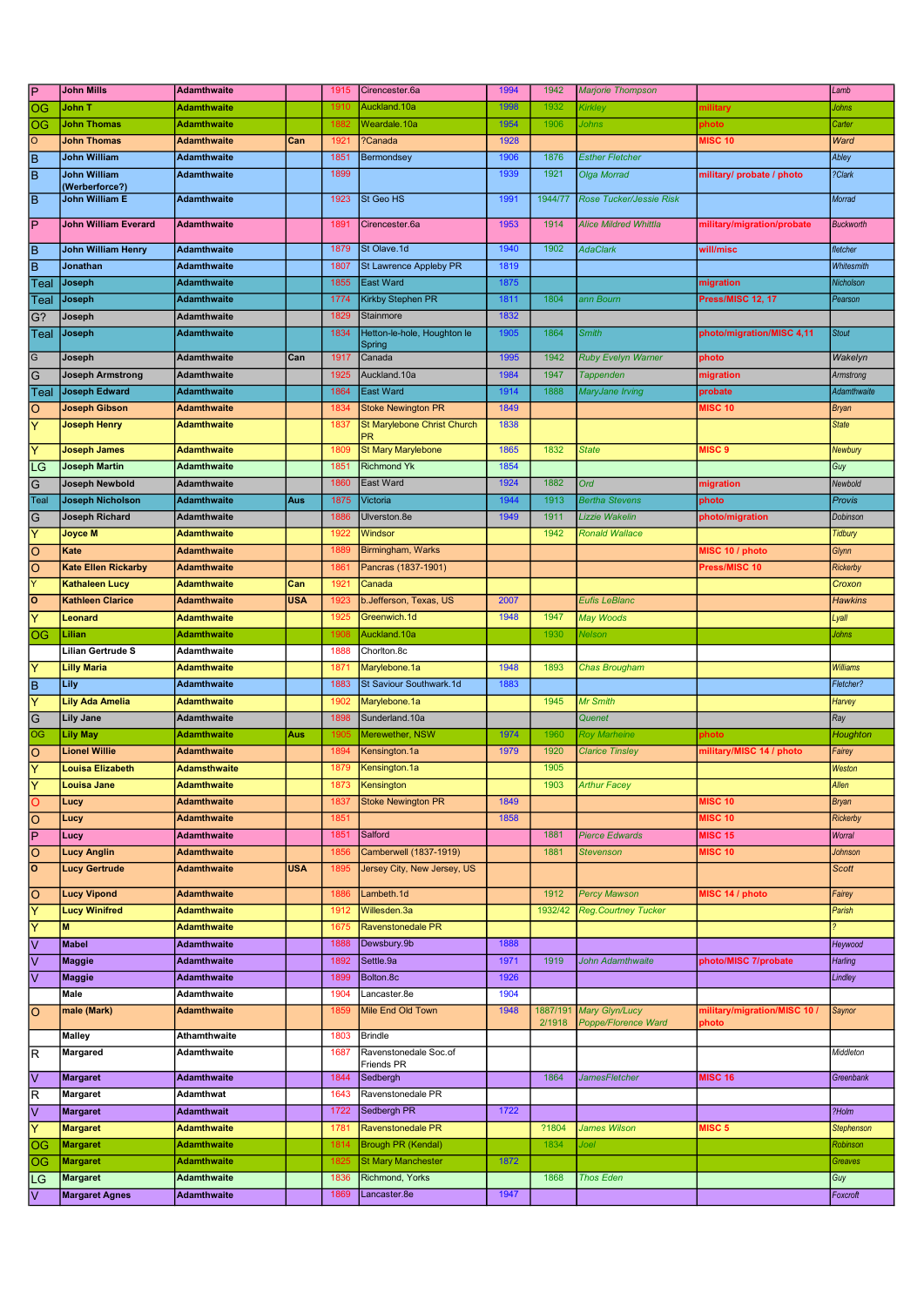| <b>P</b>       | <b>John Mills</b>                | <b>Adamthwaite</b>  |            | 1915 | Cirencester.6a                        | 1994 | 1942               | <b>Marjorie Thompson</b>              |                                       | Lamb              |
|----------------|----------------------------------|---------------------|------------|------|---------------------------------------|------|--------------------|---------------------------------------|---------------------------------------|-------------------|
| OG             | John T                           | <b>Adamthwaite</b>  |            | 1910 | Auckland.10a                          | 1998 | 1932               | Kirkley                               | nilitary                              | Johns             |
| OG             | <b>John Thomas</b>               | <b>Adamthwaite</b>  |            | 1882 | Weardale.10a                          | 1954 | 1906               | Johns                                 | photo                                 | Carter            |
| $\circ$        | <b>John Thomas</b>               | <b>Adamthwaite</b>  | Can        | 1921 | ?Canada                               | 1928 |                    |                                       | <b>MISC 10</b>                        | Ward              |
| ĪΒ             | <b>John William</b>              | <b>Adamthwaite</b>  |            | 1851 | Bermondsey                            | 1906 | 1876               | <b>Esther Fletcher</b>                |                                       | Abley             |
| lв             | <b>John William</b>              | <b>Adamthwaite</b>  |            | 1899 |                                       | 1939 | 1921               | <b>Olga Morrad</b>                    | military/ probate / photo             | ?Clark            |
| lв             | (Werberforce?)<br>John William E | <b>Adamthwaite</b>  |            | 1923 | St Geo HS                             | 1991 | 1944/77            | Rose Tucker/Jessie Risk               |                                       | Morrad            |
| lP.            | <b>John William Everard</b>      | <b>Adamthwaite</b>  |            | 1891 | Cirencester.6a                        | 1953 | 1914               | <b>Alice Mildred Whittla</b>          | military/migration/probate            | <b>Buckworth</b>  |
|                |                                  |                     |            |      |                                       |      |                    |                                       |                                       |                   |
| lв             | <b>John William Henry</b>        | <b>Adamthwaite</b>  |            | 1879 | St Olave.1d                           | 1940 | 1902               | <b>AdaClark</b>                       | will/misc                             | fletcher          |
| B              | <b>Jonathan</b>                  | <b>Adamthwaite</b>  |            | 1807 | St Lawrence Appleby PR                | 1819 |                    |                                       |                                       | Whitesmith        |
| Teal           | Joseph                           | <b>Adamthwaite</b>  |            | 1855 | <b>East Ward</b>                      | 1875 |                    |                                       | migration                             | Nicholson         |
| Teal           | Joseph                           | <b>Adamthwaite</b>  |            | 1774 | Kirkby Stephen PR                     | 1811 | 1804               | ann Bourn                             | Press/MISC 12, 17                     | Pearson           |
| G <sub>2</sub> | Joseph                           | Adamthwaite         |            | 1829 | Stainmore                             | 1832 |                    |                                       |                                       |                   |
| Teal           | Joseph                           | <b>Adamthwaite</b>  |            | 1834 | Hetton-le-hole, Houghton le<br>Spring | 1905 | 1864               | <b>Smith</b>                          | photo/migration/MISC 4,11             | <b>Stout</b>      |
| G              | Joseph                           | Adamthwaite         | Can        | 1917 | Canada                                | 1995 | 1942               | <b>Ruby Evelyn Warner</b>             | photo                                 | Wakelyn           |
| G              | <b>Joseph Armstrong</b>          | <b>Adamthwaite</b>  |            | 1925 | Auckland.10a                          | 1984 | 1947               | <b>Tappenden</b>                      | migration                             | Armstrong         |
| Teal           | <b>Joseph Edward</b>             | <b>Adamthwaite</b>  |            | 1864 | <b>East Ward</b>                      | 1914 | 1888               | MaryJane Irving                       | probate                               | Adamthwaite       |
| O              | <b>Joseph Gibson</b>             | <b>Adamthwaite</b>  |            | 1834 | <b>Stoke Newington PR</b>             | 1849 |                    |                                       | <b>MISC 10</b>                        | <b>Bryan</b>      |
| Ÿ              | <b>Joseph Henry</b>              | <b>Adamthwaite</b>  |            | 1837 | St Marylebone Christ Church           | 1838 |                    |                                       |                                       | <b>State</b>      |
| Y              | <b>Joseph James</b>              | <b>Adamthwaite</b>  |            | 1809 | PR<br><b>St Mary Marylebone</b>       | 1865 | 1832               | <b>State</b>                          | <b>MISC 9</b>                         | Newbury           |
| LG             | <b>Joseph Martin</b>             | <b>Adamthwaite</b>  |            | 1851 | <b>Richmond Yk</b>                    | 1854 |                    |                                       |                                       | Guy               |
| G              | Joseph Newbold                   | Adamthwaite         |            | 1860 | East Ward                             | 1924 | 1882               | Ord                                   | migration                             | Newbold           |
| Teal           | <b>Joseph Nicholson</b>          | <b>Adamthwaite</b>  | Aus        | 1875 | Victoria                              | 1944 | 1913               | <b>Bertha Stevens</b>                 | photo                                 | Provis            |
| G              | Joseph Richard                   | <b>Adamthwaite</b>  |            | 1886 | Ulverston.8e                          | 1949 | 1911               | Lizzie Wakelin                        | photo/migration                       | Dobinson          |
| Υ              | Joyce M                          | <b>Adamthwaite</b>  |            | 1922 | Windsor                               |      | 1942               | Ronald Wallace                        |                                       | Tidbury           |
| $\circ$        | Kate                             | <b>Adamthwaite</b>  |            | 1889 | Birmingham, Warks                     |      |                    |                                       | MISC 10 / photo                       | Glynn             |
| $\circ$        | <b>Kate Ellen Rickarby</b>       | <b>Adamthwaite</b>  |            | 1861 | Pancras (1837-1901)                   |      |                    |                                       | Press/MISC 10                         | <b>Rickerby</b>   |
| Y              | <b>Kathaleen Lucy</b>            | <b>Adamthwaite</b>  | Can        | 1921 | Canada                                |      |                    |                                       |                                       | Croxon            |
| ١o             | <b>Kathleen Clarice</b>          | <b>Adamthwaite</b>  | <b>USA</b> | 1923 | b.Jefferson, Texas, US                | 2007 |                    | Eufis LeBlanc                         |                                       | <b>Hawkins</b>    |
| Ÿ              | Leonard                          | <b>Adamthwaite</b>  |            | 1925 | Greenwich.1d                          | 1948 | 1947               | <b>May Woods</b>                      |                                       | Lyall             |
| OG             | Lilian                           | <b>Adamthwaite</b>  |            | 1908 | Auckland.10a                          |      | 1930               | Nelson                                |                                       | Johns             |
|                | Lilian Gertrude S                | Adamthwaite         |            | 1888 | Chorlton.8c                           |      |                    |                                       |                                       |                   |
| Y              | <b>Lilly Maria</b>               | <b>Adamthwaite</b>  |            | 1871 | Marylebone.1a                         | 1948 | 1893               | <b>Chas Brougham</b>                  |                                       | <b>Williams</b>   |
| lв             | Lily                             | <b>Adamthwaite</b>  |            | 1883 | St Saviour Southwark.1d               | 1883 |                    |                                       |                                       | Fletcher?         |
| Y              | <b>Lily Ada Amelia</b>           | <b>Adamthwaite</b>  |            | 1902 | Marylebone.1a                         |      | 1945               | Mr Smith                              |                                       | Harvey            |
| G              | <b>Lily Jane</b>                 | Adamthwaite         |            | 1898 | Sunderland.10a                        |      |                    | Quenet                                |                                       | Ray               |
| OG             | <b>Lily May</b>                  | <b>Adamthwaite</b>  | Aus        | 1905 | Merewether, NSW                       | 1974 | 1960               | <b>Roy Marheine</b>                   | ohoto                                 | Houghton          |
| O              | <b>Lionel Willie</b>             | <b>Adamthwaite</b>  |            | 1894 | Kensington.1a                         | 1979 | 1920               | <b>Clarice Tinsley</b>                | military/MISC 14 / photo              | Fairey            |
| Y              | <b>Louisa Elizabeth</b>          | <b>Adamsthwaite</b> |            | 1879 | Kensington.1a                         |      | 1905               |                                       |                                       | Weston            |
| lΥ             | <b>Louisa Jane</b>               | <b>Adamthwaite</b>  |            | 1873 | Kensington                            |      | 1903               | <b>Arthur Facey</b>                   |                                       | Allen             |
| $\circ$        | Lucy                             | <b>Adamthwaite</b>  |            | 1837 | <b>Stoke Newington PR</b>             | 1849 |                    |                                       | <b>MISC 10</b>                        | <b>Bryan</b>      |
| O              | Lucy                             | <b>Adamthwaite</b>  |            | 1851 |                                       | 1858 |                    |                                       | <b>MISC 10</b>                        | <b>Rickerby</b>   |
| lP.            | Lucy                             | <b>Adamthwaite</b>  |            | 1851 | Salford                               |      | 1881               | <b>Pierce Edwards</b>                 | <b>MISC 15</b>                        | Worral            |
| $\circ$        | <b>Lucy Anglin</b>               | <b>Adamthwaite</b>  |            | 1856 | Camberwell (1837-1919)                |      | 1881               | <b>Stevenson</b>                      | <b>MISC 10</b>                        | Johnson           |
| lo             | <b>Lucy Gertrude</b>             | <b>Adamthwaite</b>  | <b>USA</b> | 1895 | Jersey City, New Jersey, US           |      |                    |                                       |                                       | <b>Scott</b>      |
|                |                                  |                     |            |      |                                       |      |                    |                                       |                                       |                   |
| lo             | <b>Lucy Vipond</b>               | <b>Adamthwaite</b>  |            | 1886 | Lambeth.1d                            |      | 1912               | <b>Percy Mawson</b>                   | MISC 14 / photo                       | Fairey            |
| Ÿ              | <b>Lucy Winifred</b>             | <b>Adamthwaite</b>  |            | 1912 | Willesden.3a                          |      | 1932/42            | <b>Reg.Courtney Tucker</b>            |                                       | Parish            |
| Ÿ              | M                                | <b>Adamthwaite</b>  |            | 1675 | Ravenstonedale PR                     |      |                    |                                       |                                       |                   |
| ⊽              | <b>Mabel</b>                     | <b>Adamthwaite</b>  |            | 1888 | Dewsbury.9b                           | 1888 |                    |                                       |                                       | Heywood           |
| V              | Maggie                           | <b>Adamthwaite</b>  |            | 1892 | Settle.9a                             | 1971 | 1919               | John Adamthwaite                      | photo/MISC 7/probate                  | <b>Harling</b>    |
| V              | Maggie                           | <b>Adamthwaite</b>  |            | 1899 | Bolton.8c                             | 1926 |                    |                                       |                                       | Lindley           |
|                | Male                             | Adamthwaite         |            | 1904 | Lancaster.8e                          | 1904 |                    |                                       |                                       |                   |
| $\circ$        | male (Mark)                      | <b>Adamthwaite</b>  |            | 1859 | Mile End Old Town                     | 1948 | 1887/191<br>2/1918 | Mary Glyn/Lucy<br>Poppe/Florence Ward | military/migration/MISC 10 /<br>photo | Saynor            |
|                | Malley                           | Athamthwaite        |            | 1803 | <b>Brindle</b>                        |      |                    |                                       |                                       |                   |
| lR.            | Margared                         | Adamthwaite         |            | 1687 | Ravenstonedale Soc.of                 |      |                    |                                       |                                       | Middleton         |
|                |                                  |                     |            |      | Friends PR                            |      |                    |                                       |                                       |                   |
| I٧             | <b>Margaret</b>                  | <b>Adamthwaite</b>  |            | 1844 | Sedbergh                              |      | 1864               | <b>JamesFletcher</b>                  | <b>MISC 16</b>                        | Greenbank         |
| R              | Margaret                         | Adamthwat           |            | 1643 | Ravenstonedale PR                     |      |                    |                                       |                                       |                   |
| ĪV             | <b>Margaret</b>                  | <b>Adamthwait</b>   |            | 1722 | Sedbergh PR                           | 1722 |                    |                                       |                                       | ?Holm             |
| Ÿ              | <b>Margaret</b>                  | <b>Adamthwaite</b>  |            | 1781 | Ravenstonedale PR                     |      | ?1804              | <b>James Wilson</b>                   | MISC <sub>5</sub>                     | <b>Stephenson</b> |
| OG             | <b>Margaret</b>                  | <b>Adamthwaite</b>  |            | 1814 | <b>Brough PR (Kendal)</b>             |      | 1834               | Joel                                  |                                       | Robinson          |
| OG             | <b>Margaret</b>                  | <b>Adamthwaite</b>  |            | 1825 | <b>St Mary Manchester</b>             | 1872 |                    |                                       |                                       | Greaves           |
| LG             | Margaret                         | Adamthwaite         |            | 1836 | Richmond, Yorks                       |      | 1868               | <b>Thos Eden</b>                      |                                       | Guy               |
| l٧             | <b>Margaret Agnes</b>            | <b>Adamthwaite</b>  |            | 1869 | Lancaster.8e                          | 1947 |                    |                                       |                                       | Foxcroft          |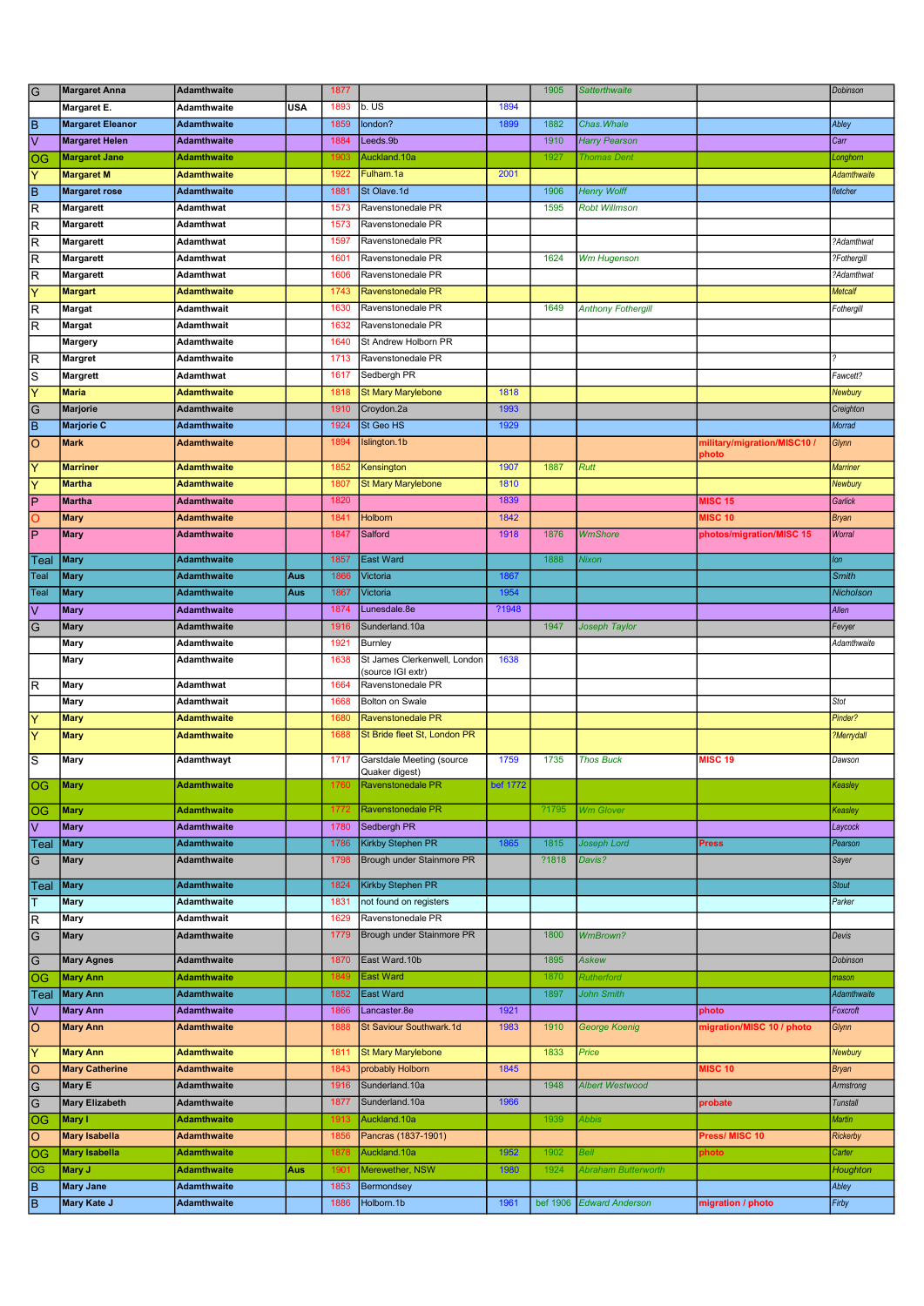| $\overline{G}$          | <b>Margaret Anna</b>    | <b>Adamthwaite</b> |            | 1877 |                                                   |          | 1905     | <b>Satterthwaite</b>      |                             | Dobinson        |
|-------------------------|-------------------------|--------------------|------------|------|---------------------------------------------------|----------|----------|---------------------------|-----------------------------|-----------------|
|                         | Margaret E.             | Adamthwaite        | <b>USA</b> | 1893 | b. US                                             | 1894     |          |                           |                             |                 |
| ĪΒ                      | <b>Margaret Eleanor</b> | <b>Adamthwaite</b> |            | 1859 | london?                                           | 1899     | 1882     | Chas. Whale               |                             | Abley           |
| ⊽                       | <b>Margaret Helen</b>   | <b>Adamthwaite</b> |            | 1884 | Leeds.9b                                          |          | 1910     | <b>Harry Pearson</b>      |                             | Carr            |
| OG                      | <b>Margaret Jane</b>    | <b>Adamthwaite</b> |            | 1903 | Auckland.10a                                      |          | 1927     | <b>Thomas Dent</b>        |                             | Longhom         |
| ΙY                      | <b>Margaret M</b>       | <b>Adamthwaite</b> |            | 1922 | Fulham.1a                                         | 2001     |          |                           |                             | Adamthwaite     |
| B                       | <b>Margaret rose</b>    | <b>Adamthwaite</b> |            | 1881 | St Olave.1d                                       |          | 1906     | <b>Henry Wolff</b>        |                             | fletcher        |
| R                       | Margarett               | Adamthwat          |            | 1573 | Ravenstonedale PR                                 |          | 1595     | <b>Robt Willmson</b>      |                             |                 |
| R                       | Margarett               | Adamthwat          |            | 1573 | Ravenstonedale PR                                 |          |          |                           |                             |                 |
| $\overline{\mathsf{R}}$ | Margarett               | Adamthwat          |            | 1597 | Ravenstonedale PR                                 |          |          |                           |                             | ?Adamthwat      |
| $\overline{\mathsf{R}}$ | Margarett               | Adamthwat          |            | 1601 | Ravenstonedale PR                                 |          | 1624     | <b>Wm Hugenson</b>        |                             | ?Fothergill     |
| $\overline{\mathsf{R}}$ | Margarett               | Adamthwat          |            | 1606 | Ravenstonedale PR                                 |          |          |                           |                             | ?Adamthwat      |
| Ÿ                       | <b>Margart</b>          | <b>Adamthwaite</b> |            | 1743 | <b>Ravenstonedale PR</b>                          |          |          |                           |                             | <b>Metcalf</b>  |
| R                       | Margat                  | Adamthwait         |            | 1630 | Ravenstonedale PR                                 |          | 1649     | <b>Anthony Fothergill</b> |                             | Fothergill      |
| $\overline{R}$          | <b>Margat</b>           | <b>Adamthwait</b>  |            | 1632 | Ravenstonedale PR                                 |          |          |                           |                             |                 |
|                         | Margery                 | Adamthwaite        |            | 1640 | St Andrew Holborn PR                              |          |          |                           |                             |                 |
| R                       | <b>Margret</b>          | Adamthwaite        |            | 1713 | Ravenstonedale PR                                 |          |          |                           |                             |                 |
| $\overline{s}$          | <b>Margrett</b>         | Adamthwat          |            | 1617 | Sedbergh PR                                       |          |          |                           |                             | Fawcett?        |
| ΙY                      | <b>Maria</b>            | <b>Adamthwaite</b> |            | 1818 | <b>St Mary Marylebone</b>                         | 1818     |          |                           |                             | Newbury         |
| $\overline{G}$          | <b>Marjorie</b>         | <b>Adamthwaite</b> |            | 1910 | Croydon.2a                                        | 1993     |          |                           |                             | Creighton       |
| ĪΒ                      | <b>Marjorie C</b>       | <b>Adamthwaite</b> |            | 1924 | St Geo HS                                         | 1929     |          |                           |                             | Morrad          |
| $\overline{\circ}$      | <b>Mark</b>             | <b>Adamthwaite</b> |            | 1894 | Islington.1b                                      |          |          |                           | military/migration/MISC10 / | Glynn           |
| Y                       | <b>Marriner</b>         | <b>Adamthwaite</b> |            | 1852 | Kensington                                        | 1907     | 1887     | <b>Rutt</b>               | photo                       | <b>Marriner</b> |
| Y                       | <b>Martha</b>           | <b>Adamthwaite</b> |            | 1807 | <b>St Mary Marylebone</b>                         | 1810     |          |                           |                             | Newbury         |
| ΓP                      | <b>Martha</b>           | <b>Adamthwaite</b> |            | 1820 |                                                   | 1839     |          |                           | <b>MISC 15</b>              | Garlick         |
| $\circ$                 | <b>Mary</b>             | <b>Adamthwaite</b> |            | 1841 | Holborn                                           | 1842     |          |                           | <b>MISC 10</b>              | <b>Bryan</b>    |
| $\overline{P}$          | <b>Mary</b>             | <b>Adamthwaite</b> |            | 1847 | Salford                                           | 1918     | 1876     | <b>WmShore</b>            | photos/migration/MISC 15    | Worral          |
|                         |                         |                    |            |      |                                                   |          |          |                           |                             |                 |
| Teal                    | <b>Mary</b>             | <b>Adamthwaite</b> |            | 1857 | <b>East Ward</b>                                  |          | 1888     | Nixon                     |                             | lon             |
| Teal                    | <b>Mary</b>             | <b>Adamthwaite</b> | Aus        | 1866 | Victoria                                          | 1867     |          |                           |                             | <b>Smith</b>    |
| Teal                    | <b>Mary</b>             | <b>Adamthwaite</b> | Aus        | 1867 | Victoria                                          | 1954     |          |                           |                             | Nicholson       |
| $\overline{\vee}$       | <b>Mary</b>             | Adamthwaite        |            | 1874 | Lunesdale.8e                                      | ?1948    |          |                           |                             | Allen           |
| G                       | <b>Mary</b>             | <b>Adamthwaite</b> |            | 1916 | Sunderland.10a                                    |          | 1947     | Joseph Taylor             |                             | Fevyer          |
|                         | Mary                    | Adamthwaite        |            | 1921 | Burnley                                           |          |          |                           |                             | Adamthwaite     |
|                         | Mary                    | Adamthwaite        |            | 1638 | St James Clerkenwell, London<br>(source IGI extr) | 1638     |          |                           |                             |                 |
| $\overline{\mathsf{R}}$ | Mary                    | <b>Adamthwat</b>   |            | 1664 | Ravenstonedale PR                                 |          |          |                           |                             |                 |
|                         | Mary                    | Adamthwait         |            | 1668 | Bolton on Swale                                   |          |          |                           |                             | Stot            |
| Y                       | <b>Mary</b>             | <b>Adamthwaite</b> |            | 1680 | Ravenstonedale PR                                 |          |          |                           |                             | Pinder?         |
| Y                       | <b>Mary</b>             | <b>Adamthwaite</b> |            | 1688 | St Bride fleet St, London PR                      |          |          |                           |                             | ?Merrydall      |
|                         |                         |                    |            |      |                                                   |          |          |                           | <b>MISC 19</b>              | Dawson          |
| ls                      | Mary                    | Adamthwayt         |            | 1717 | Garstdale Meeting (source<br>Quaker digest)       | 1759     | 1735     | <b>Thos Buck</b>          |                             |                 |
| OG.                     | <b>Mary</b>             | <b>Adamthwaite</b> |            | 1760 | Ravenstonedale PR                                 | bef 1772 |          |                           |                             | Keasley         |
| $\overline{OG}$         | <b>Mary</b>             | <b>Adamthwaite</b> |            | 1772 | Ravenstonedale PR                                 |          | ?1795    | <b>Wm Glover</b>          |                             | Keasley         |
| lv                      | <b>Mary</b>             | <b>Adamthwaite</b> |            | 1780 | Sedbergh PR                                       |          |          |                           |                             | Laycock         |
| Teal                    | <b>Mary</b>             | <b>Adamthwaite</b> |            | 1786 | Kirkby Stephen PR                                 | 1865     | 1815     | Joseph Lord               | <b>Press</b>                | Pearson         |
| G                       | <b>Mary</b>             | Adamthwaite        |            | 1798 | Brough under Stainmore PR                         |          | ?1818    | Davis?                    |                             | Sayer           |
|                         |                         |                    |            |      |                                                   |          |          |                           |                             |                 |
| Teal                    | <b>Mary</b>             | <b>Adamthwaite</b> |            | 1824 | Kirkby Stephen PR                                 |          |          |                           |                             | <b>Stout</b>    |
| T                       | Mary                    | Adamthwaite        |            | 1831 | not found on registers                            |          |          |                           |                             | Parker          |
| $\overline{\mathsf{R}}$ | Mary                    | Adamthwait         |            | 1629 | Ravenstonedale PR                                 |          |          |                           |                             |                 |
| $\overline{G}$          | Mary                    | <b>Adamthwaite</b> |            | 1779 | Brough under Stainmore PR                         |          | 1800     | <b>WmBrown?</b>           |                             | Devis           |
| $\overline{G}$          | <b>Mary Agnes</b>       | <b>Adamthwaite</b> |            | 1870 | East Ward.10b                                     |          | 1895     | Askew                     |                             | Dobinson        |
| OG                      | <b>Mary Ann</b>         | <b>Adamthwaite</b> |            | 1849 | <b>East Ward</b>                                  |          | 1870     | <b>Rutherford</b>         |                             | mason           |
| Teal                    | <b>Mary Ann</b>         | <b>Adamthwaite</b> |            | 1852 | East Ward                                         |          | 1897     | John Smith                |                             | Adamthwaite     |
| l٧                      | <b>Mary Ann</b>         | <b>Adamthwaite</b> |            | 1866 | Lancaster.8e                                      | 1921     |          |                           | photo                       | Foxcroft        |
| O                       | <b>Mary Ann</b>         | <b>Adamthwaite</b> |            | 1888 | St Saviour Southwark.1d                           | 1983     | 1910     | George Koenig             | migration/MISC 10 / photo   | Glynn           |
|                         |                         |                    |            |      |                                                   |          |          |                           |                             |                 |
| ΙY                      | <b>Mary Ann</b>         | <b>Adamthwaite</b> |            | 1811 | <b>St Mary Marylebone</b>                         |          | 1833     | Price                     |                             | Newbury         |
| $\overline{\circ}$      | <b>Mary Catherine</b>   | <b>Adamthwaite</b> |            | 1843 | probably Holborn                                  | 1845     |          |                           | <b>MISC 10</b>              | <b>Bryan</b>    |
| $\overline{G}$          | <b>Mary E</b>           | Adamthwaite        |            | 1916 | Sunderland.10a                                    |          | 1948     | <b>Albert Westwood</b>    |                             | Armstrong       |
| $\overline{G}$          | <b>Mary Elizabeth</b>   | Adamthwaite        |            | 1877 | Sunderland.10a                                    | 1966     |          |                           | probate                     | <b>Tunstall</b> |
| OG                      | Mary I                  | <b>Adamthwaite</b> |            | 1913 | Auckland.10a                                      |          | 1939     | Abbis                     |                             | <b>Martin</b>   |
| O                       | <b>Mary Isabella</b>    | <b>Adamthwaite</b> |            | 1856 | Pancras (1837-1901)                               |          |          |                           | Press/ MISC 10              | Rickerby        |
| OG                      | <b>Mary Isabella</b>    | <b>Adamthwaite</b> |            | 1878 | Auckland.10a                                      | 1952     | 1902     | Bell                      | photo                       | Carter          |
| OG                      | Mary J                  | <b>Adamthwaite</b> | Aus        | 1901 | Merewether, NSW                                   | 1980     | 1924     | Abraham Butterworth       |                             | Houghton        |
| $\overline{\mathsf{B}}$ | <b>Mary Jane</b>        | <b>Adamthwaite</b> |            | 1853 | Bermondsey                                        |          |          |                           |                             | Abley           |
| Īв                      | Mary Kate J             | <b>Adamthwaite</b> |            | 1886 | Holborn.1b                                        | 1961     | bef 1906 | <b>Edward Anderson</b>    | migration / photo           | Firby           |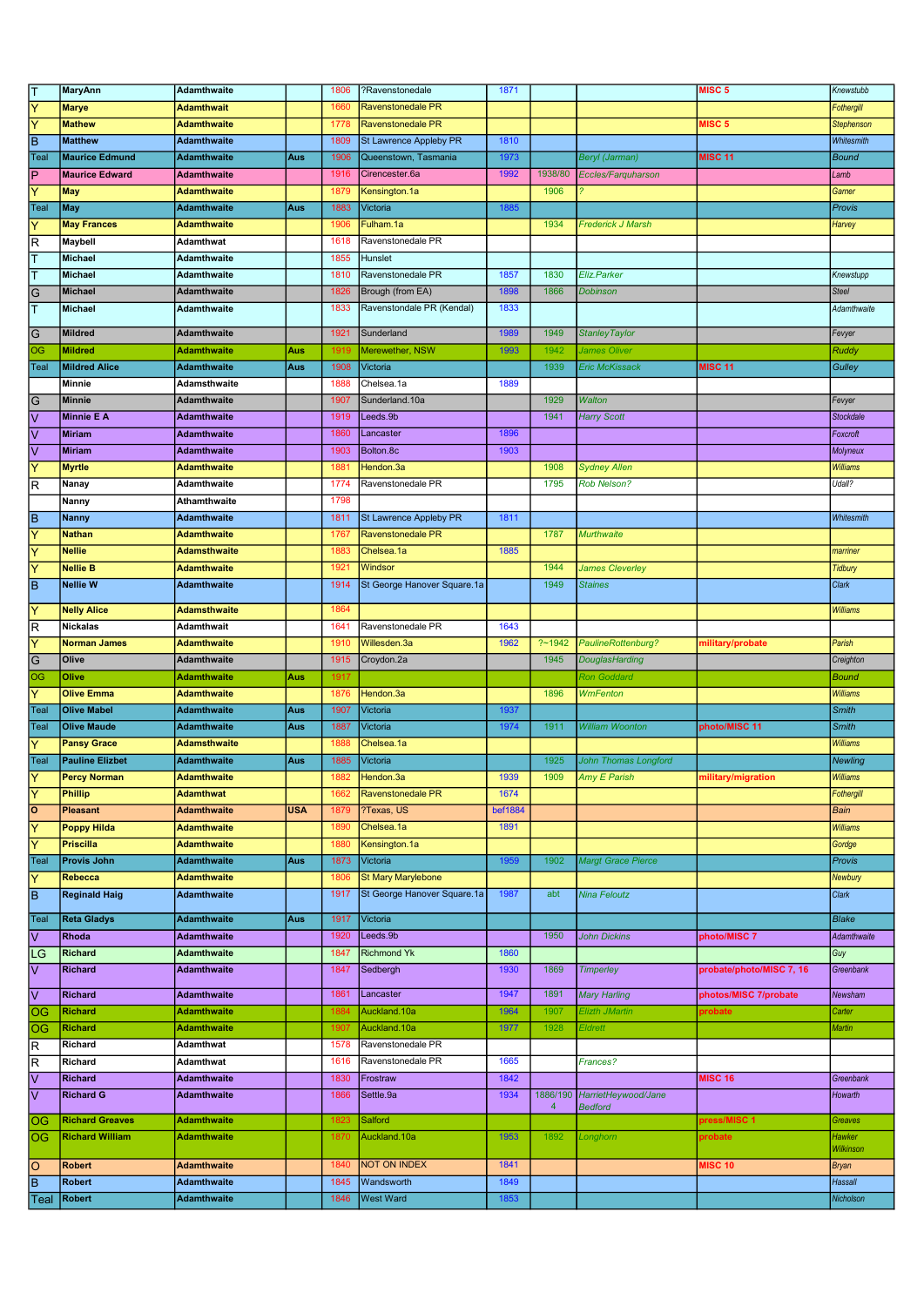| ΙT                      | <b>MaryAnn</b>         | <b>Adamthwaite</b> |            | 1806 | ?Ravenstonedale             | 1871    |         |                              | MISC <sub>5</sub>        | Knewstubb       |
|-------------------------|------------------------|--------------------|------------|------|-----------------------------|---------|---------|------------------------------|--------------------------|-----------------|
| Ÿ                       | <b>Marye</b>           | <b>Adamthwait</b>  |            | 1660 | <b>Ravenstonedale PR</b>    |         |         |                              |                          | Fothergill      |
| $\overline{\mathsf{Y}}$ | <b>Mathew</b>          | <b>Adamthwaite</b> |            | 1778 | <b>Ravenstonedale PR</b>    |         |         |                              | <b>MISC 5</b>            | Stephenson      |
| Ē                       | <b>Matthew</b>         | <b>Adamthwaite</b> |            | 1809 | St Lawrence Appleby PR      | 1810    |         |                              |                          | Whitesmith      |
| Teal                    | <b>Maurice Edmund</b>  | <b>Adamthwaite</b> | Aus        | 1906 | Queenstown, Tasmania        | 1973    |         | Beryl (Jarman)               | <b>MISC 11</b>           | <b>Bound</b>    |
| ΙP                      | <b>Maurice Edward</b>  | Adamthwaite        |            | 1916 | Cirencester.6a              | 1992    | 1938/80 | Eccles/Farquharson           |                          | Lamb            |
| Ÿ                       | May                    | <b>Adamthwaite</b> |            | 1879 | Kensington.1a               |         | 1906    |                              |                          | Garner          |
| Teal                    | May                    | <b>Adamthwaite</b> | Aus        | 1883 | Victoria                    | 1885    |         |                              |                          | Provis          |
| Y                       | <b>May Frances</b>     | Adamthwaite        |            | 1906 | Fulham.1a                   |         | 1934    | Frederick J Marsh            |                          | Harvey          |
| R                       | Maybell                | Adamthwat          |            | 1618 | Ravenstonedale PR           |         |         |                              |                          |                 |
| ⊺                       | <b>Michael</b>         | Adamthwaite        |            | 1855 | Hunslet                     |         |         |                              |                          |                 |
| ⊺                       | <b>Michael</b>         | Adamthwaite        |            | 1810 | Ravenstonedale PR           | 1857    | 1830    | Eliz.Parker                  |                          | Knewstupp       |
| $\overline{G}$          | <b>Michael</b>         | <b>Adamthwaite</b> |            | 1826 | Brough (from EA)            | 1898    | 1866    | <b>Dobinson</b>              |                          | <b>Steel</b>    |
| ⊺                       | <b>Michael</b>         | Adamthwaite        |            | 1833 | Ravenstondale PR (Kendal)   | 1833    |         |                              |                          | Adamthwaite     |
|                         |                        |                    |            |      |                             |         |         |                              |                          |                 |
| G                       | <b>Mildred</b>         | <b>Adamthwaite</b> |            | 1921 | Sunderland                  | 1989    | 1949    | <b>Stanley Taylor</b>        |                          | Fevyer          |
| OG                      | <b>Mildred</b>         | Adamthwaite        | Aus        | 1919 | Merewether, NSW             | 1993    | 1942    | James Oliver                 |                          | Ruddy           |
| Teal                    | <b>Mildred Alice</b>   | Adamthwaite        | Aus        | 1908 | Victoria                    |         | 1939    | <b>Eric McKissack</b>        | <b>MISC 11</b>           | Gulley          |
|                         | Minnie                 | Adamsthwaite       |            | 1888 | Chelsea.1a                  | 1889    |         |                              |                          |                 |
| G                       | <b>Minnie</b>          | <b>Adamthwaite</b> |            | 1907 | Sunderland.10a              |         | 1929    | <b>Walton</b>                |                          | Fevyer          |
| $\overline{\vee}$       | <b>Minnie E A</b>      | <b>Adamthwaite</b> |            | 1919 | Leeds.9b                    |         | 1941    | <b>Harry Scott</b>           |                          | Stockdale       |
| ⊽                       | <b>Miriam</b>          | <b>Adamthwaite</b> |            | 1860 | Lancaster                   | 1896    |         |                              |                          | Foxcroft        |
| $\overline{\vee}$       | <b>Miriam</b>          | <b>Adamthwaite</b> |            | 1903 | Bolton.8c                   | 1903    |         |                              |                          | Molyneux        |
| Y                       | <b>Myrtle</b>          | Adamthwaite        |            | 1881 | Hendon.3a                   |         | 1908    | <b>Sydney Allen</b>          |                          | Williams        |
| $\overline{\mathsf{R}}$ | Nanay                  | Adamthwaite        |            | 1774 | Ravenstonedale PR           |         | 1795    | <b>Rob Nelson?</b>           |                          | Udall?          |
|                         | Nanny                  | Athamthwaite       |            | 1798 |                             |         |         |                              |                          |                 |
| ĪΒ                      | <b>Nanny</b>           | <b>Adamthwaite</b> |            | 1811 | St Lawrence Appleby PR      | 1811    |         |                              |                          | Whitesmith      |
| Y                       | <b>Nathan</b>          | Adamthwaite        |            | 1767 | <b>Ravenstonedale PR</b>    |         | 1787    | <b>Murthwaite</b>            |                          |                 |
| Ÿ                       | <b>Nellie</b>          | Adamsthwaite       |            | 1883 | Chelsea.1a                  | 1885    |         |                              |                          | marriner        |
| Ÿ                       | <b>Nellie B</b>        | <b>Adamthwaite</b> |            | 1921 | Windsor                     |         | 1944    | <b>James Cleverley</b>       |                          | <b>Tidbury</b>  |
| ĒΒ                      | <b>Nellie W</b>        | <b>Adamthwaite</b> |            | 1914 | St George Hanover Square.1a |         | 1949    | <b>Staines</b>               |                          | Clark           |
|                         |                        |                    |            |      |                             |         |         |                              |                          |                 |
| Y                       | <b>Nelly Alice</b>     | Adamsthwaite       |            | 1864 |                             |         |         |                              |                          | <b>Williams</b> |
| $\overline{\mathsf{R}}$ | <b>Nickalas</b>        | <b>Adamthwait</b>  |            | 1641 | Ravenstonedale PR           | 1643    |         |                              |                          |                 |
| $\overline{Y}$          | <b>Norman James</b>    | <b>Adamthwaite</b> |            | 1910 | Willesden.3a                | 1962    | ?~1942  | PaulineRottenburg?           | military/probate         | Parish          |
| $\overline{G}$          | Olive                  | Adamthwaite        |            | 1915 | Croydon.2a                  |         | 1945    | DouglasHarding               |                          | Creighton       |
| OG                      | Olive                  | <b>Adamthwaite</b> | Aus        | 1917 |                             |         |         | <b>Ron Goddard</b>           |                          | <b>Bound</b>    |
| Ÿ                       | <b>Olive Emma</b>      | Adamthwaite        |            | 1876 | Hendon.3a                   |         | 1896    | <b>WmFenton</b>              |                          | <b>Williams</b> |
| Teal                    | <b>Olive Mabel</b>     | <b>Adamthwaite</b> | Aus        | 1907 | Victoria                    | 1937    |         |                              |                          | <b>Smith</b>    |
| Teal                    | <b>Olive Maude</b>     | <b>Adamthwaite</b> | Aus        | 1887 | Victoria                    | 1974    | 1911    | <b>William Woonton</b>       | photo/MISC 11            | <b>Smith</b>    |
| Ÿ                       | <b>Pansy Grace</b>     | Adamsthwaite       |            | 1888 | Chelsea.1a                  |         |         |                              |                          | Williams        |
| Teal                    | <b>Pauline Elizbet</b> | Adamthwaite        | Aus        | 1885 | Victoria                    |         | 1925    | John Thomas Longford         |                          | Newling         |
| IΥ                      | <b>Percy Norman</b>    | <b>Adamthwaite</b> |            | 1004 | Hendon.3a                   | 1939    | 1909    | Amy E Parish                 | military/migration       | Williams        |
| ⊺⊽                      | <b>Phillip</b>         | <b>Adamthwat</b>   |            | 1662 | Ravenstonedale PR           | 1674    |         |                              |                          | Fothergill      |
| ०                       | Pleasant               | <b>Adamthwaite</b> | <b>USA</b> | 1879 | ?Texas, US                  | bef1884 |         |                              |                          | Bain            |
| Y                       | <b>Poppy Hilda</b>     | <b>Adamthwaite</b> |            | 1890 | Chelsea.1a                  | 1891    |         |                              |                          | <b>Williams</b> |
| ΙY                      | <b>Priscilla</b>       | <b>Adamthwaite</b> |            | 1880 | Kensington.1a               |         |         |                              |                          | Gordge          |
| Teal                    | Provis John            | <b>Adamthwaite</b> | Aus        | 1873 | Victoria                    | 1959    | 1902    | <b>Margt Grace Pierce</b>    |                          | Provis          |
| $\overline{\mathsf{Y}}$ | Rebecca                | <b>Adamthwaite</b> |            | 1806 | St Mary Marylebone          |         |         |                              |                          | Newbury         |
| $\overline{B}$          | <b>Reginald Haig</b>   | Adamthwaite        |            | 1917 | St George Hanover Square.1a | 1987    | abt     | Nina Feloutz                 |                          | Clark           |
| Teal                    | <b>Reta Gladys</b>     | <b>Adamthwaite</b> | Aus        | 1917 | Victoria                    |         |         |                              |                          | <b>Blake</b>    |
| lv                      | Rhoda                  | <b>Adamthwaite</b> |            | 1920 | Leeds.9b                    |         | 1950    | <b>John Dickins</b>          | photo/MISC 7             | Adamthwaite     |
| LG                      | <b>Richard</b>         | <b>Adamthwaite</b> |            | 1847 | <b>Richmond Yk</b>          | 1860    |         |                              |                          | Guy             |
| Ιv                      | <b>Richard</b>         | <b>Adamthwaite</b> |            | 1847 | Sedbergh                    | 1930    | 1869    | <b>Timperley</b>             | probate/photo/MISC 7, 16 | Greenbank       |
|                         |                        |                    |            |      |                             |         |         |                              |                          |                 |
| ⊽                       | <b>Richard</b>         | <b>Adamthwaite</b> |            | 1861 | Lancaster                   | 1947    | 1891    | <b>Mary Harling</b>          | photos/MISC 7/probate    | Newsham         |
| OG                      | <b>Richard</b>         | <b>Adamthwaite</b> |            | 1884 | Auckland.10a                | 1964    | 1907    | Elizth JMartin               | probate                  | Carter          |
| OG                      | <b>Richard</b>         | <b>Adamthwaite</b> |            | 1907 | Auckland.10a                | 1977    | 1928    | Eldrett                      |                          | Martin          |
| $\overline{\mathsf{R}}$ | Richard                | Adamthwat          |            | 1578 | Ravenstonedale PR           |         |         |                              |                          |                 |
| R                       | Richard                | Adamthwat          |            | 1616 | Ravenstonedale PR           | 1665    |         | Frances?                     |                          |                 |
| $\overline{\mathsf{v}}$ | <b>Richard</b>         | Adamthwaite        |            | 1830 | Frostraw                    | 1842    |         |                              | <b>MISC 16</b>           | Greenbank       |
| ⊽                       | <b>Richard G</b>       | Adamthwaite        |            | 1866 | Settle.9a                   | 1934    |         | 1886/190 HarrietHeywood/Jane |                          | Howarth         |
|                         | <b>Richard Greaves</b> | <b>Adamthwaite</b> |            | 1823 | Salford                     |         | 4       | <b>Bedford</b>               | press/MISC 1             | Greaves         |
| OG                      | <b>Richard William</b> | <b>Adamthwaite</b> |            | 1870 | Auckland.10a                | 1953    | 1892    | Longhorn                     | probate                  | Hawker          |
| <b>OG</b>               |                        |                    |            |      |                             |         |         |                              |                          | Wilkinson       |
| 0                       | <b>Robert</b>          | <b>Adamthwaite</b> |            | 1840 | NOT ON INDEX                | 1841    |         |                              | <b>MISC 10</b>           | <b>Bryan</b>    |
| $\overline{\mathsf{B}}$ | <b>Robert</b>          | <b>Adamthwaite</b> |            | 1845 | Wandsworth                  | 1849    |         |                              |                          | Hassall         |
| Teal                    | <b>Robert</b>          | <b>Adamthwaite</b> |            | 1846 | <b>West Ward</b>            | 1853    |         |                              |                          | Nicholson       |
|                         |                        |                    |            |      |                             |         |         |                              |                          |                 |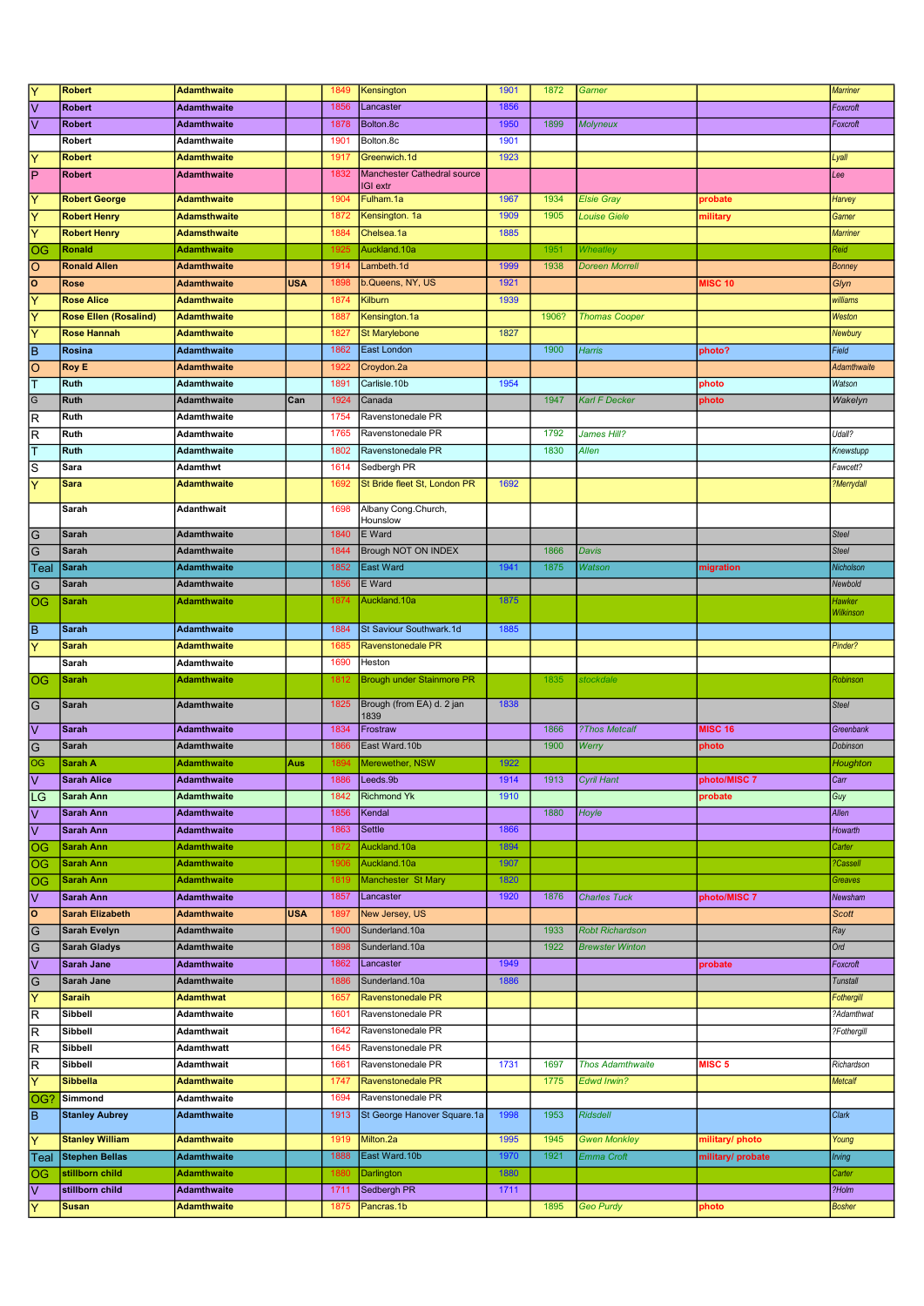| Y                                   | <b>Robert</b>                | <b>Adamthwaite</b>  |            | 1849 | Kensington                       | 1901 | 1872  | Garner                  |                   | <b>Marriner</b> |
|-------------------------------------|------------------------------|---------------------|------------|------|----------------------------------|------|-------|-------------------------|-------------------|-----------------|
| $\overline{\vee}$                   | <b>Robert</b>                | Adamthwaite         |            | 1856 | Lancaster                        | 1856 |       |                         |                   | Foxcroft        |
| 母                                   | <b>Robert</b>                | Adamthwaite         |            | 1878 | Bolton.8c                        | 1950 | 1899  | <b>Molyneux</b>         |                   | Foxcroft        |
|                                     | Robert                       | Adamthwaite         |            | 1901 | Bolton.8c                        | 1901 |       |                         |                   |                 |
| $\overline{\mathsf{Y}}$             | <b>Robert</b>                | <b>Adamthwaite</b>  |            | 1917 | Greenwich.1d                     | 1923 |       |                         |                   | Lyall           |
| $\overline{\mathsf{P}}$             | <b>Robert</b>                | <b>Adamthwaite</b>  |            | 1832 | Manchester Cathedral source      |      |       |                         |                   | Lee             |
|                                     |                              |                     |            |      | IGI extr                         |      |       |                         |                   |                 |
| $\overline{\mathsf{Y}}$             | <b>Robert George</b>         | <b>Adamthwaite</b>  |            | 1904 | Fulham.1a                        | 1967 | 1934  | <b>Elsie Gray</b>       | probate           | Harvey          |
| $\overline{\mathsf{Y}}$             | <b>Robert Henry</b>          | <b>Adamsthwaite</b> |            | 1872 | Kensington. 1a                   | 1909 | 1905  | <b>Louise Giele</b>     | military          | Garner          |
| $\overline{\mathsf{Y}}$             | <b>Robert Henry</b>          | <b>Adamsthwaite</b> |            | 1884 | Chelsea.1a                       | 1885 |       |                         |                   | Marriner        |
| $\overline{\text{log}}$             | Ronald                       | Adamthwaite         |            | 1925 | Auckland.10a                     |      | 1951  | Wheatley                |                   | Reid            |
| $\overline{\circ}$                  | <b>Ronald Allen</b>          | <b>Adamthwaite</b>  |            | 1914 | Lambeth.1d                       | 1999 | 1938  | <b>Doreen Morrell</b>   |                   | Bonney          |
| $\overline{\circ}$                  | <b>Rose</b>                  | Adamthwaite         | <b>USA</b> | 1898 | b.Queens, NY, US                 | 1921 |       |                         | <b>MISC 10</b>    | Glyn            |
| $\overline{\mathsf{Y}}$             | <b>Rose Alice</b>            | <b>Adamthwaite</b>  |            | 1874 | Kilburn                          | 1939 |       |                         |                   | williams        |
| $\overline{\mathsf{Y}}$             | <b>Rose Ellen (Rosalind)</b> | <b>Adamthwaite</b>  |            | 1887 | Kensington.1a                    |      | 1906? | <b>Thomas Cooper</b>    |                   | Weston          |
| $\overline{\mathsf{Y}}$             | <b>Rose Hannah</b>           | Adamthwaite         |            | 1827 | St Marylebone                    | 1827 |       |                         |                   | Newbury         |
| $\overline{B}$                      | Rosina                       | Adamthwaite         |            | 1862 | East London                      |      | 1900  | <b>Harris</b>           | photo?            | Field           |
|                                     | <b>Roy E</b>                 | Adamthwaite         |            | 1922 | Croydon.2a                       |      |       |                         |                   | Adamthwaite     |
| $\frac{1}{10}$                      | <b>Ruth</b>                  | <b>Adamthwaite</b>  |            | 1891 | Carlisle.10b                     | 1954 |       |                         | photo             | Watson          |
|                                     | Ruth                         | Adamthwaite         | Can        | 1924 | Canada                           |      | 1947  | <b>Karl F Decker</b>    | photo             | Wakelyn         |
| $\frac{G}{R}$                       | Ruth                         | Adamthwaite         |            | 1754 | Ravenstonedale PR                |      |       |                         |                   |                 |
| $\overline{\mathsf{R}}$             | Ruth                         | <b>Adamthwaite</b>  |            | 1765 | Ravenstonedale PR                |      | 1792  | James Hill?             |                   | Udall?          |
| $\overline{\mathsf{T}}$             | <b>Ruth</b>                  | <b>Adamthwaite</b>  |            | 1802 | Ravenstonedale PR                |      | 1830  | <b>Allen</b>            |                   |                 |
| $\overline{s}$                      |                              |                     |            | 1614 | Sedbergh PR                      |      |       |                         |                   | Knewstupp       |
|                                     | Sara                         | Adamthwt            |            |      |                                  | 1692 |       |                         |                   | Fawcett?        |
| Y                                   | <b>Sara</b>                  | Adamthwaite         |            | 1692 | St Bride fleet St, London PR     |      |       |                         |                   | ?Merrydall      |
|                                     | Sarah                        | Adanthwait          |            | 1698 | Albany Cong.Church,              |      |       |                         |                   |                 |
|                                     |                              |                     |            |      | Hounslow                         |      |       |                         |                   |                 |
| $\frac{1}{\sqrt{2}}$                | Sarah                        | <b>Adamthwaite</b>  |            | 1840 | E Ward                           |      |       |                         |                   | <b>Steel</b>    |
|                                     | <b>Sarah</b>                 | <b>Adamthwaite</b>  |            | 1844 | <b>Brough NOT ON INDEX</b>       |      | 1866  | Davis                   |                   | <b>Steel</b>    |
| Teal                                | <b>Sarah</b>                 | <b>Adamthwaite</b>  |            | 1852 | <b>East Ward</b>                 | 1941 | 1875  | Watson                  | migration         | Nicholson       |
| $\overline{G}$                      | Sarah                        | Adamthwaite         |            | 1856 | E Ward                           |      |       |                         |                   | Newbold         |
| $\overline{\text{log}}$             | <b>Sarah</b>                 | Adamthwaite         |            | 1874 | Auckland.10a                     | 1875 |       |                         |                   | Hawker          |
|                                     |                              |                     |            |      |                                  |      |       |                         |                   | Wilkinson       |
| $\frac{1}{\sqrt{2}}$                | <b>Sarah</b>                 | Adamthwaite         |            | 1884 | St Saviour Southwark.1d          | 1885 |       |                         |                   |                 |
|                                     | <b>Sarah</b>                 | Adamthwaite         |            | 1685 | Ravenstonedale PR                |      |       |                         |                   | Pinder?         |
|                                     | Sarah                        | Adamthwaite         |            | 1690 | Heston                           |      |       |                         |                   |                 |
| $\overline{\text{log}}$             | <b>Sarah</b>                 | <b>Adamthwaite</b>  |            | 1812 | <b>Brough under Stainmore PR</b> |      | 1835  | stockdale               |                   | Robinson        |
| $\overline{G}$                      | <b>Sarah</b>                 | <b>Adamthwaite</b>  |            | 1825 | Brough (from EA) d. 2 jan        | 1838 |       |                         |                   | <b>Steel</b>    |
|                                     |                              |                     |            |      | 1839                             |      |       |                         |                   |                 |
| $\overline{\vee}$                   | <b>Sarah</b>                 | <b>Adamthwaite</b>  |            | 1834 | Frostraw                         |      | 1866  | ?Thos Metcalf           | <b>MISC 16</b>    | Greenbank       |
| $\frac{1}{\log}$                    | <b>Sarah</b>                 | Adamthwaite         |            | 1866 | East Ward.10b                    |      | 1900  | Werry                   | photo             | Dobinson        |
|                                     | Sarah A                      | <b>Adamthwaite</b>  | Aus        | 1894 | Merewether, NSW                  | 1922 |       |                         |                   | Houghton        |
| $\overline{\triangledown}$          | Sarah Alice                  | Adamthwaite         |            | 1886 | Leeds.9b                         | 1914 | 1913  | Cyril Hant              | photo/MISC 7      | Carr            |
| LG                                  | Sarah Ann                    | Adamthwaite         |            | 1842 | <b>Richmond Yk</b>               | 1910 |       |                         | probate           | Guy             |
| $\overline{\vee}$                   | <b>Sarah Ann</b>             | <b>Adamthwaite</b>  |            | 1856 | Kendal                           |      | 1880  | Hoyle                   |                   | Allen           |
| ⊽                                   | <b>Sarah Ann</b>             | <b>Adamthwaite</b>  |            | 1863 | Settle                           | 1866 |       |                         |                   | Howarth         |
| $\overline{\text{log}}$             | <b>Sarah Ann</b>             | <b>Adamthwaite</b>  |            | 1872 | Auckland.10a                     | 1894 |       |                         |                   | Carter          |
| $\overline{\text{log}}$             | <b>Sarah Ann</b>             | Adamthwaite         |            | 1906 | Auckland.10a                     | 1907 |       |                         |                   | ?Cassell        |
| OG                                  | <b>Sarah Ann</b>             | <b>Adamthwaite</b>  |            | 1819 | Manchester St Mary               | 1820 |       |                         |                   | Greaves         |
| $\overline{\vee}$                   | Sarah Ann                    | <b>Adamthwaite</b>  |            | 1857 | Lancaster                        | 1920 | 1876  | <b>Charles Tuck</b>     | photo/MISC 7      | Newsham         |
| ᅙ                                   | <b>Sarah Elizabeth</b>       | <b>Adamthwaite</b>  | <b>USA</b> | 1897 | New Jersey, US                   |      |       |                         |                   | <b>Scott</b>    |
| $\overline{G}$                      | <b>Sarah Evelyn</b>          | <b>Adamthwaite</b>  |            | 1900 | Sunderland.10a                   |      | 1933  | <b>Robt Richardson</b>  |                   | Ray             |
|                                     | <b>Sarah Gladys</b>          | <b>Adamthwaite</b>  |            | 1898 | Sunderland.10a                   |      | 1922  | <b>Brewster Winton</b>  |                   | Ord             |
| $\frac{1}{2}$                       | <b>Sarah Jane</b>            | <b>Adamthwaite</b>  |            | 1862 | Lancaster                        | 1949 |       |                         | probate           | Foxcroft        |
|                                     | Sarah Jane                   | Adamthwaite         |            | 1886 | Sunderland.10a                   | 1886 |       |                         |                   | Tunstall        |
| $\frac{1}{2}$                       | <b>Saraih</b>                | <b>Adamthwat</b>    |            | 1657 | Ravenstonedale PR                |      |       |                         |                   | Fothergill      |
| $\overline{R}$                      | Sibbell                      | Adamthwaite         |            | 1601 | Ravenstonedale PR                |      |       |                         |                   | ?Adamthwat      |
| $\overline{\mathsf{R}}$             | Sibbell                      | Adamthwait          |            | 1642 | Ravenstonedale PR                |      |       |                         |                   | ?Fothergill     |
| $\overline{\mathsf{R}}$             | Sibbell                      | Adamthwatt          |            | 1645 | Ravenstonedale PR                |      |       |                         |                   |                 |
| $\overline{R}$                      | Sibbell                      | Adamthwait          |            | 1661 | Ravenstonedale PR                | 1731 | 1697  | <b>Thos Adamthwaite</b> | MISC <sub>5</sub> | Richardson      |
| $\overline{\mathsf{Y}}$             | <b>Sibbella</b>              | <b>Adamthwaite</b>  |            | 1747 | Ravenstonedale PR                |      | 1775  | <b>Edwd Irwin?</b>      |                   | <b>Metcalf</b>  |
| OG.                                 | Simmond                      | Adamthwaite         |            | 1694 | Ravenstonedale PR                |      |       |                         |                   |                 |
| $\overline{B}$                      |                              | <b>Adamthwaite</b>  |            | 1913 | St George Hanover Square.1a      | 1998 | 1953  | <b>Ridsdell</b>         |                   | <b>Clark</b>    |
|                                     | <b>Stanley Aubrey</b>        |                     |            |      |                                  |      |       |                         |                   |                 |
| $\overline{\mathsf{Y}}$             | <b>Stanley William</b>       | <b>Adamthwaite</b>  |            | 1919 | Milton.2a                        | 1995 | 1945  | <b>Gwen Monkley</b>     | military/ photo   | Young           |
| Teal                                | <b>Stephen Bellas</b>        | <b>Adamthwaite</b>  |            | 1888 | East Ward.10b                    | 1970 | 1921  | <b>Emma Croft</b>       | military/ probate | <b>Irving</b>   |
| OG                                  |                              |                     |            |      |                                  |      |       |                         |                   |                 |
|                                     | stillborn child              | <b>Adamthwaite</b>  |            | 1880 | Darlington                       | 1880 |       |                         |                   | Carter          |
|                                     | stillborn child              | <b>Adamthwaite</b>  |            | 1711 | Sedbergh PR                      | 1711 |       |                         |                   | ?Holm           |
| $\overline{\vee}$<br>$\overline{Y}$ | <b>Susan</b>                 | Adamthwaite         |            | 1875 | Pancras.1b                       |      | 1895  | <b>Geo Purdy</b>        | photo             | <b>Bosher</b>   |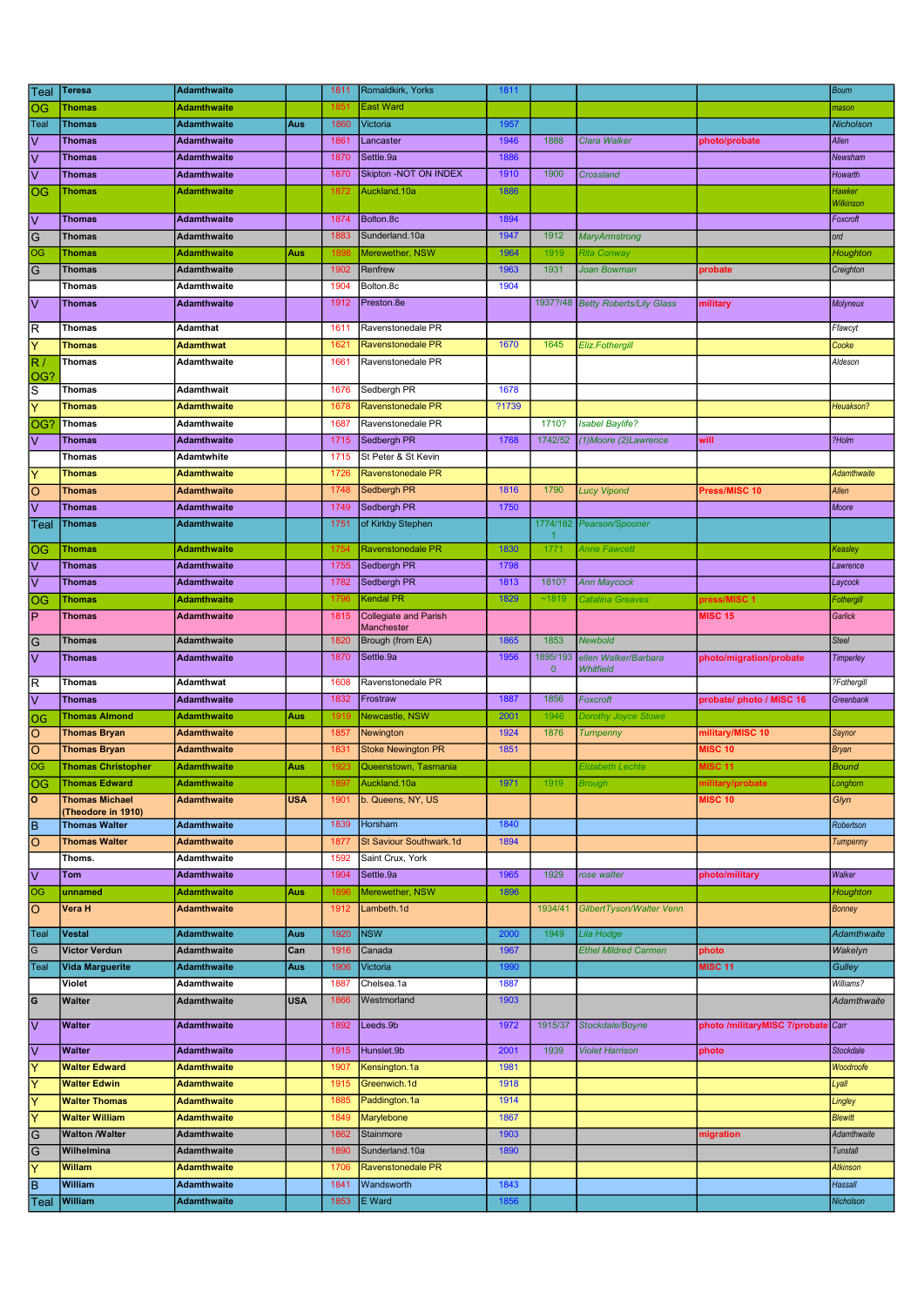| Teal                    | <b>Teresa</b>                              | <b>Adamthwaite</b>                |            | 1811         | Romaldkirk, Yorks             | 1811  |                |                                   |                                    | <b>Bourn</b>       |
|-------------------------|--------------------------------------------|-----------------------------------|------------|--------------|-------------------------------|-------|----------------|-----------------------------------|------------------------------------|--------------------|
| OG                      | Thomas                                     | <b>Adamthwaite</b>                |            | 1851         | <b>East Ward</b>              |       |                |                                   |                                    | mason              |
| Teal                    | <b>Thomas</b>                              | <b>Adamthwaite</b>                | Aus        | 1860         | Victoria                      | 1957  |                |                                   |                                    | Nicholson          |
| V                       | <b>Thomas</b>                              | <b>Adamthwaite</b>                |            | 1861         | Lancaster                     | 1946  | 1888           | Clara Walker                      | photo/probate                      | Allen              |
| l٧                      | <b>Thomas</b>                              | <b>Adamthwaite</b>                |            | 1870         | Settle.9a                     | 1886  |                |                                   |                                    | Newsham            |
| l٧                      | Thomas                                     | <b>Adamthwaite</b>                |            | 1870         | Skipton - NOT ON INDEX        | 1910  | 1900           | Crossland                         |                                    | Howarth            |
| OG                      | <b>Thomas</b>                              | <b>Adamthwaite</b>                |            | 1872         | Auckland.10a                  | 1886  |                |                                   |                                    | Hawker             |
|                         |                                            |                                   |            |              |                               |       |                |                                   |                                    | Wilkinsor          |
| V                       | <b>Thomas</b>                              | <b>Adamthwaite</b>                |            | 1874         | Bolton.8c                     | 1894  |                |                                   |                                    | Foxcroft           |
| G                       | <b>Thomas</b>                              | Adamthwaite                       |            | 1883         | Sunderland.10a                | 1947  | 1912           | <b>MaryArmstrong</b>              |                                    | ord                |
| OG                      | <b>Thomas</b>                              | <b>Adamthwaite</b>                | Aus        | 1898         | Merewether, NSW               | 1964  | 1919           | Rita Conway                       |                                    | Houghton           |
| G                       | <b>Thomas</b>                              | <b>Adamthwaite</b>                |            | 1902         | Renfrew                       | 1963  | 1931           | Joan Bowman                       | probate                            | Creighton          |
|                         | <b>Thomas</b>                              | Adamthwaite<br><b>Adamthwaite</b> |            | 1904         | Bolton.8c<br>Preston.8e       | 1904  |                | 1937?/48 Betty Roberts/Lily Glass |                                    |                    |
| V                       | <b>Thomas</b>                              |                                   |            | 1912         |                               |       |                |                                   | military                           | Molyneux           |
| R                       | Thomas                                     | Adamthat                          |            | 1611         | Ravenstonedale PR             |       |                |                                   |                                    | Ffawcyt            |
| Ÿ                       | <b>Thomas</b>                              | <b>Adamthwat</b>                  |            | 1621         | <b>Ravenstonedale PR</b>      | 1670  | 1645           | Eliz.Fothergill                   |                                    | Cooke              |
| R.                      | Thomas                                     | Adamthwaite                       |            | 1661         | Ravenstonedale PR             |       |                |                                   |                                    | Aldeson            |
| OG?                     |                                            |                                   |            |              |                               |       |                |                                   |                                    |                    |
| S                       | Thomas                                     | <b>Adamthwait</b>                 |            | 1676         | Sedbergh PR                   | 1678  |                |                                   |                                    |                    |
| Ÿ                       | <b>Thomas</b>                              | <b>Adamthwaite</b>                |            | 1678         | Ravenstonedale PR             | ?1739 |                |                                   |                                    | Heuakson?          |
| OG <sup>®</sup>         | Thomas                                     | Adamthwaite                       |            | 1687         | Ravenstonedale PR             |       | 1710?          | <b>Isabel Baylife?</b>            |                                    |                    |
| $\overline{\mathsf{v}}$ | <b>Thomas</b>                              | <b>Adamthwaite</b>                |            | 1715         | Sedbergh PR                   | 1768  | 1742/52        | (1) Moore (2) Lawrence            | will                               | ?Holm              |
|                         | Thomas                                     | Adamtwhite                        |            | 1715         | St Peter & St Kevin           |       |                |                                   |                                    |                    |
| Υ                       | <b>Thomas</b>                              | <b>Adamthwaite</b>                |            | 1726         | <b>Ravenstonedale PR</b>      |       |                |                                   |                                    | <b>Adamthwaite</b> |
| ΙO                      | <b>Thomas</b>                              | <b>Adamthwaite</b>                |            | 1748         | Sedbergh PR                   | 1816  | 1790           | <b>Lucy Vipond</b>                | Press/MISC 10                      | Allen              |
| V                       | <b>Thomas</b>                              | <b>Adamthwaite</b>                |            | 1749         | Sedbergh PR                   | 1750  |                |                                   |                                    | Moore              |
| Teal                    | <b>Thomas</b>                              | <b>Adamthwaite</b>                |            | 1751         | of Kirkby Stephen             |       | 1774/182<br>-1 | Pearson/Spooner                   |                                    |                    |
| OG                      | <b>Thomas</b>                              | <b>Adamthwaite</b>                |            | 1754         | Ravenstonedale PR             | 1830  | 1771           | Anne Fawcett                      |                                    | Keasley            |
| V                       | <b>Thomas</b>                              | <b>Adamthwaite</b>                |            | 1755         | Sedbergh PR                   | 1798  |                |                                   |                                    | Lawrence           |
| $\overline{\mathsf{V}}$ | <b>Thomas</b>                              | <b>Adamthwaite</b>                |            | 1782         | Sedbergh PR                   | 1813  | 1810?          | <b>Ann Maycock</b>                |                                    | Laycock            |
| OG                      | <b>Thomas</b>                              | <b>Adamthwaite</b>                |            | 1796         | <b>Kendal PR</b>              | 1829  | ~1819          | Catalina Greaves                  | press/MISC 1                       | Fothergill         |
| İΡ                      | Thomas                                     | <b>Adamthwaite</b>                |            | 1815         | <b>Collegiate and Parish</b>  |       |                |                                   | <b>MISC 15</b>                     | Garlick            |
|                         |                                            | Adamthwaite                       |            |              | Manchester                    | 1865  | 1853           | Newbold                           |                                    | <b>Steel</b>       |
| G<br>l٧                 | <b>Thomas</b><br><b>Thomas</b>             | <b>Adamthwaite</b>                |            | 1820<br>1870 | Brough (from EA)<br>Settle.9a | 1956  | 1895/193       | ellen Walker/Barbara              |                                    |                    |
|                         |                                            |                                   |            |              |                               |       | $\mathbf 0$    | Whitfield                         | photo/migration/probate            | Timperley          |
| R                       | <b>Thomas</b>                              | Adamthwat                         |            | 1608         | Ravenstonedale PR             |       |                |                                   |                                    | ?Fothergill        |
| l٧                      | <b>Thomas</b>                              | <b>Adamthwaite</b>                |            | 1832         | Frostraw                      | 1887  | 1856           | Foxcroft                          | probate/ photo / MISC 16           | Greenbank          |
| OG                      | <b>Thomas Almond</b>                       | <b>Adamthwaite</b>                | Aus        | 1919         | Newcastle, NSW                | 2001  | 1946           | Dorothy Joyce Stowe               |                                    |                    |
| $\circ$                 | <b>Thomas Bryan</b>                        | <b>Adamthwaite</b>                |            | 1857         | Newington                     | 1924  | 1876           | <b>Turnpenny</b>                  | military/MISC 10                   | Saynor             |
| $\circ$                 | <b>Thomas Bryan</b>                        | <b>Adamthwaite</b>                |            | 1831         | <b>Stoke Newington PR</b>     | 1851  |                |                                   | <b>MISC 10</b>                     | <b>Bryan</b>       |
| OG                      | <b>Thomas Christopher</b>                  | <b>Adamthwaite</b>                | Aus        | 1923         | Queenstown, Tasmania          |       |                | <b>Elizabeth Lechte</b>           | <b>MISC 11</b>                     | <b>Bound</b>       |
| OG                      | <b>Thomas Edward</b>                       | <b>Adamthwaite</b>                |            | 1897         | Auckland.10a                  | 1971  | 1919           | <b>Brough</b>                     | military/probate                   | Longhom            |
| ١o                      | <b>Thomas Michael</b>                      | <b>Adamthwaite</b>                | USA        | 1901         | b. Queens, NY, US             |       |                |                                   | <b>MISC 10</b>                     | Glyn               |
| lв                      | (Theodore in 1910)<br><b>Thomas Walter</b> | <b>Adamthwaite</b>                |            | 1839         | Horsham                       | 1840  |                |                                   |                                    | Robertson          |
| $\circ$                 | <b>Thomas Walter</b>                       | <b>Adamthwaite</b>                |            | 1877         | St Saviour Southwark.1d       | 1894  |                |                                   |                                    | Tumpenny           |
|                         | Thoms.                                     | Adamthwaite                       |            | 1592         | Saint Crux, York              |       |                |                                   |                                    |                    |
| $\overline{\vee}$       | Tom                                        | <b>Adamthwaite</b>                |            | 1904         | Settle.9a                     | 1965  | 1929           | rose walter                       | photo/military                     | Walker             |
| OG                      | unnamed                                    | <b>Adamthwaite</b>                | Aus        | 1896         | Merewether, NSW               | 1896  |                |                                   |                                    | Houghton           |
| O                       | Vera H                                     | <b>Adamthwaite</b>                |            | 1912         | Lambeth.1d                    |       | 1934/41        | GilbertTyson/Walter Venn          |                                    | <b>Bonney</b>      |
|                         |                                            |                                   |            |              |                               |       |                |                                   |                                    |                    |
| Teal                    | <b>Vestal</b>                              | <b>Adamthwaite</b>                | Aus        | 1920         | <b>NSW</b>                    | 2000  | 1949           | Lila Hodge                        |                                    | <b>Adamthwaite</b> |
| $\overline{G}$          | <b>Victor Verdun</b>                       | Adamthwaite                       | Can        | 1916         | Canada                        | 1967  |                | <b>Ethel Mildred Carmen</b>       | photo                              | Wakelyn            |
| Teal                    | <b>Vida Marguerite</b>                     | <b>Adamthwaite</b>                | Aus        | 1906         | Victoria                      | 1990  |                |                                   | <b>MISC 11</b>                     | Gulley             |
|                         | Violet                                     | Adamthwaite                       |            | 1887         | Chelsea.1a                    | 1887  |                |                                   |                                    | Williams?          |
| G                       | <b>Walter</b>                              | Adamthwaite                       | <b>USA</b> | 1866         | Westmorland                   | 1903  |                |                                   |                                    | Adamthwaite        |
| l٧                      | <b>Walter</b>                              | <b>Adamthwaite</b>                |            | 1892         | Leeds.9b                      | 1972  | 1915/37        | Stockdale/Boyne                   | photo /militaryMISC 7/probate Carr |                    |
|                         |                                            |                                   |            |              |                               |       |                |                                   |                                    |                    |
| V                       | <b>Walter</b>                              | <b>Adamthwaite</b>                |            | 1915         | Hunslet.9b                    | 2001  | 1939           | <b>Violet Harrison</b>            | photo                              | <b>Stockdale</b>   |
| Y                       | <b>Walter Edward</b>                       | <b>Adamthwaite</b>                |            | 1907         | Kensington.1a                 | 1981  |                |                                   |                                    | Woodroofe          |
| Y                       | <b>Walter Edwin</b>                        | <b>Adamthwaite</b>                |            | 1915         | Greenwich.1d                  | 1918  |                |                                   |                                    | Lyall              |
| Ÿ                       | <b>Walter Thomas</b>                       | <b>Adamthwaite</b>                |            | 1885         | Paddington.1a                 | 1914  |                |                                   |                                    | Lingley            |
| Ÿ                       | <b>Walter William</b>                      | <b>Adamthwaite</b>                |            | 1849         | Marylebone                    | 1867  |                |                                   |                                    | <b>Blewitt</b>     |
| G                       | <b>Walton /Walter</b>                      | Adamthwaite                       |            | 1862         | Stainmore                     | 1903  |                |                                   | migration                          | Adamthwaite        |
| G                       | Wilhelmina                                 | <b>Adamthwaite</b>                |            | 1890         | Sunderland.10a                | 1890  |                |                                   |                                    | <b>Tunstall</b>    |
| Y                       | Willam                                     | <b>Adamthwaite</b>                |            | 1706         | Ravenstonedale PR             |       |                |                                   |                                    | <b>Atkinson</b>    |
| ΙB                      | William                                    | <b>Adamthwaite</b>                |            | 1841         | Wandsworth                    | 1843  |                |                                   |                                    | <b>Hassall</b>     |
| Teal                    | <b>William</b>                             | <b>Adamthwaite</b>                |            | 1853         | E Ward                        | 1856  |                |                                   |                                    | Nicholson          |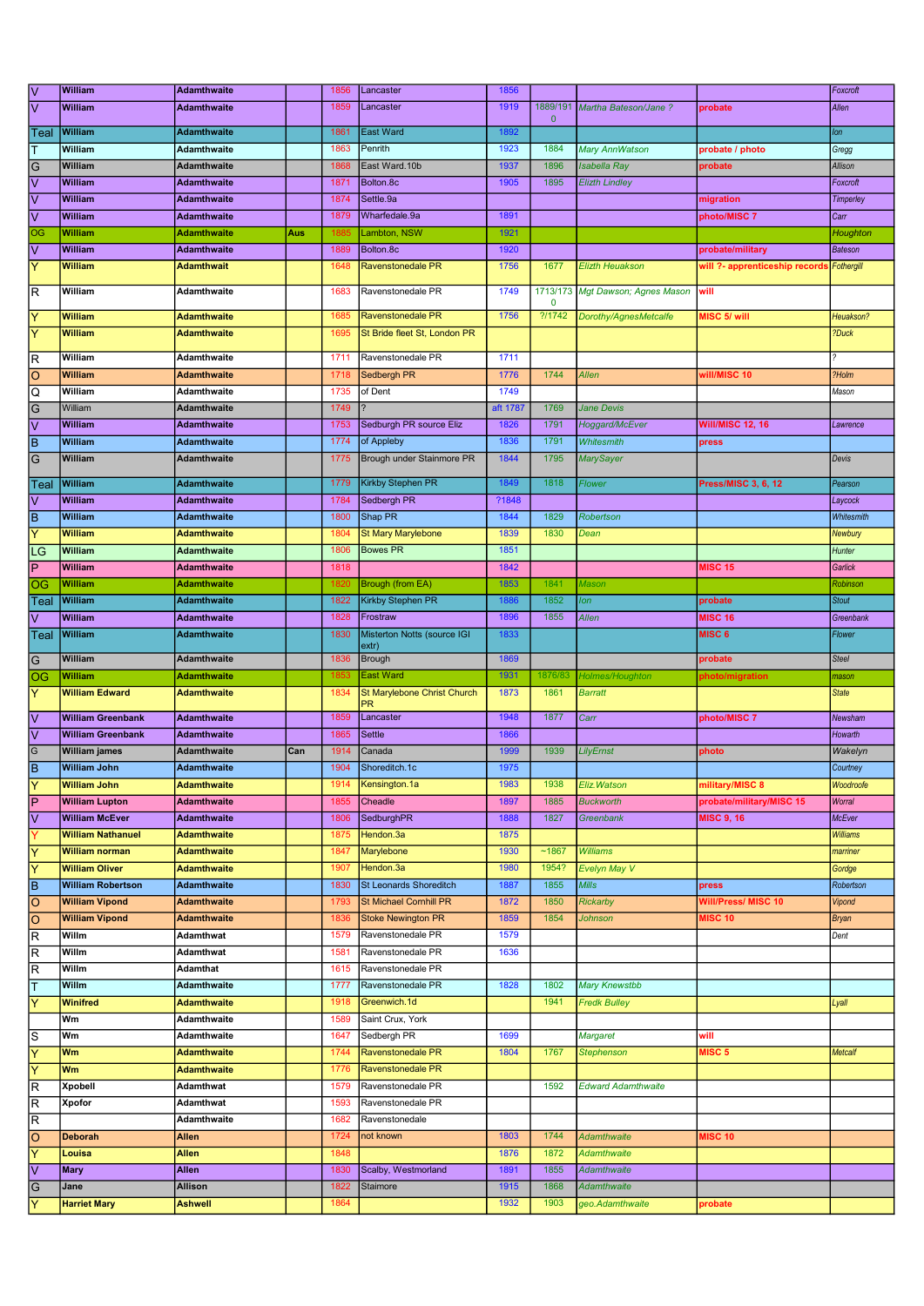|                                                                          | William                     | <b>Adamthwaite</b>        |     | 1856         | Lancaster                     | 1856         |              |                                       |                                | Foxcroft         |
|--------------------------------------------------------------------------|-----------------------------|---------------------------|-----|--------------|-------------------------------|--------------|--------------|---------------------------------------|--------------------------------|------------------|
| $\frac{\overline{v}}{\overline{v}}$                                      | William                     | <b>Adamthwaite</b>        |     | 1859         | Lancaster                     | 1919         |              | 1889/191 Martha Bateson/Jane ?        | probate                        | Allen            |
|                                                                          |                             |                           |     |              |                               |              | $\mathbf{0}$ |                                       |                                |                  |
| Teal                                                                     | William                     | <b>Adamthwaite</b>        |     | 1861         | <b>East Ward</b>              | 1892         |              |                                       |                                | lon              |
| T                                                                        | William                     | <b>Adamthwaite</b>        |     | 1863         | Penrith                       | 1923         | 1884         | Mary AnnWatson                        | probate / photo                | Gregg            |
| $\frac{1}{2}$                                                            | William                     | Adamthwaite               |     | 1868         | East Ward.10b                 | 1937         | 1896         | <b>Isabella Ray</b>                   | probate                        | Allison          |
|                                                                          | <b>William</b>              | Adamthwaite               |     | 1871         | Bolton.8c                     | 1905         | 1895         | <b>Elizth Lindley</b>                 |                                | Foxcroft         |
| $\overline{\vee}$                                                        | William                     | <b>Adamthwaite</b>        |     | 1874         | Settle.9a                     |              |              |                                       | migration                      | <b>Timperley</b> |
| $\overline{\vee}$                                                        | <b>William</b>              | <b>Adamthwaite</b>        |     | 1879         | Wharfedale.9a                 | 1891         |              |                                       | photo/MISC 7                   | Carr             |
| $\overline{OG}$                                                          | William                     | Adamthwaite               | Aus | 1885         | Lambton, NSW                  | 1921         |              |                                       |                                | Houghton         |
| $\overline{\vee}$                                                        | William                     | Adamthwaite               |     | 1889         | Bolton.8c                     | 1920         |              |                                       | probate/military               | Bateson          |
| Y                                                                        | <b>William</b>              | Adamthwait                |     | 1648         | Ravenstonedale PR             | 1756         | 1677         | <b>Elizth Heuakson</b>                | will ?- apprenticeship records | Fothergill       |
|                                                                          |                             |                           |     |              |                               |              |              |                                       |                                |                  |
| $\overline{\mathsf{R}}$                                                  | William                     | Adamthwaite               |     | 1683         | Ravenstonedale PR             | 1749         |              | 1713/173 Mgt Dawson; Agnes Mason      | will                           |                  |
|                                                                          |                             |                           |     |              |                               |              | $\mathbf 0$  |                                       |                                |                  |
| $\overline{\mathsf{Y}}$                                                  | William                     | <b>Adamthwaite</b>        |     | 1685         | <b>Ravenstonedale PR</b>      | 1756         | ?11742       | Dorothy/AgnesMetcalfe                 | MISC 5/ will                   | Heuakson?        |
| $\overline{\mathsf{Y}}$                                                  | <b>William</b>              | <b>Adamthwaite</b>        |     | 1695         | St Bride fleet St, London PR  |              |              |                                       |                                | ?Duck            |
| $\overline{\mathsf{R}}$                                                  | William                     | Adamthwaite               |     | 1711         | Ravenstonedale PR             | 1711         |              |                                       |                                |                  |
| $\overline{\circ}$                                                       | <b>William</b>              | <b>Adamthwaite</b>        |     | 1718         | Sedbergh PR                   | 1776         | 1744         | <b>Allen</b>                          | will/MISC 10                   | ?Holm            |
| $\overline{\Omega}$                                                      | William                     | Adamthwaite               |     | 1735         | of Dent                       | 1749         |              |                                       |                                | Mason            |
|                                                                          | William                     |                           |     | 1749         |                               | aft 1787     | 1769         |                                       |                                |                  |
| $\frac{1}{2}$                                                            |                             | Adamthwaite               |     |              |                               |              |              | Jane Devis                            |                                |                  |
|                                                                          | William                     | Adamthwaite               |     | 1753         | Sedburgh PR source Eliz       | 1826         | 1791         | Hoggard/McEver                        | <b>Will/MISC 12, 16</b>        | Lawrence         |
| $\overline{B}$                                                           | William                     | <b>Adamthwaite</b>        |     | 1774         | of Appleby                    | 1836         | 1791         | Whitesmith                            | press                          |                  |
| $\overline{G}$                                                           | William                     | <b>Adamthwaite</b>        |     | 1775         | Brough under Stainmore PR     | 1844         | 1795         | <b>MarySayer</b>                      |                                | Devis            |
| Teal                                                                     | William                     | <b>Adamthwaite</b>        |     | 1779         | Kirkby Stephen PR             | 1849         | 1818         | Flower                                | Press/MISC 3, 6, 12            | Pearson          |
| $\overline{\mathsf{v}}$                                                  | <b>William</b>              | <b>Adamthwaite</b>        |     | 1784         | Sedbergh PR                   | ?1848        |              |                                       |                                |                  |
|                                                                          |                             |                           |     |              |                               |              |              |                                       |                                | Laycock          |
| $\overline{B}$                                                           | William                     | <b>Adamthwaite</b>        |     | 1800         | Shap PR                       | 1844         | 1829         | Robertson                             |                                | Whitesmith       |
| $\overline{\mathsf{Y}}$                                                  | William                     | Adamthwaite               |     | 1804         | <b>St Mary Marylebone</b>     | 1839         | 1830         | Dean                                  |                                | Newbury          |
| LG                                                                       | William                     | <b>Adamthwaite</b>        |     | 1806         | <b>Bowes PR</b>               | 1851         |              |                                       |                                | Hunter           |
| $\overline{P}$                                                           | William                     | <b>Adamthwaite</b>        |     | 1818         |                               | 1842         |              |                                       | <b>MISC 15</b>                 | Garlick          |
| OG                                                                       | William                     | Adamthwaite               |     | 1820         | <b>Brough (from EA)</b>       | 1853         | 1841         | Mason                                 |                                | Robinson         |
| Teal                                                                     | William                     | Adamthwaite               |     | 1822         | Kirkby Stephen PR             | 1886         | 1852         | lon                                   | probate                        | <b>Stout</b>     |
| $\overline{\mathsf{v}}$                                                  | William                     | Adamthwaite               |     | 1828         | Frostraw                      | 1896         | 1855         | <b>Allen</b>                          | <b>MISC 16</b>                 | Greenbank        |
| Teal                                                                     | William                     | <b>Adamthwaite</b>        |     | 1830         | Misterton Notts (source IGI   | 1833         |              |                                       | MISC <sub>6</sub>              | Flower           |
|                                                                          |                             |                           |     |              | extr)                         |              |              |                                       |                                |                  |
| $\overline{G}$                                                           | William                     | Adamthwaite               |     | 1836         | Brough                        | 1869         |              |                                       | probate                        | <b>Steel</b>     |
| <b>OG</b>                                                                | <b>William</b>              | Adamthwaite               |     | 1853         | <b>East Ward</b>              | 1931         | 1876/83      | Holmes/Houghton                       | photo/migration                | mason            |
| $\overline{\mathsf{Y}}$                                                  | <b>William Edward</b>       |                           |     | 1834         | St Marylebone Christ Church   | 1873         |              | <b>Barratt</b>                        |                                |                  |
|                                                                          |                             | <b>Adamthwaite</b>        |     |              |                               |              | 1861         |                                       |                                | <b>State</b>     |
|                                                                          |                             |                           |     |              |                               |              |              |                                       |                                |                  |
| $\overline{\mathsf{v}}$                                                  | <b>William Greenbank</b>    | <b>Adamthwaite</b>        |     | 1859         | Lancaster                     | 1948         | 1877         | Carr                                  | photo/MISC 7                   | Newsham          |
| $\overline{\vee}$                                                        | <b>William Greenbank</b>    | <b>Adamthwaite</b>        |     | 1865         | <b>Settle</b>                 | 1866         |              |                                       |                                | Howarth          |
| $\overline{G}$                                                           | <b>William james</b>        | Adamthwaite               | Can | 1914         | Canada                        | 1999         | 1939         | LilyErnst                             | photo                          | Wakelyn          |
| $\overline{\mathbf{B}}$                                                  | <b>William John</b>         | <b>Adamthwaite</b>        |     | 1904         | Shoreditch.1c                 | 1975         |              |                                       |                                | Courtney         |
| l٢                                                                       | <b>William John</b>         | <b>Adamthwaite</b>        |     | 1914         | Kensington.1a                 | 1983         | 1938         | Eliz. Watson                          | military/MISC 8                | Woodroofe        |
| $\overline{P}$                                                           | <b>William Lupton</b>       | <b>Adamthwaite</b>        |     | 1855         | Cheadle                       | 1897         | 1885         | <b>Buckworth</b>                      | probate/military/MISC 15       | Worral           |
| $\overline{\vee}$                                                        | <b>William McEver</b>       | Adamthwaite               |     | 1806         | SedburghPR                    | 1888         | 1827         | Greenbank                             | <b>MISC 9.16</b>               | <b>McEver</b>    |
| $\overline{\mathsf{Y}}$                                                  | <b>William Nathanuel</b>    | <b>Adamthwaite</b>        |     | 1875         | Hendon.3a                     | 1875         |              |                                       |                                | <b>Williams</b>  |
|                                                                          | <b>William norman</b>       | <b>Adamthwaite</b>        |     | 1847         | Marylebone                    | 1930         | ~1867        | <b>Williams</b>                       |                                | marriner         |
| $\overline{Y}$                                                           | <b>William Oliver</b>       | <b>Adamthwaite</b>        |     | 1907         | Hendon.3a                     | 1980         | 1954?        | Evelyn May V                          |                                | Gordge           |
| $\overline{\mathsf{Y}}$                                                  | <b>William Robertson</b>    | <b>Adamthwaite</b>        |     | 1830         | St Leonards Shoreditch        | 1887         | 1855         | <b>Mills</b>                          | press                          | Robertson        |
|                                                                          |                             |                           |     |              |                               |              |              |                                       |                                |                  |
|                                                                          | <b>William Vipond</b>       | <b>Adamthwaite</b>        |     | 1793         | <b>St Michael Cornhill PR</b> | 1872         | 1850         | <b>Rickarby</b>                       | Will/Press/ MISC 10            | Vipond           |
| $\overline{\circ}$                                                       | <b>William Vipond</b>       | <b>Adamthwaite</b>        |     | 1836         | <b>Stoke Newington PR</b>     | 1859         | 1854         | <b>Johnson</b>                        | <b>MISC 10</b>                 | <b>Bryan</b>     |
| $\overline{\mathsf{R}}$                                                  | Willm                       | Adamthwat                 |     | 1579         | Ravenstonedale PR             | 1579         |              |                                       |                                | Dent             |
| $\overline{\mathsf{R}}$                                                  | Willm                       | Adamthwat                 |     | 1581         | Ravenstonedale PR             | 1636         |              |                                       |                                |                  |
| $\overline{\mathsf{B}}$<br>$\overline{\circ}$<br>$\overline{\mathsf{R}}$ | Willm                       | Adamthat                  |     | 1615         | Ravenstonedale PR             |              |              |                                       |                                |                  |
| $\overline{\mathsf{T}}$                                                  | Willm                       | Adamthwaite               |     | 1777         | Ravenstonedale PR             | 1828         | 1802         | <b>Mary Knewstbb</b>                  |                                |                  |
| $\overline{\mathsf{Y}}$                                                  | <b>Winifred</b>             | <b>Adamthwaite</b>        |     | 1918         | Greenwich.1d                  |              | 1941         | <b>Fredk Bulley</b>                   |                                | Lyall            |
|                                                                          | Wm                          | Adamthwaite               |     | 1589         | Saint Crux, York              |              |              |                                       |                                |                  |
| S                                                                        | Wm                          | Adamthwaite               |     | 1647         | Sedbergh PR                   | 1699         |              | Margaret                              | will                           |                  |
| $\overline{\mathsf{Y}}$                                                  | Wm                          | <b>Adamthwaite</b>        |     | 1744         | Ravenstonedale PR             | 1804         | 1767         | <b>Stephenson</b>                     | MISC <sub>5</sub>              | <b>Metcalf</b>   |
| $\overline{\mathsf{Y}}$                                                  | Wm                          | <b>Adamthwaite</b>        |     | 1776         | Ravenstonedale PR             |              |              |                                       |                                |                  |
|                                                                          | Xpobell                     | Adamthwat                 |     | 1579         | Ravenstonedale PR             |              | 1592         | <b>Edward Adamthwaite</b>             |                                |                  |
| $\overline{R}$                                                           |                             |                           |     |              |                               |              |              |                                       |                                |                  |
| $\overline{R}$                                                           | Xpofor                      | Adamthwat                 |     | 1593         | Ravenstonedale PR             |              |              |                                       |                                |                  |
| $\overline{\mathsf{R}}$                                                  |                             | Adamthwaite               |     | 1682         | Ravenstonedale                |              |              |                                       |                                |                  |
| $\overline{\circ}$                                                       | <b>Deborah</b>              | Allen                     |     | 1724         | not known                     | 1803         | 1744         | <b>Adamthwaite</b>                    | <b>MISC 10</b>                 |                  |
| $\overline{Y}$                                                           | Louisa                      | <b>Allen</b>              |     | 1848         |                               | 1876         | 1872         | <b>Adamthwaite</b>                    |                                |                  |
| $\overline{\vee}$                                                        | <b>Mary</b>                 | Allen                     |     | 1830         | Scalby, Westmorland           | 1891         | 1855         | Adamthwaite                           |                                |                  |
| $\frac{1}{2}$                                                            | Jane<br><b>Harriet Mary</b> | Allison<br><b>Ashwell</b> |     | 1822<br>1864 | Staimore                      | 1915<br>1932 | 1868<br>1903 | <b>Adamthwaite</b><br>geo.Adamthwaite |                                |                  |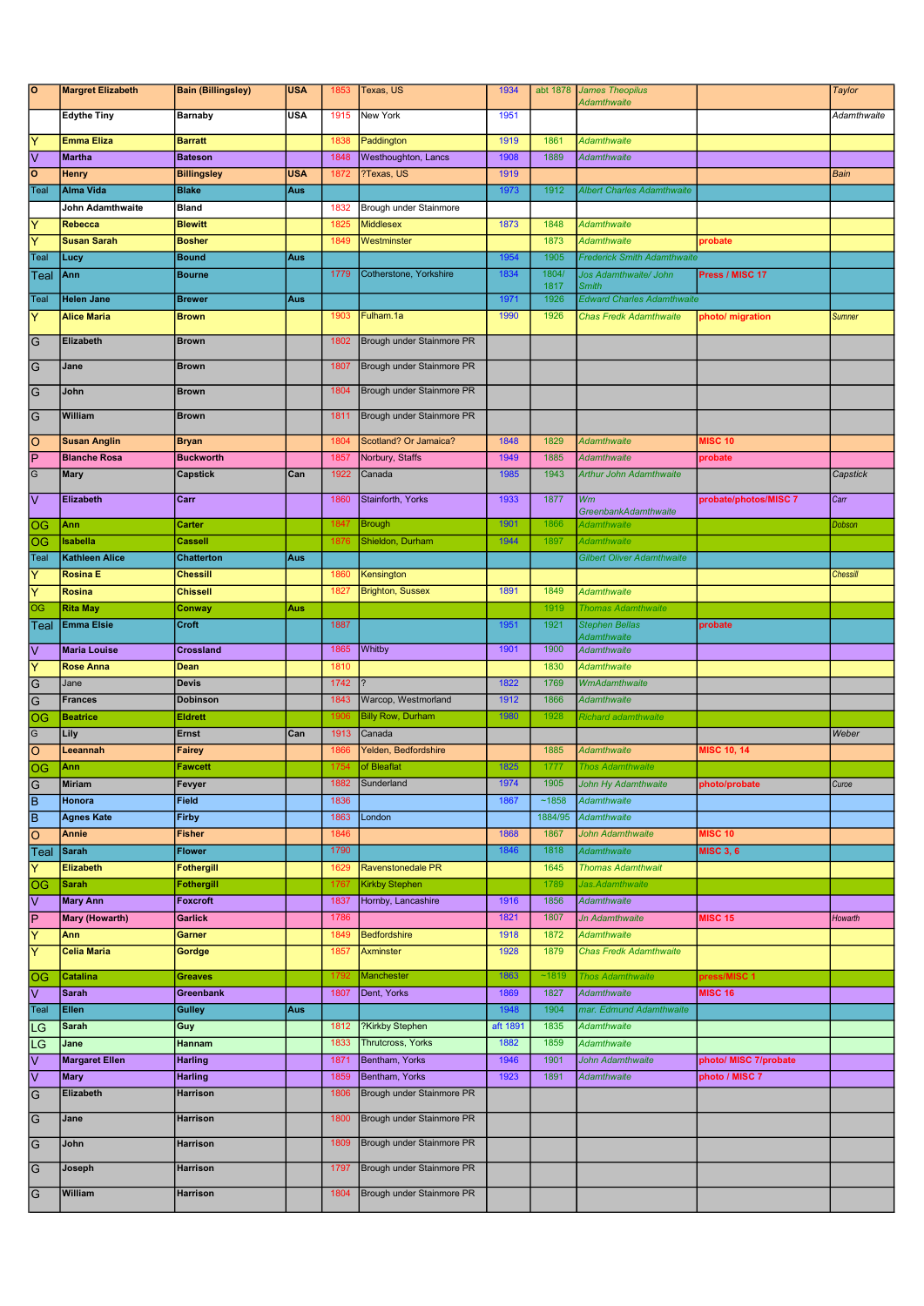| $\overline{\circ}$               | <b>Margret Elizabeth</b>                 | <b>Bain (Billingsley)</b>            | <b>USA</b> | 1853         | Texas, US                            | 1934             |              | abt 1878 James Theopilus<br><b>Adamthwaite</b> |                                         | <b>Taylor</b>   |
|----------------------------------|------------------------------------------|--------------------------------------|------------|--------------|--------------------------------------|------------------|--------------|------------------------------------------------|-----------------------------------------|-----------------|
|                                  | <b>Edythe Tiny</b>                       | <b>Barnaby</b>                       | <b>USA</b> | 1915         | New York                             | 1951             |              |                                                |                                         | Adamthwaite     |
| Ÿ                                | <b>Emma Eliza</b>                        | <b>Barratt</b>                       |            | 1838         | Paddington                           | 1919             | 1861         | <b>Adamthwaite</b>                             |                                         |                 |
| ⊽                                | <b>Martha</b>                            | <b>Bateson</b>                       |            | 1848         | Westhoughton, Lancs                  | 1908             | 1889         | <b>Adamthwaite</b>                             |                                         |                 |
| $\circ$                          | <b>Henry</b>                             | <b>Billingsley</b>                   | <b>USA</b> | 1872         | ?Texas, US                           | 1919             |              |                                                |                                         | Bain            |
| Teal                             | <b>Alma Vida</b>                         | <b>Blake</b>                         | Aus        |              |                                      | 1973             | 1912         | <b>Albert Charles Adamthwaite</b>              |                                         |                 |
|                                  | John Adamthwaite                         | <b>Bland</b>                         |            | 1832         | Brough under Stainmore               |                  |              |                                                |                                         |                 |
| Y                                | <b>Rebecca</b>                           | <b>Blewitt</b>                       |            | 1825         | <b>Middlesex</b>                     | 1873             | 1848         | <b>Adamthwaite</b>                             |                                         |                 |
| ΙY                               | <b>Susan Sarah</b>                       | <b>Bosher</b>                        |            | 1849         | Westminster                          |                  | 1873         | <b>Adamthwaite</b>                             | probate                                 |                 |
| Teal                             | Lucy                                     | <b>Bound</b>                         | Aus        |              |                                      | 1954             | 1905         | <b>Frederick Smith Adamthwaite</b>             |                                         |                 |
| Teal                             | Ann                                      | <b>Bourne</b>                        |            | 1779         | Cotherstone, Yorkshire               | 1834             | 1804/        | Jos Adamthwaite/ John                          | Press / MISC 17                         |                 |
|                                  |                                          |                                      |            |              |                                      |                  | 1817         | <b>Smith</b>                                   |                                         |                 |
| Teal                             | <b>Helen Jane</b>                        | <b>Brewer</b>                        | Aus        |              |                                      | 1971             | 1926         | <b>Edward Charles Adamthwaite</b>              |                                         |                 |
| Ÿ                                | <b>Alice Maria</b>                       | <b>Brown</b>                         |            | 1903         | Fulham.1a                            | 1990             | 1926         | <b>Chas Fredk Adamthwaite</b>                  | photo/ migration                        | <b>Sumner</b>   |
| G                                | Elizabeth                                | <b>Brown</b>                         |            | 1802         | Brough under Stainmore PR            |                  |              |                                                |                                         |                 |
| $\overline{G}$                   | Jane                                     | <b>Brown</b>                         |            | 1807         | Brough under Stainmore PR            |                  |              |                                                |                                         |                 |
| $\overline{G}$                   | John                                     | <b>Brown</b>                         |            | 1804         | Brough under Stainmore PR            |                  |              |                                                |                                         |                 |
| $\overline{G}$                   | William                                  | <b>Brown</b>                         |            | 1811         | Brough under Stainmore PR            |                  |              |                                                |                                         |                 |
| Ιo                               | <b>Susan Anglin</b>                      | <b>Bryan</b>                         |            | 1804         | Scotland? Or Jamaica?                | 1848             | 1829         | <b>Adamthwaite</b>                             | <b>MISC 10</b>                          |                 |
| $\overline{\mathsf{P}}$          | <b>Blanche Rosa</b>                      | <b>Buckworth</b>                     |            | 1857         | Norbury, Staffs                      | 1949             | 1885         | <b>Adamthwaite</b>                             | probate                                 |                 |
| $\overline{G}$                   | <b>Mary</b>                              | <b>Capstick</b>                      | Can        | 1922         | Canada                               | 1985             | 1943         | <b>Arthur John Adamthwaite</b>                 |                                         | Capstick        |
| Ιv                               | <b>Elizabeth</b>                         | Carr                                 |            | 1860         | Stainforth, Yorks                    | 1933             | 1877         | Wm<br><b>GreenbankAdamthwaite</b>              | probate/photos/MISC 7                   | Carr            |
| OG                               | Ann                                      | Carter                               |            | 1847         | <b>Brough</b>                        | 1901             | 1866         | Adamthwaite                                    |                                         | Dobson          |
| OG                               | <b>Isabella</b>                          | Cassell                              |            | 1876         | Shieldon, Durham                     | 1944             | 1897         | <b>Adamthwaite</b>                             |                                         |                 |
| Teal<br>$\overline{Y}$           | <b>Kathleen Alice</b><br><b>Rosina E</b> | <b>Chatterton</b><br><b>Chessill</b> | Aus        | 1860         | Kensington                           |                  |              | <b>Gilbert Oliver Adamthwaite</b>              |                                         | <b>Chessill</b> |
| Ÿ                                | <b>Rosina</b>                            | <b>Chissell</b>                      |            | 1827         | <b>Brighton, Sussex</b>              | 1891             | 1849         | <b>Adamthwaite</b>                             |                                         |                 |
| OG                               | <b>Rita May</b>                          | Conway                               | Aus        |              |                                      |                  | 1919         | <b>Thomas Adamthwaite</b>                      |                                         |                 |
| Teal                             | <b>Emma Elsie</b>                        | Croft                                |            | 1887         |                                      | 1951             | 1921         | <b>Stephen Bellas</b>                          | probate                                 |                 |
|                                  |                                          |                                      |            |              |                                      |                  |              | Adamthwaite                                    |                                         |                 |
| l٧                               | <b>Maria Louise</b>                      | Crossland                            |            | 1865         | Whitby                               | 1901             | 1900         | <b>Adamthwaite</b>                             |                                         |                 |
| $\overline{Y}$                   | <b>Rose Anna</b>                         | Dean                                 |            | 1810         |                                      |                  | 1830         | <b>Adamthwaite</b>                             |                                         |                 |
| $\overline{G}$<br>$\overline{G}$ | Jane                                     | <b>Devis</b><br><b>Dobinson</b>      |            | 1742<br>1843 | Warcop, Westmorland                  | 1822<br>1912     | 1769<br>1866 | <b>WmAdamthwaite</b><br><b>Adamthwaite</b>     |                                         |                 |
| OG                               | <b>Frances</b><br><b>Beatrice</b>        | <b>Eldrett</b>                       |            | 1906         | <b>Billy Row, Durham</b>             | 1980             | 1928         | Richard adamthwaite                            |                                         |                 |
| G                                | Lily                                     | Ernst                                | Can        | 1913         | Canada                               |                  |              |                                                |                                         | Weber           |
| O                                | Leeannah                                 | Fairey                               |            | 1866         | Yelden, Bedfordshire                 |                  | 1885         | Adamthwaite                                    | <b>MISC 10, 14</b>                      |                 |
| OG                               | Ann                                      | <b>Fawcett</b>                       |            | 1754         | of Bleaflat                          | 1825             | 1777         | <b>Thos Adamthwaite</b>                        |                                         |                 |
| G                                | <b>Miriam</b>                            | Fevyer                               |            | 1882         | Sunderland                           | 1974             | 1905         | <b>John Hy Adamthwaite</b>                     | photo/probate                           | Curoe           |
| Īв                               | Honora                                   | Field                                |            | 1836         |                                      | 1867             | ~1858        | <b>Adamthwaite</b>                             |                                         |                 |
| $\overline{\mathsf{B}}$          | <b>Agnes Kate</b>                        | <b>Firby</b>                         |            | 1863         | London                               |                  | 1884/95      | Adamthwaite                                    |                                         |                 |
| O                                | Annie                                    | <b>Fisher</b>                        |            | 1846         |                                      | 1868             | 1867         | John Adamthwaite                               | <b>MISC 10</b>                          |                 |
| Teal                             | <b>Sarah</b>                             | <b>Flower</b>                        |            | 1790         |                                      | 1846             | 1818         | <b>Adamthwaite</b>                             | <b>MISC 3, 6</b>                        |                 |
| Ÿ                                | Elizabeth                                | <b>Fothergill</b>                    |            | 1629         | Ravenstonedale PR                    |                  | 1645         | <b>Thomas Adamthwait</b>                       |                                         |                 |
| OG                               | <b>Sarah</b>                             | Fothergill                           |            | 1767         | <b>Kirkby Stephen</b>                |                  | 1789         | Jas.Adamthwaite                                |                                         |                 |
| lv                               | <b>Mary Ann</b>                          | <b>Foxcroft</b>                      |            | 1837         | Hornby, Lancashire                   | 1916             | 1856         | Adamthwaite                                    |                                         |                 |
| P                                | Mary (Howarth)                           | Garlick                              |            | 1786         |                                      | 1821             | 1807         | <b>Jn Adamthwaite</b>                          | <b>MISC 15</b>                          | Howarth         |
| $\overline{\mathsf{Y}}$          | Ann                                      | Garner                               |            | 1849         | Bedfordshire                         | 1918             | 1872         | <b>Adamthwaite</b>                             |                                         |                 |
| $\overline{\mathsf{Y}}$          | <b>Celia Maria</b>                       | Gordge                               |            | 1857         | Axminster                            | 1928             | 1879         | <b>Chas Fredk Adamthwaite</b>                  |                                         |                 |
| OG                               | <b>Catalina</b>                          | <b>Greaves</b>                       |            | 1792         | Manchester                           | 1863             | ~1819        | <b>Thos Adamthwaite</b>                        | press/MISC 1                            |                 |
| lv<br>Teal                       | <b>Sarah</b>                             | Greenbank                            |            | 1807         | Dent, Yorks                          | 1869<br>1948     | 1827<br>1904 | Adamthwaite<br>mar. Edmund Adamthwaite         | <b>MISC 16</b>                          |                 |
|                                  | Ellen                                    | <b>Gulley</b>                        | Aus        |              |                                      |                  |              |                                                |                                         |                 |
| LG                               | <b>Sarah</b><br>Jane                     | Guy<br>Hannam                        |            | 1812<br>1833 | ?Kirkby Stephen<br>Thrutcross, Yorks | aft 1891<br>1882 | 1835<br>1859 | <b>Adamthwaite</b><br><b>Adamthwaite</b>       |                                         |                 |
| LG                               |                                          |                                      |            |              |                                      |                  |              |                                                |                                         |                 |
| Ιv<br>⊽                          | <b>Margaret Ellen</b><br><b>Mary</b>     | <b>Harling</b><br><b>Harling</b>     |            | 1871<br>1859 | Bentham, Yorks<br>Bentham, Yorks     | 1946<br>1923     | 1901<br>1891 | John Adamthwaite<br><b>Adamthwaite</b>         | photo/ MISC 7/probate<br>photo / MISC 7 |                 |
| $\overline{G}$                   | Elizabeth                                | Harrison                             |            | 1806         | Brough under Stainmore PR            |                  |              |                                                |                                         |                 |
| $\overline{G}$                   | Jane                                     | Harrison                             |            | 1800         | Brough under Stainmore PR            |                  |              |                                                |                                         |                 |
| $\overline{G}$                   | John                                     | Harrison                             |            | 1809         | Brough under Stainmore PR            |                  |              |                                                |                                         |                 |
| $\overline{G}$                   | Joseph                                   | Harrison                             |            | 1797         | Brough under Stainmore PR            |                  |              |                                                |                                         |                 |
| $\overline{G}$                   | William                                  | Harrison                             |            | 1804         | Brough under Stainmore PR            |                  |              |                                                |                                         |                 |
|                                  |                                          |                                      |            |              |                                      |                  |              |                                                |                                         |                 |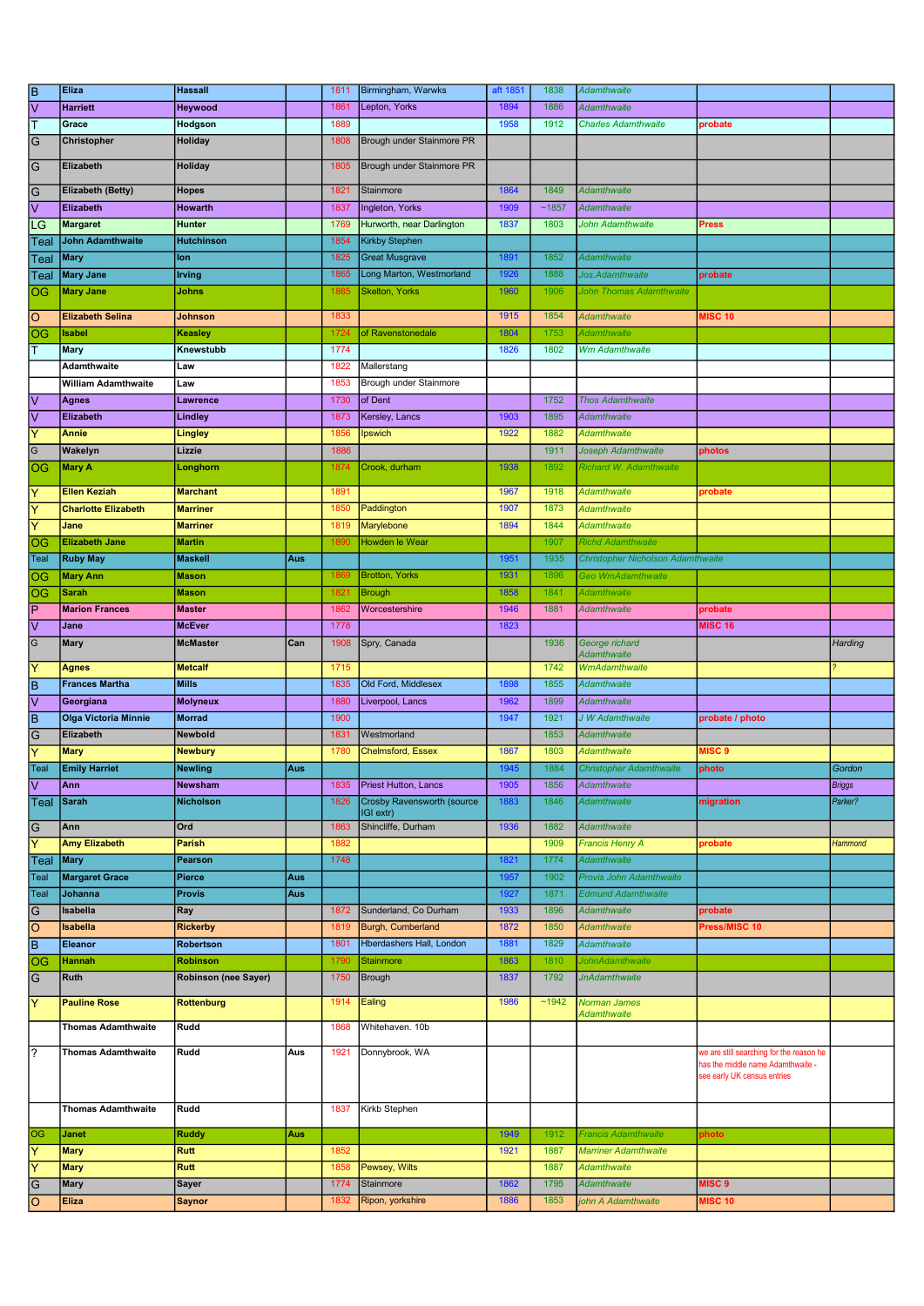| $\overline{\mathsf{B}}$ | Eliza                       | <b>Hassall</b>       |     | 1811 | Birmingham, Warwks                | aft 1851 | 1838  | Adamthwaite                              |                                          |               |
|-------------------------|-----------------------------|----------------------|-----|------|-----------------------------------|----------|-------|------------------------------------------|------------------------------------------|---------------|
| ⊽                       | <b>Harriett</b>             | Heywood              |     | 1861 | Lepton, Yorks                     | 1894     | 1886  | <b>Adamthwaite</b>                       |                                          |               |
| ╔                       | Grace                       | Hodgson              |     | 1889 |                                   | 1958     | 1912  | <b>Charles Adamthwaite</b>               | probate                                  |               |
| $\overline{G}$          | Christopher                 | Holiday              |     | 1808 | Brough under Stainmore PR         |          |       |                                          |                                          |               |
| $\overline{G}$          | Elizabeth                   | Holiday              |     | 1805 | Brough under Stainmore PR         |          |       |                                          |                                          |               |
|                         |                             |                      |     |      |                                   |          |       |                                          |                                          |               |
| $\overline{G}$          | <b>Elizabeth (Betty)</b>    | <b>Hopes</b>         |     | 1821 | Stainmore                         | 1864     | 1849  | <b>Adamthwaite</b>                       |                                          |               |
| ⊽                       | Elizabeth                   | Howarth              |     | 1837 | Ingleton, Yorks                   | 1909     | ~1857 | Adamthwaite                              |                                          |               |
| LG                      | <b>Margaret</b>             | Hunter               |     | 1769 | Hurworth, near Darlington         | 1837     | 1803  | John Adamthwaite                         | <b>Press</b>                             |               |
| Teal                    | <b>John Adamthwaite</b>     | <b>Hutchinson</b>    |     | 1854 | <b>Kirkby Stephen</b>             |          |       |                                          |                                          |               |
| Teal                    | <b>Mary</b>                 | lon                  |     | 1825 | <b>Great Musgrave</b>             | 1891     | 1852  | Adamthwaite                              |                                          |               |
| Teal                    | <b>Mary Jane</b>            | <b>Irving</b>        |     | 1865 | Long Marton, Westmorland          | 1926     | 1888  | Jos. Adamthwaite                         | probate                                  |               |
| OG                      | <b>Mary Jane</b>            | Johns                |     | 1885 | <b>Skelton, Yorks</b>             | 1960     | 1906  | John Thomas Adamthwaite                  |                                          |               |
| $\overline{O}$          | <b>Elizabeth Selina</b>     | <b>Johnson</b>       |     | 1833 |                                   | 1915     | 1854  | <b>Adamthwaite</b>                       | <b>MISC 10</b>                           |               |
| OG                      | <b>Isabel</b>               | Keasley              |     | 1724 | of Ravenstonedale                 | 1804     | 1753  | Adamthwaite                              |                                          |               |
| ΙΤ                      | Mary                        | Knewstubb            |     | 1774 |                                   | 1826     | 1802  | <b>Wm Adamthwaite</b>                    |                                          |               |
|                         |                             | Law                  |     |      |                                   |          |       |                                          |                                          |               |
|                         | Adamthwaite                 |                      |     | 1822 | Mallerstang                       |          |       |                                          |                                          |               |
|                         | <b>William Adamthwaite</b>  | Law                  |     | 1853 | Brough under Stainmore            |          |       |                                          |                                          |               |
| $\overline{\mathsf{v}}$ | <b>Agnes</b>                | Lawrence             |     | 1730 | of Dent                           |          | 1752  | <b>Thos Adamthwaite</b>                  |                                          |               |
| $\overline{\vee}$       | <b>Elizabeth</b>            | Lindley              |     | 1873 | Kersley, Lancs                    | 1903     | 1895  | <b>Adamthwaite</b>                       |                                          |               |
| Y                       | <b>Annie</b>                | Lingley              |     | 1856 | Ipswich                           | 1922     | 1882  | <b>Adamthwaite</b>                       |                                          |               |
| G                       | Wakelyn                     | Lizzie               |     | 1886 |                                   |          | 1911  | Joseph Adamthwaite                       | photos                                   |               |
| <b>OG</b>               | <b>Mary A</b>               | Longhorn             |     | 1874 | Crook, durham                     | 1938     | 1892  | Richard W. Adamthwaite                   |                                          |               |
| Y                       | <b>Ellen Keziah</b>         | <b>Marchant</b>      |     | 1891 |                                   | 1967     | 1918  | <b>Adamthwaite</b>                       | probate                                  |               |
| Y                       | <b>Charlotte Elizabeth</b>  | <b>Marriner</b>      |     | 1850 | Paddington                        | 1907     | 1873  | <b>Adamthwaite</b>                       |                                          |               |
| Ÿ                       | Jane                        | <b>Marriner</b>      |     | 1819 | Marylebone                        | 1894     | 1844  | <b>Adamthwaite</b>                       |                                          |               |
| OG                      | <b>Elizabeth Jane</b>       | <b>Martin</b>        |     | 1890 | <b>Howden le Wear</b>             |          | 1907  | <b>Richd Adamthwaite</b>                 |                                          |               |
| Teal                    | <b>Ruby May</b>             | <b>Maskell</b>       | Aus |      |                                   | 1951     | 1935  | <b>Christopher Nicholson Adamthwaite</b> |                                          |               |
| OG                      | Mary Ann                    | <b>Mason</b>         |     | 1869 | <b>Brotton, Yorks</b>             | 1931     | 1896  | Geo WmAdamthwaite                        |                                          |               |
| OG                      | <b>Sarah</b>                | <b>Mason</b>         |     | 1821 | <b>Brough</b>                     | 1858     | 1841  | Adamthwaite                              |                                          |               |
| ΙP                      |                             | <b>Master</b>        |     | 1862 | Worcestershire                    | 1946     | 1881  |                                          |                                          |               |
|                         | <b>Marion Frances</b>       |                      |     |      |                                   |          |       | <b>Adamthwaite</b>                       | probate                                  |               |
| Ιv                      | Jane                        | <b>McEver</b>        |     | 1778 |                                   | 1823     |       |                                          | <b>MISC 16</b>                           |               |
| $\overline{G}$          | <b>Mary</b>                 | <b>McMaster</b>      | Can | 1908 | Spry, Canada                      |          | 1936  | George richard<br><b>Adamthwaite</b>     |                                          | Harding       |
| Y                       | <b>Agnes</b>                | <b>Metcalf</b>       |     | 1715 |                                   |          | 1742  | <b>WmAdamthwaite</b>                     |                                          |               |
| ĪΒ                      | <b>Frances Martha</b>       | <b>Mills</b>         |     | 1835 | Old Ford, Middlesex               | 1898     | 1855  | Adamthwaite                              |                                          |               |
| $\overline{\vee}$       | Georgiana                   | <b>Molyneux</b>      |     | 1880 | Liverpool, Lancs                  | 1962     | 1899  | <b>Adamthwaite</b>                       |                                          |               |
| ΓB                      | <b>Olga Victoria Minnie</b> | <b>Morrad</b>        |     | 1900 |                                   | 1947     | 1921  | J W Adamthwaite                          | probate / photo                          |               |
| $\overline{G}$          | Elizabeth                   | Newbold              |     | 1831 | Westmorland                       |          | 1853  | <b>Adamthwaite</b>                       |                                          |               |
| Ÿ                       | <b>Mary</b>                 | <b>Newbury</b>       |     | 1780 | <b>Chelmsford, Essex</b>          | 1867     | 1803  | <b>Adamthwaite</b>                       | <b>MISC 9</b>                            |               |
| Teal                    | <b>Emily Harriet</b>        | <b>Newling</b>       | Aus |      |                                   | 1945     | 1884  | <b>Christopher Adamthwaite</b>           | photo                                    | Gordon        |
| l٧                      | Ann                         | Newsham              |     | 1835 | Priest Hutton, Lancs              | 1905     | 1856  | Adamthwaite                              |                                          | <b>Briggs</b> |
| Teal                    | <b>Sarah</b>                | <b>Nicholson</b>     |     | 1826 | <b>Crosby Ravensworth (source</b> | 1883     | 1846  | <b>Adamthwaite</b>                       | migration                                | Parker?       |
|                         |                             |                      |     |      | IGI extr)                         |          |       |                                          |                                          |               |
| $\overline{G}$          | Ann                         | Ord                  |     | 1863 | Shincliffe, Durham                | 1936     | 1882  | <b>Adamthwaite</b>                       |                                          |               |
| Ÿ                       | <b>Amy Elizabeth</b>        | <b>Parish</b>        |     | 1882 |                                   |          | 1909  | <b>Francis Henry A</b>                   | probate                                  | Hammond       |
| Teal                    | <b>Mary</b>                 | Pearson              |     | 1748 |                                   | 1821     | 1774  | Adamthwaite                              |                                          |               |
| Teal                    | <b>Margaret Grace</b>       | Pierce               | Aus |      |                                   | 1957     | 1902  | <b>Provis John Adamthwaite</b>           |                                          |               |
| Teal                    | Johanna                     | <b>Provis</b>        | Aus |      |                                   | 1927     | 1871  | <b>Edmund Adamthwaite</b>                |                                          |               |
| G                       | Isabella                    | Ray                  |     | 1872 | Sunderland, Co Durham             | 1933     | 1896  | <b>Adamthwaite</b>                       | probate                                  |               |
| lo                      | <b>Isabella</b>             | <b>Rickerby</b>      |     | 1819 | Burgh, Cumberland                 | 1872     | 1850  | <b>Adamthwaite</b>                       | Press/MISC 10                            |               |
| Ē                       | <b>Eleanor</b>              | Robertson            |     | 1801 | Hberdashers Hall, London          | 1881     | 1829  | <b>Adamthwaite</b>                       |                                          |               |
| $\overline{OG}$         | <b>Hannah</b>               | <b>Robinson</b>      |     | 1790 | Stainmore                         | 1863     | 1810  | <b>JohnAdamthwaite</b>                   |                                          |               |
| $\overline{G}$          | <b>Ruth</b>                 | Robinson (nee Sayer) |     | 1750 | Brough                            | 1837     | 1792  | <b>JnAdamthwaite</b>                     |                                          |               |
| Ÿ                       | <b>Pauline Rose</b>         | <b>Rottenburg</b>    |     | 1914 | Ealing                            | 1986     | ~1942 | Norman James                             |                                          |               |
|                         |                             |                      |     |      |                                   |          |       | <b>Adamthwaite</b>                       |                                          |               |
|                         | <b>Thomas Adamthwaite</b>   | Rudd                 |     | 1868 | Whitehaven. 10b                   |          |       |                                          |                                          |               |
| रि                      | <b>Thomas Adamthwaite</b>   | Rudd                 | Aus | 1921 | Donnybrook, WA                    |          |       |                                          | we are still searching for the reason he |               |
|                         |                             |                      |     |      |                                   |          |       |                                          | has the middle name Adamthwaite -        |               |
|                         |                             |                      |     |      |                                   |          |       |                                          | see early UK census entries              |               |
|                         |                             |                      |     |      |                                   |          |       |                                          |                                          |               |
|                         | <b>Thomas Adamthwaite</b>   | Rudd                 |     | 1837 | Kirkb Stephen                     |          |       |                                          |                                          |               |
| OG                      | <b>Janet</b>                | <b>Ruddy</b>         |     |      |                                   | 1949     | 1912  | <b>Francis Adamthwaite</b>               |                                          |               |
|                         | <b>Mary</b>                 | <b>Rutt</b>          | Aus | 1852 |                                   | 1921     | 1887  | <b>Marriner Adamthwaite</b>              | ohoto                                    |               |
| Y                       |                             |                      |     |      |                                   |          |       |                                          |                                          |               |
| ΙY                      | <b>Mary</b>                 | Rutt                 |     | 1858 | Pewsey, Wilts                     |          | 1887  | <b>Adamthwaite</b>                       |                                          |               |
| $\overline{G}$          | <b>Mary</b>                 | Sayer                |     | 1774 | Stainmore                         | 1862     | 1795  | Adamthwaite                              | MISC <sub>9</sub>                        |               |
| ଚି                      | Eliza                       | <b>Saynor</b>        |     | 1832 | Ripon, yorkshire                  | 1886     | 1853  | john A Adamthwaite                       | <b>MISC 10</b>                           |               |